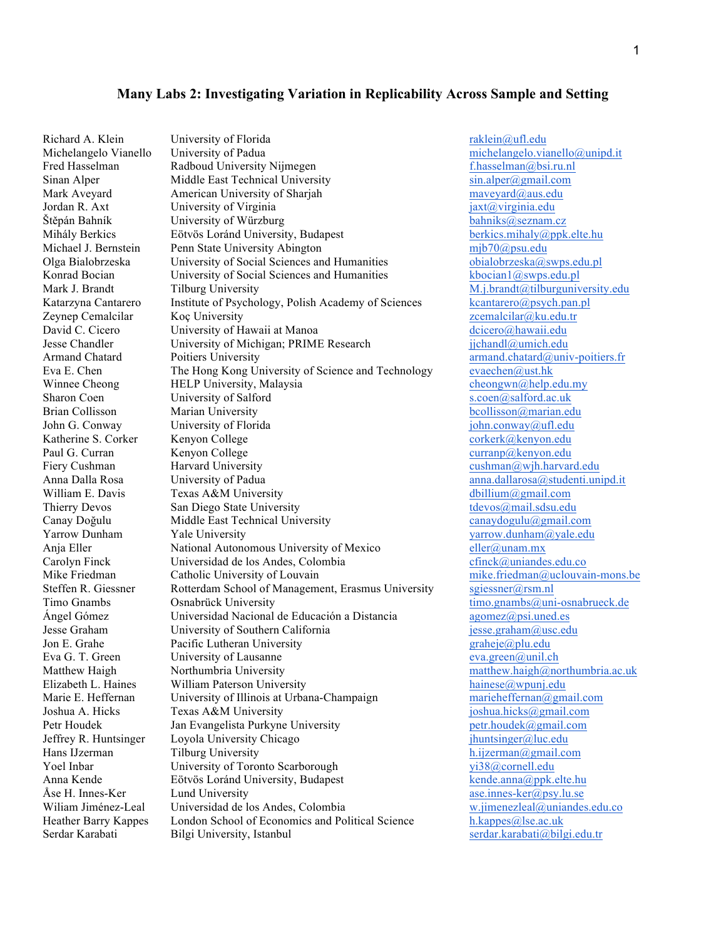#### **Many Labs 2: Investigating Variation in Replicability Across Sample and Setting**

Richard A. Klein University of Florida raklein@ufl.edu Michelangelo Vianello University of Padua michelangelo.vianello@unipd.it Fred Hasselman **Radboud University Nijmegen** Fred Hasselman *Radboud University Nijmegen* Fred Hasselman *f* hasselman *absi.ru.nl* Sinan Alper Middle East Technical University sin.alper@gmail.com Mark Aveyard **American University of Sharjah maveyard** maveyard and maveyard and maveyard and American University of Sharjah mave Jordan R. Axt **University of Virginia Jordan R. Axt** *jaxt@virginia.edu* Štěpán Bahník University of Würzburg bahniks@seznam.cz Mihály Berkics Eötvös Loránd University, Budapest Michael J. Bernstein Penn State University Abington mib70@psu.edu<br>
Olga Bialobrzeska University of Social Sciences and Humanities obialobrzeska@swps.edu.pl Olga Bialobrzeska University of Social Sciences and Humanities bialobrzeska@swps.edu.pl<br>
Konrad Bocian University of Social Sciences and Humanities koocian1@swps.edu.pl Konrad Bocian University of Social Sciences and Humanities Mark J. Brandt Tilburg University M. and Tilburg University M. i.brandt@tilburguniversity.edu Katarzyna Cantarero Institute of Psychology, Polish Academy of Sciences kcantarero@psych.pan.pl Zeynep Cemalcilar Koç University zcemalcilar@ku.edu.tr David C. Cicero **University of Hawaii at Manoa** dcicero@hawaii.edu Jesse Chandler University of Michigan; PRIME Research jjchandl@umich.edu Armand Chatard **Poitiers University Armand.chatard** *armand.chatard@univ-poitiers.fr* Eva E. Chen The Hong Kong University of Science and Technology evaechen@ust.hk Winnee Cheong HELP University, Malaysia cheongwn@help.edu.my Sharon Coen University of Salford s.coen@salford.ac.uk Brian Collisson Marian University **brian Collisson** bcollisson and brian edu John G. Conway University of Florida john.conway@ufl.edu Katherine S. Corker Kenyon College corker Kenyon.edu Paul G. Curran College Curran Kenyon College curranp@kenyon.edu Fiery Cushman **Harvard University Fiery Cushman** @wih.harvard.edu Anna Dalla Rosa University of Padua anna.dallarosa@studenti.unipd.it William E. Davis Texas A&M University dbillium@gmail.com Thierry Devos San Diego State University the San Diego State University the San Diego State University the San Diego State University state of the San Diego State University state of the San Diego State University state of Canay Doğulu Middle East Technical University canaydogulu@gmail.com<br>
Yarrow Dunham Yale University varrow dunham@yale.edu Yale University **Yale University** yarrow.dunham a yale.edu Anja Eller National Autonomous University of Mexico eller *@unam.mx*<br>Carolyn Finck Universidad de los Andes, Colombia cfinck *@uniande* Universidad de los Andes, Colombia cfinck @uniandes.edu.co Mike Friedman Catholic University of Louvain mike friedman @uclouvain-mons.be Steffen R. Giessner Rotterdam School of Management, Erasmus University sgiessner@rsm.nl Timo Gnambs **Consider Constantial Constantine Constantine Constantine Constantine Constantine Constantine Constantine Constantine Constantine Constantine Constantine Constantine Constantine Constantine Constantine Constant** Ángel Gómez  $Universidad Nacional de Eduardoa Distanceiáan a Distancia$  agomez $@psi$ si.uned.es Jesse Graham University of Southern California jesse.graham@usc.edu Jon E. Grahe Pacific Lutheran University and the property graheje application of the Pacific Lutheran University Eva G. T. Green University of Lausanne eva.green@unil.ch Matthew Haigh Northumbria University matthew.haigh@northumbria.ac.uk Elizabeth L. Haines William Paterson University<br>
Marie E. Heffernan University of Illinois at Urbana-Champaign marieheffernan@gmail.com Marie E. Heffernan University of Illinois at Urbana-Champaign Joshua A. Hicks Texas A&M University *joshua.hicks@gmail.com*<br>
Petr Houdek Jan Evangelista Purkyne University petr.houdek@gmail.com Petr Houdek Jan Evangelista Purkyne University<br>
Jeffrey R. Huntsinger Loyola University Chicago (huntsinger@luc.edu) Jeffrey R. Huntsinger Loyola University Chicago Hans IJzerman Tilburg University h.ijzerman@gmail.com Yoel Inbar University of Toronto Scarborough yi38@cornell.edu Anna Kende Eötvös Loránd University, Budapest kende anna @ppk.elte.hu Åse H. Innes-Ker Lund University<br>
Wiliam Jiménez-Leal Universidad de los Andes, Colombia and any assumes-ker asse.innes-ker apply.lu.se Wiliam Jiménez-Leal Universidad de los Andes, Colombia w.jimenezleal@unia<br>Heather Barry Kappes London School of Economics and Political Science h.kappes@lse.ac.uk Heather Barry Kappes London School of Economics and Political Science. Serdar Karabati Bilgi University, Istanbul serdar serdar.karabati@bilgi.edu.tr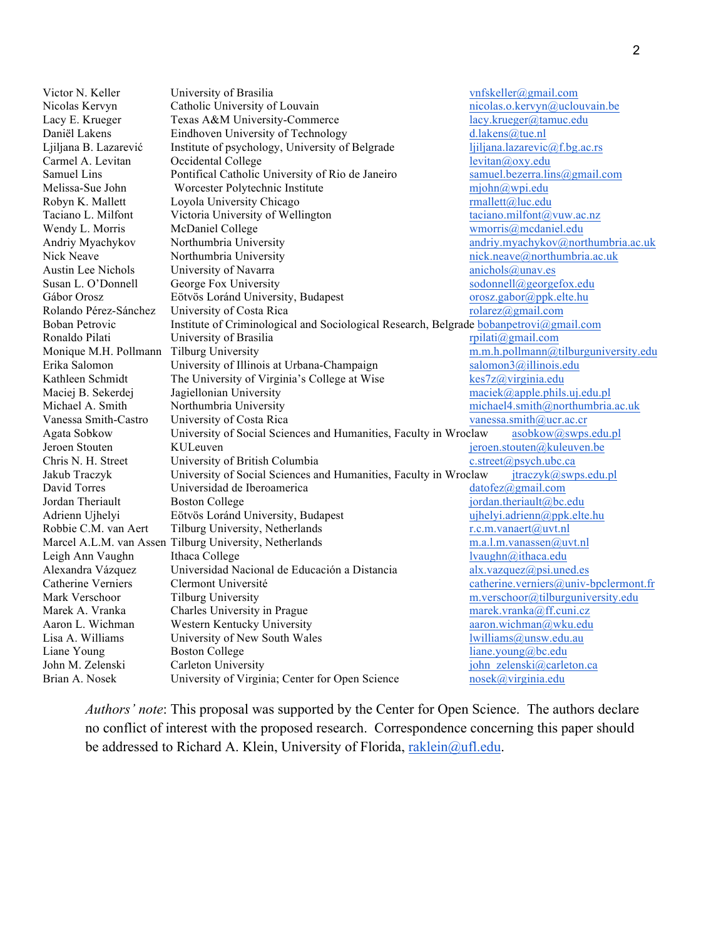Victor N. Keller **University of Brasilia** vnfskeller@gmail.com Nicolas Kervyn Catholic University of Louvain nicolas.o.kervyn@uclouvain.be<br>
Lacy E. Krueger Texas A&M University-Commerce lacy.krueger@tamuc.edu Texas A&M University-Commerce lacy lacy krueger@tamuc.edu Daniël Lakens Eindhoven University of Technology<br>
Liliana B. Lazarević Institute of psychology, University of Belgrade *liliana lazarevic@f.bg.ac.rs* Ljiljana B. Lazarević Institute of psychology, University of Belgrade Carmel A. Levitan Cocidental College levitan and levitan and levitan and levitan and levitan and levitan and levitan and levitan and levitan and levitan and levitan and levitan and levitan and levitan and levitan and levit Samuel Lins Pontifical Catholic University of Rio de Janeiro samuel.bezerra.lins@gmail.com Melissa-Sue John Worcester Polytechnic Institute mightn $\frac{m}{m}$  mjohn $\frac{m}{m}$ wpi.edu Robyn K. Mallett Loyola University Chicago **rmallett** *Enciano L. Milfont* Victoria University of Wellington **rmallett** *raciano milfont acume raciano L. Milfont* **Victoria University of Wellington reading** *raciano* Taciano L. Milfont Victoria University of Wellington Wendy L. Morris McDaniel College wmorris wmorris@mcdaniel.edu Andriy Myachykov Northumbria University andriy.myachykov@northumbria.ac.uk Nick Neave **Northumbria University** nick.neave@northumbria.ac.uk Austin Lee Nichols University of Navarra anichols anichols anichols anichols anichols and the University of Navarra Susan L. O'Donnell George Fox University Susan Susan L. O'Donnell George Fox University Gábor Orosz Eötvös Loránd University, Budapest orosz.gabor@ppk.elte.hu<br>
Rolando Pérez-Sánchez University of Costa Rica de anticom contra contra component orosz.gabor@ppk.elte.hu University of Costa Rica rolarez $\alpha$ gmail.com Boban Petrovic Institute of Criminological and Sociological Research, Belgrade bobanpetrovi@gmail.com Ronaldo Pilati **Exercity of Brasilia** rpilation replation replation replation replation replation replation replation replation replation replation replation replation replation replation replation replation replation repl Monique M.H. Pollmann Tilburg University<br>
Erika Salomon University of Illinois at Urbana-Champaign salomon3@illinois.edu<br>
salomon3@illinois.edu Erika Salomon University of Illinois at Urbana-Champaign Kathleen Schmidt The University of Virginia's College at Wise kes7z@virginia.edu Maciej B. Sekerdej Jagiellonian University maciek@apple.phils.uj.edu.pl Michael A. Smith Northumbria University michael4.smith@northumbria.ac.uk Vanessa Smith-Castro University of Costa Rica vanessa.smith@ucr.ac.cr Agata Sobkow University of Social Sciences and Humanities, Faculty in Wroclaw asobkow@swps.edu.pl Jeroen Stouten KULeuven jeroen.stouten@kuleuven.be Chris N. H. Street University of British Columbia c.street@psych.ubc.ca Jakub Traczyk University of Social Sciences and Humanities, Faculty in Wroclaw itraczyk@swps.edu.pl David Torres **Universidad de Iberoamerica** datofez@gmail.com Jordan Theriault **Boston College** is a set of the internal transfer of the internal transfer of the internal transfer of the internal transfer of the internal transfer of the internal transfer of the internal transfer of t Adrienn Ujhelyi Eötvös Loránd University, Budapest ujhelyi.adrienn@ppk.elte.hu Robbie C.M. van Aert Tilburg University, Netherlands r.c.m.vanaert@uvt.nl Marcel A.L.M. van Assen Tilburg University, Netherlands m.a.l.m.vanassen@uvt.nl Leigh Ann Vaughn Ithaca College lvaughn@ithaca.edu Alexandra Vázquez Universidad Nacional de Educación a Distancia  $alx.vazaquez@psi.c.$ Catherine Verniers Clermont Université catherine.verniers@univ-bpclermont.fr Mark Verschoor Tilburg University m.verschoor@tilburguniversity.edu Marek A. Vranka Charles University in Prague marek.vranka@ff.cuni.cz Aaron L. Wichman Western Kentucky University and the care aron.wichman @wku.edu Lisa A. Williams Chiversity of New South Wales lwilliams lwilliams@unsw.edu.au Liane Young Boston College liane.young@bc.edu John M. Zelenski Carleton University iohn zelenski@carleton.ca Brian A. Nosek University of Virginia; Center for Open Science nosek@virginia.edu

*Authors' note*: This proposal was supported by the Center for Open Science. The authors declare no conflict of interest with the proposed research. Correspondence concerning this paper should be addressed to Richard A. Klein, University of Florida, raklein@ufl.edu.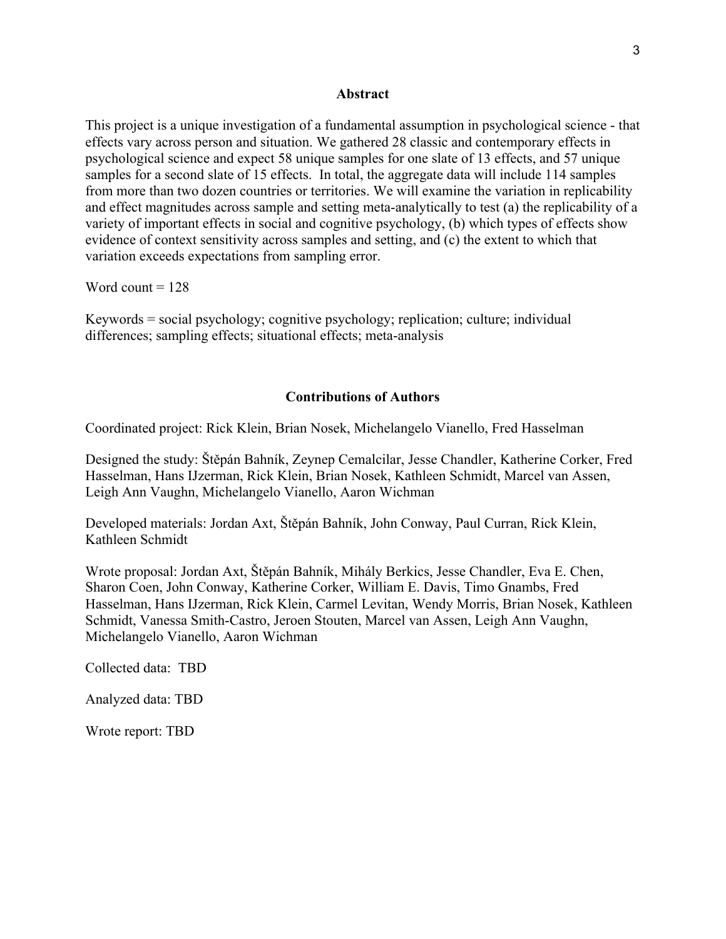#### **Abstract**

This project is a unique investigation of a fundamental assumption in psychological science - that effects vary across person and situation. We gathered 28 classic and contemporary effects in psychological science and expect 58 unique samples for one slate of 13 effects, and 57 unique samples for a second slate of 15 effects. In total, the aggregate data will include 114 samples from more than two dozen countries or territories. We will examine the variation in replicability and effect magnitudes across sample and setting meta-analytically to test (a) the replicability of a variety of important effects in social and cognitive psychology, (b) which types of effects show evidence of context sensitivity across samples and setting, and (c) the extent to which that variation exceeds expectations from sampling error.

Word count  $= 128$ 

Keywords = social psychology; cognitive psychology; replication; culture; individual differences; sampling effects; situational effects; meta-analysis

#### **Contributions of Authors**

Coordinated project: Rick Klein, Brian Nosek, Michelangelo Vianello, Fred Hasselman

Designed the study: Štěpán Bahník, Zeynep Cemalcilar, Jesse Chandler, Katherine Corker, Fred Hasselman, Hans IJzerman, Rick Klein, Brian Nosek, Kathleen Schmidt, Marcel van Assen, Leigh Ann Vaughn, Michelangelo Vianello, Aaron Wichman

Developed materials: Jordan Axt, Štěpán Bahník, John Conway, Paul Curran, Rick Klein, Kathleen Schmidt

Wrote proposal: Jordan Axt, Štěpán Bahník, Mihály Berkics, Jesse Chandler, Eva E. Chen, Sharon Coen, John Conway, Katherine Corker, William E. Davis, Timo Gnambs, Fred Hasselman, Hans IJzerman, Rick Klein, Carmel Levitan, Wendy Morris, Brian Nosek, Kathleen Schmidt, Vanessa Smith-Castro, Jeroen Stouten, Marcel van Assen, Leigh Ann Vaughn, Michelangelo Vianello, Aaron Wichman

Collected data: TBD

Analyzed data: TBD

Wrote report: TBD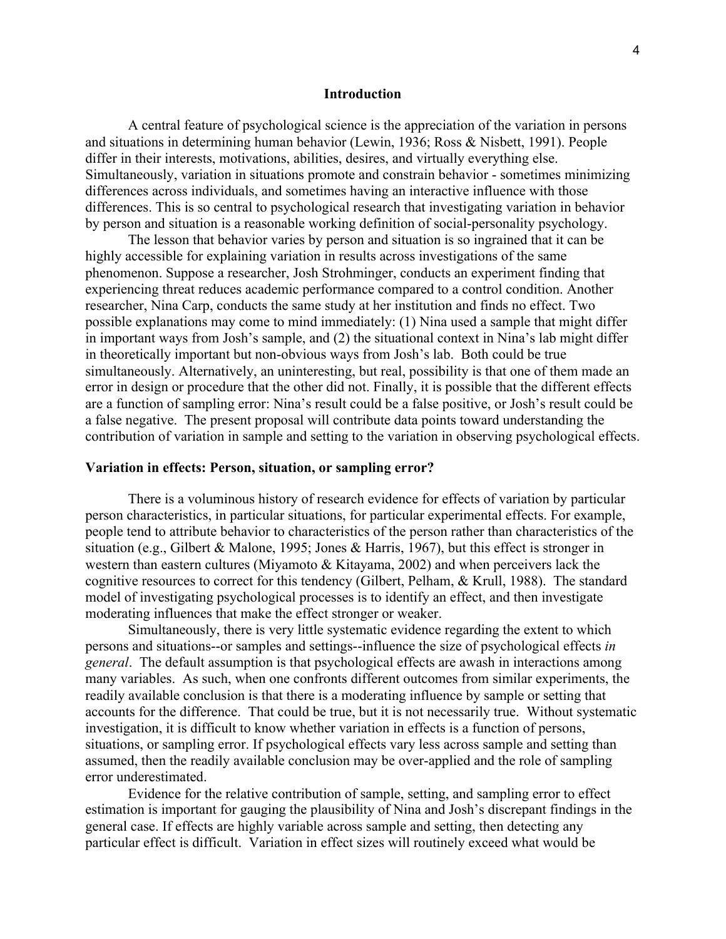#### **Introduction**

A central feature of psychological science is the appreciation of the variation in persons and situations in determining human behavior (Lewin, 1936; Ross & Nisbett, 1991). People differ in their interests, motivations, abilities, desires, and virtually everything else. Simultaneously, variation in situations promote and constrain behavior - sometimes minimizing differences across individuals, and sometimes having an interactive influence with those differences. This is so central to psychological research that investigating variation in behavior by person and situation is a reasonable working definition of social-personality psychology.

The lesson that behavior varies by person and situation is so ingrained that it can be highly accessible for explaining variation in results across investigations of the same phenomenon. Suppose a researcher, Josh Strohminger, conducts an experiment finding that experiencing threat reduces academic performance compared to a control condition. Another researcher, Nina Carp, conducts the same study at her institution and finds no effect. Two possible explanations may come to mind immediately: (1) Nina used a sample that might differ in important ways from Josh's sample, and (2) the situational context in Nina's lab might differ in theoretically important but non-obvious ways from Josh's lab. Both could be true simultaneously. Alternatively, an uninteresting, but real, possibility is that one of them made an error in design or procedure that the other did not. Finally, it is possible that the different effects are a function of sampling error: Nina's result could be a false positive, or Josh's result could be a false negative. The present proposal will contribute data points toward understanding the contribution of variation in sample and setting to the variation in observing psychological effects.

#### **Variation in effects: Person, situation, or sampling error?**

There is a voluminous history of research evidence for effects of variation by particular person characteristics, in particular situations, for particular experimental effects. For example, people tend to attribute behavior to characteristics of the person rather than characteristics of the situation (e.g., Gilbert & Malone, 1995; Jones & Harris, 1967), but this effect is stronger in western than eastern cultures (Miyamoto & Kitayama, 2002) and when perceivers lack the cognitive resources to correct for this tendency (Gilbert, Pelham, & Krull, 1988). The standard model of investigating psychological processes is to identify an effect, and then investigate moderating influences that make the effect stronger or weaker.

Simultaneously, there is very little systematic evidence regarding the extent to which persons and situations--or samples and settings--influence the size of psychological effects *in general*. The default assumption is that psychological effects are awash in interactions among many variables. As such, when one confronts different outcomes from similar experiments, the readily available conclusion is that there is a moderating influence by sample or setting that accounts for the difference. That could be true, but it is not necessarily true. Without systematic investigation, it is difficult to know whether variation in effects is a function of persons, situations, or sampling error. If psychological effects vary less across sample and setting than assumed, then the readily available conclusion may be over-applied and the role of sampling error underestimated.

Evidence for the relative contribution of sample, setting, and sampling error to effect estimation is important for gauging the plausibility of Nina and Josh's discrepant findings in the general case. If effects are highly variable across sample and setting, then detecting any particular effect is difficult. Variation in effect sizes will routinely exceed what would be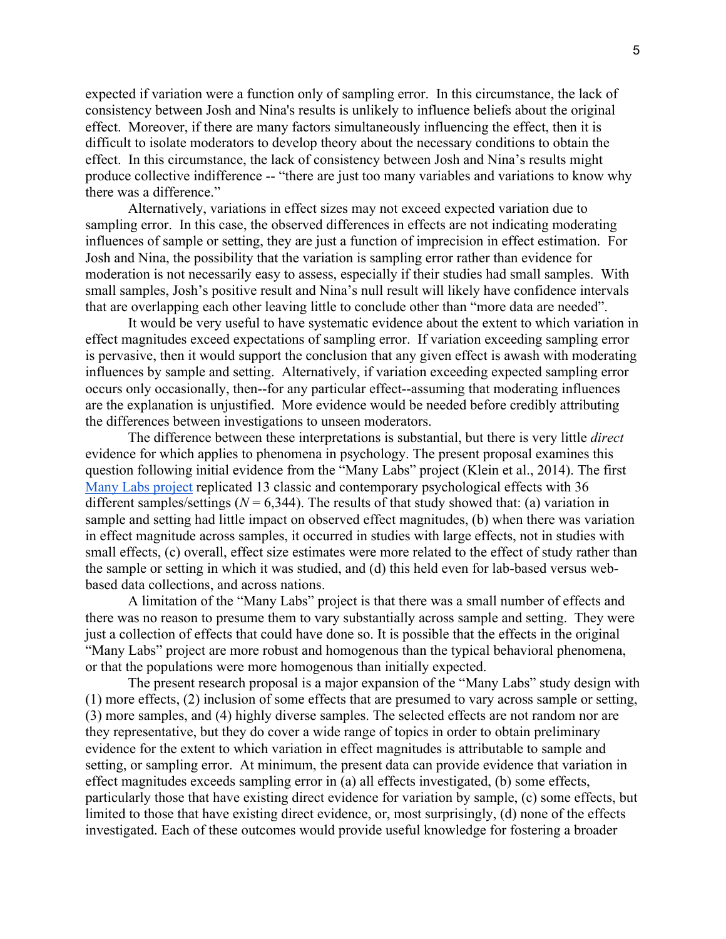expected if variation were a function only of sampling error. In this circumstance, the lack of consistency between Josh and Nina's results is unlikely to influence beliefs about the original effect. Moreover, if there are many factors simultaneously influencing the effect, then it is difficult to isolate moderators to develop theory about the necessary conditions to obtain the effect. In this circumstance, the lack of consistency between Josh and Nina's results might produce collective indifference -- "there are just too many variables and variations to know why there was a difference."

Alternatively, variations in effect sizes may not exceed expected variation due to sampling error. In this case, the observed differences in effects are not indicating moderating influences of sample or setting, they are just a function of imprecision in effect estimation. For Josh and Nina, the possibility that the variation is sampling error rather than evidence for moderation is not necessarily easy to assess, especially if their studies had small samples. With small samples, Josh's positive result and Nina's null result will likely have confidence intervals that are overlapping each other leaving little to conclude other than "more data are needed".

It would be very useful to have systematic evidence about the extent to which variation in effect magnitudes exceed expectations of sampling error. If variation exceeding sampling error is pervasive, then it would support the conclusion that any given effect is awash with moderating influences by sample and setting. Alternatively, if variation exceeding expected sampling error occurs only occasionally, then--for any particular effect--assuming that moderating influences are the explanation is unjustified. More evidence would be needed before credibly attributing the differences between investigations to unseen moderators.

The difference between these interpretations is substantial, but there is very little *direct* evidence for which applies to phenomena in psychology. The present proposal examines this question following initial evidence from the "Many Labs" project (Klein et al., 2014). The first Many Labs project replicated 13 classic and contemporary psychological effects with 36 different samples/settings  $(N = 6,344)$ . The results of that study showed that: (a) variation in sample and setting had little impact on observed effect magnitudes, (b) when there was variation in effect magnitude across samples, it occurred in studies with large effects, not in studies with small effects, (c) overall, effect size estimates were more related to the effect of study rather than the sample or setting in which it was studied, and (d) this held even for lab-based versus webbased data collections, and across nations.

A limitation of the "Many Labs" project is that there was a small number of effects and there was no reason to presume them to vary substantially across sample and setting. They were just a collection of effects that could have done so. It is possible that the effects in the original "Many Labs" project are more robust and homogenous than the typical behavioral phenomena, or that the populations were more homogenous than initially expected.

The present research proposal is a major expansion of the "Many Labs" study design with (1) more effects, (2) inclusion of some effects that are presumed to vary across sample or setting, (3) more samples, and (4) highly diverse samples. The selected effects are not random nor are they representative, but they do cover a wide range of topics in order to obtain preliminary evidence for the extent to which variation in effect magnitudes is attributable to sample and setting, or sampling error. At minimum, the present data can provide evidence that variation in effect magnitudes exceeds sampling error in (a) all effects investigated, (b) some effects, particularly those that have existing direct evidence for variation by sample, (c) some effects, but limited to those that have existing direct evidence, or, most surprisingly, (d) none of the effects investigated. Each of these outcomes would provide useful knowledge for fostering a broader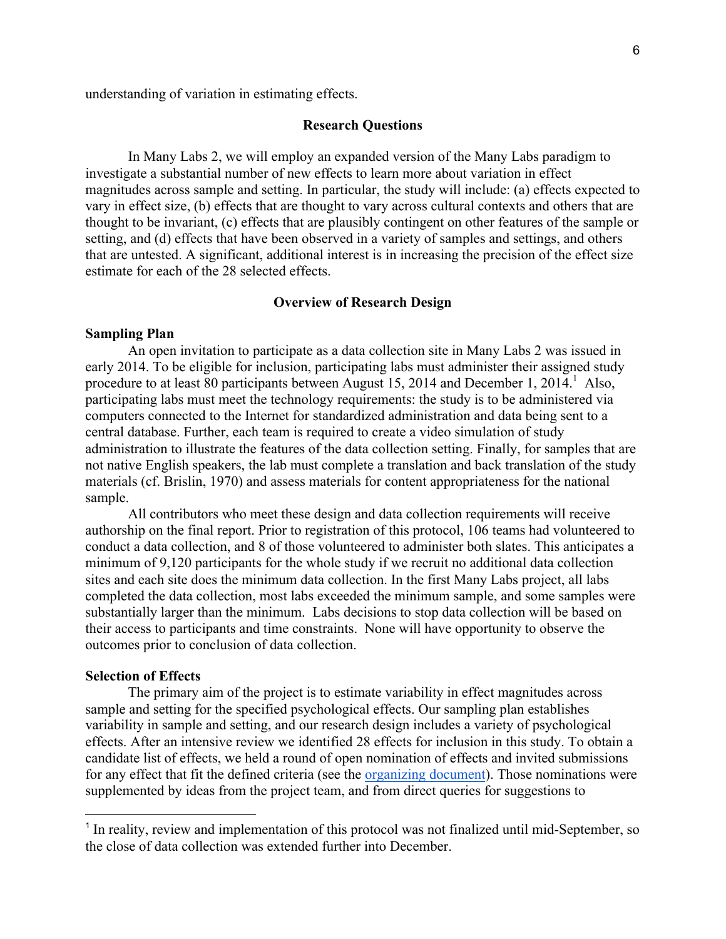understanding of variation in estimating effects.

#### **Research Questions**

In Many Labs 2, we will employ an expanded version of the Many Labs paradigm to investigate a substantial number of new effects to learn more about variation in effect magnitudes across sample and setting. In particular, the study will include: (a) effects expected to vary in effect size, (b) effects that are thought to vary across cultural contexts and others that are thought to be invariant, (c) effects that are plausibly contingent on other features of the sample or setting, and (d) effects that have been observed in a variety of samples and settings, and others that are untested. A significant, additional interest is in increasing the precision of the effect size estimate for each of the 28 selected effects.

#### **Overview of Research Design**

#### **Sampling Plan**

An open invitation to participate as a data collection site in Many Labs 2 was issued in early 2014. To be eligible for inclusion, participating labs must administer their assigned study procedure to at least 80 participants between August 15, 2014 and December 1, 2014.<sup>1</sup> Also, participating labs must meet the technology requirements: the study is to be administered via computers connected to the Internet for standardized administration and data being sent to a central database. Further, each team is required to create a video simulation of study administration to illustrate the features of the data collection setting. Finally, for samples that are not native English speakers, the lab must complete a translation and back translation of the study materials (cf. Brislin, 1970) and assess materials for content appropriateness for the national sample.

All contributors who meet these design and data collection requirements will receive authorship on the final report. Prior to registration of this protocol, 106 teams had volunteered to conduct a data collection, and 8 of those volunteered to administer both slates. This anticipates a minimum of 9,120 participants for the whole study if we recruit no additional data collection sites and each site does the minimum data collection. In the first Many Labs project, all labs completed the data collection, most labs exceeded the minimum sample, and some samples were substantially larger than the minimum. Labs decisions to stop data collection will be based on their access to participants and time constraints. None will have opportunity to observe the outcomes prior to conclusion of data collection.

#### **Selection of Effects**

The primary aim of the project is to estimate variability in effect magnitudes across sample and setting for the specified psychological effects. Our sampling plan establishes variability in sample and setting, and our research design includes a variety of psychological effects. After an intensive review we identified 28 effects for inclusion in this study. To obtain a candidate list of effects, we held a round of open nomination of effects and invited submissions for any effect that fit the defined criteria (see the organizing document). Those nominations were supplemented by ideas from the project team, and from direct queries for suggestions to

<sup>&</sup>lt;sup>1</sup> In reality, review and implementation of this protocol was not finalized until mid-September, so the close of data collection was extended further into December.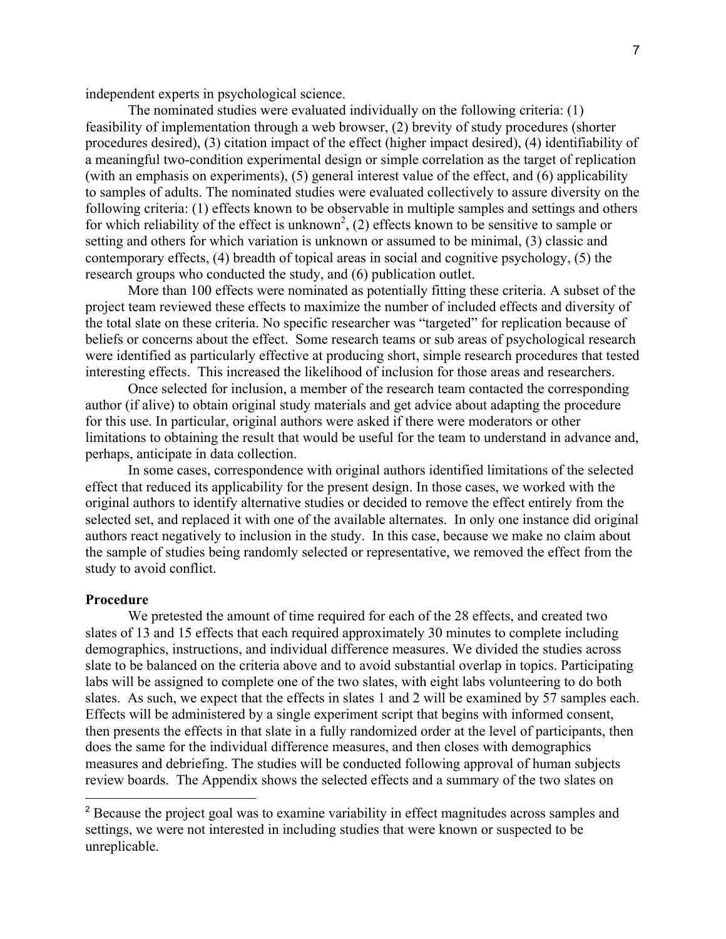independent experts in psychological science.

The nominated studies were evaluated individually on the following criteria: (1) feasibility of implementation through a web browser, (2) brevity of study procedures (shorter procedures desired), (3) citation impact of the effect (higher impact desired), (4) identifiability of a meaningful two-condition experimental design or simple correlation as the target of replication (with an emphasis on experiments), (5) general interest value of the effect, and (6) applicability to samples of adults. The nominated studies were evaluated collectively to assure diversity on the following criteria: (1) effects known to be observable in multiple samples and settings and others for which reliability of the effect is unknown<sup>2</sup>, (2) effects known to be sensitive to sample or setting and others for which variation is unknown or assumed to be minimal, (3) classic and contemporary effects, (4) breadth of topical areas in social and cognitive psychology, (5) the research groups who conducted the study, and (6) publication outlet.

More than 100 effects were nominated as potentially fitting these criteria. A subset of the project team reviewed these effects to maximize the number of included effects and diversity of the total slate on these criteria. No specific researcher was "targeted" for replication because of beliefs or concerns about the effect. Some research teams or sub areas of psychological research were identified as particularly effective at producing short, simple research procedures that tested interesting effects. This increased the likelihood of inclusion for those areas and researchers.

Once selected for inclusion, a member of the research team contacted the corresponding author (if alive) to obtain original study materials and get advice about adapting the procedure for this use. In particular, original authors were asked if there were moderators or other limitations to obtaining the result that would be useful for the team to understand in advance and, perhaps, anticipate in data collection.

In some cases, correspondence with original authors identified limitations of the selected effect that reduced its applicability for the present design. In those cases, we worked with the original authors to identify alternative studies or decided to remove the effect entirely from the selected set, and replaced it with one of the available alternates. In only one instance did original authors react negatively to inclusion in the study. In this case, because we make no claim about the sample of studies being randomly selected or representative, we removed the effect from the study to avoid conflict.

#### **Procedure**

We pretested the amount of time required for each of the 28 effects, and created two slates of 13 and 15 effects that each required approximately 30 minutes to complete including demographics, instructions, and individual difference measures. We divided the studies across slate to be balanced on the criteria above and to avoid substantial overlap in topics. Participating labs will be assigned to complete one of the two slates, with eight labs volunteering to do both slates. As such, we expect that the effects in slates 1 and 2 will be examined by 57 samples each. Effects will be administered by a single experiment script that begins with informed consent, then presents the effects in that slate in a fully randomized order at the level of participants, then does the same for the individual difference measures, and then closes with demographics measures and debriefing. The studies will be conducted following approval of human subjects review boards. The Appendix shows the selected effects and a summary of the two slates on

<sup>&</sup>lt;sup>2</sup> Because the project goal was to examine variability in effect magnitudes across samples and settings, we were not interested in including studies that were known or suspected to be unreplicable.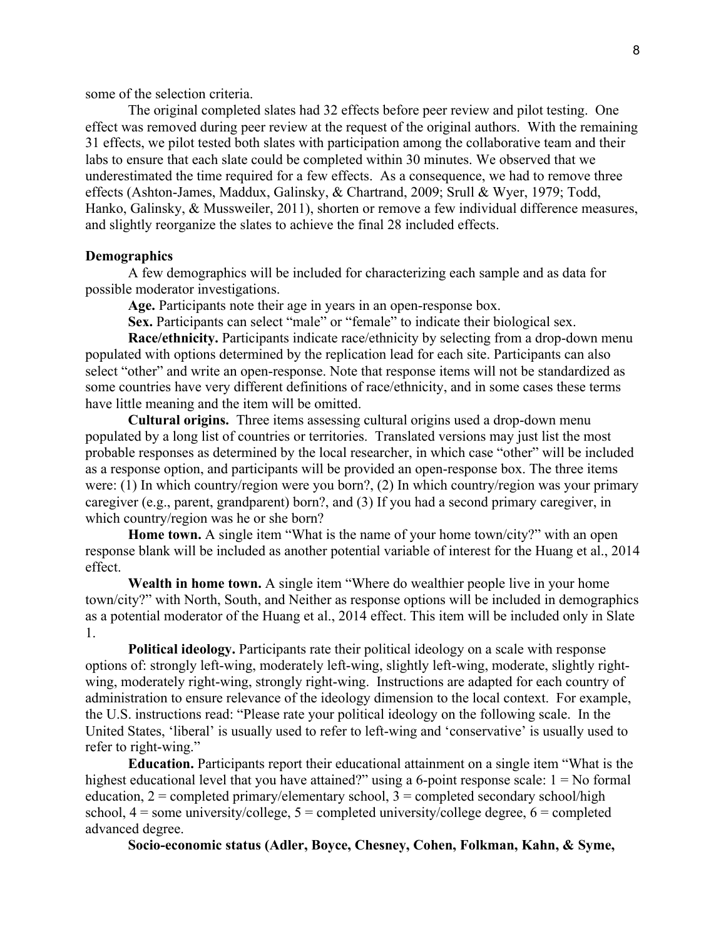some of the selection criteria.

The original completed slates had 32 effects before peer review and pilot testing. One effect was removed during peer review at the request of the original authors. With the remaining 31 effects, we pilot tested both slates with participation among the collaborative team and their labs to ensure that each slate could be completed within 30 minutes. We observed that we underestimated the time required for a few effects. As a consequence, we had to remove three effects (Ashton-James, Maddux, Galinsky, & Chartrand, 2009; Srull & Wyer, 1979; Todd, Hanko, Galinsky, & Mussweiler, 2011), shorten or remove a few individual difference measures, and slightly reorganize the slates to achieve the final 28 included effects.

#### **Demographics**

A few demographics will be included for characterizing each sample and as data for possible moderator investigations.

**Age.** Participants note their age in years in an open-response box.

**Sex.** Participants can select "male" or "female" to indicate their biological sex.

**Race/ethnicity.** Participants indicate race/ethnicity by selecting from a drop-down menu populated with options determined by the replication lead for each site. Participants can also select "other" and write an open-response. Note that response items will not be standardized as some countries have very different definitions of race/ethnicity, and in some cases these terms have little meaning and the item will be omitted.

**Cultural origins.** Three items assessing cultural origins used a drop-down menu populated by a long list of countries or territories. Translated versions may just list the most probable responses as determined by the local researcher, in which case "other" will be included as a response option, and participants will be provided an open-response box. The three items were: (1) In which country/region were you born?, (2) In which country/region was your primary caregiver (e.g., parent, grandparent) born?, and (3) If you had a second primary caregiver, in which country/region was he or she born?

**Home town.** A single item "What is the name of your home town/city?" with an open response blank will be included as another potential variable of interest for the Huang et al., 2014 effect.

**Wealth in home town.** A single item "Where do wealthier people live in your home town/city?" with North, South, and Neither as response options will be included in demographics as a potential moderator of the Huang et al., 2014 effect. This item will be included only in Slate 1.

**Political ideology.** Participants rate their political ideology on a scale with response options of: strongly left-wing, moderately left-wing, slightly left-wing, moderate, slightly rightwing, moderately right-wing, strongly right-wing. Instructions are adapted for each country of administration to ensure relevance of the ideology dimension to the local context. For example, the U.S. instructions read: "Please rate your political ideology on the following scale. In the United States, 'liberal' is usually used to refer to left-wing and 'conservative' is usually used to refer to right-wing."

**Education.** Participants report their educational attainment on a single item "What is the highest educational level that you have attained?" using a 6-point response scale:  $1 = No$  formal education,  $2 =$  completed primary/elementary school,  $3 =$  completed secondary school/high school,  $4 =$ some university/college,  $5 =$ completed university/college degree,  $6 =$ completed advanced degree.

**Socio-economic status (Adler, Boyce, Chesney, Cohen, Folkman, Kahn, & Syme,**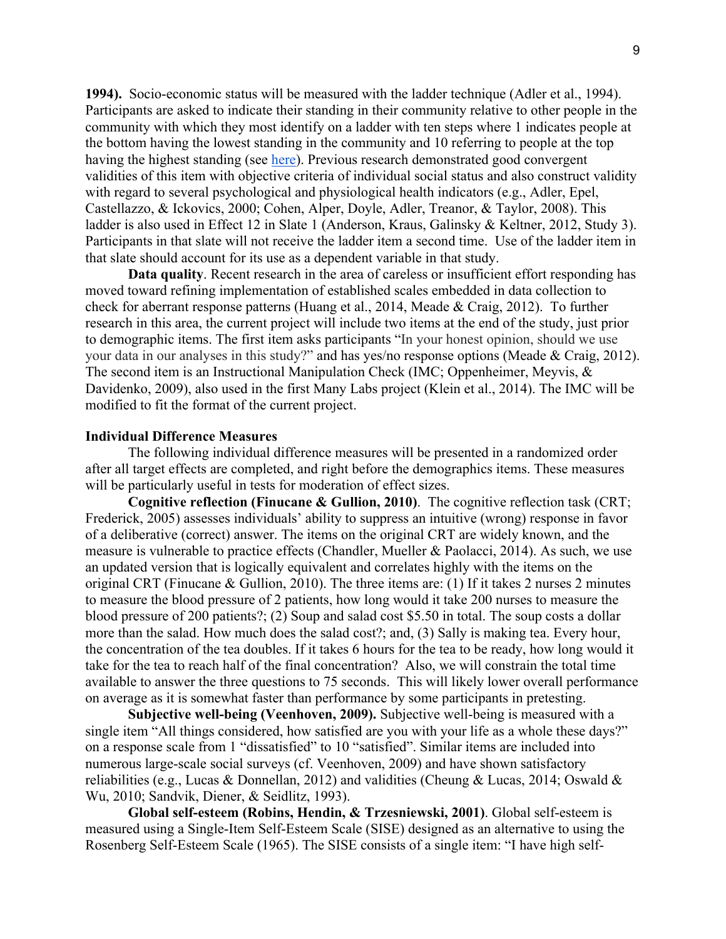**1994).** Socio-economic status will be measured with the ladder technique (Adler et al., 1994). Participants are asked to indicate their standing in their community relative to other people in the community with which they most identify on a ladder with ten steps where 1 indicates people at the bottom having the lowest standing in the community and 10 referring to people at the top having the highest standing (see here). Previous research demonstrated good convergent validities of this item with objective criteria of individual social status and also construct validity with regard to several psychological and physiological health indicators (e.g., Adler, Epel, Castellazzo, & Ickovics, 2000; Cohen, Alper, Doyle, Adler, Treanor, & Taylor, 2008). This ladder is also used in Effect 12 in Slate 1 (Anderson, Kraus, Galinsky & Keltner, 2012, Study 3). Participants in that slate will not receive the ladder item a second time. Use of the ladder item in that slate should account for its use as a dependent variable in that study.

**Data quality**. Recent research in the area of careless or insufficient effort responding has moved toward refining implementation of established scales embedded in data collection to check for aberrant response patterns (Huang et al., 2014, Meade & Craig, 2012). To further research in this area, the current project will include two items at the end of the study, just prior to demographic items. The first item asks participants "In your honest opinion, should we use your data in our analyses in this study?" and has yes/no response options (Meade & Craig, 2012). The second item is an Instructional Manipulation Check (IMC; Oppenheimer, Meyvis, & Davidenko, 2009), also used in the first Many Labs project (Klein et al., 2014). The IMC will be modified to fit the format of the current project.

#### **Individual Difference Measures**

The following individual difference measures will be presented in a randomized order after all target effects are completed, and right before the demographics items. These measures will be particularly useful in tests for moderation of effect sizes.

**Cognitive reflection (Finucane & Gullion, 2010)**. The cognitive reflection task (CRT; Frederick, 2005) assesses individuals' ability to suppress an intuitive (wrong) response in favor of a deliberative (correct) answer. The items on the original CRT are widely known, and the measure is vulnerable to practice effects (Chandler, Mueller & Paolacci, 2014). As such, we use an updated version that is logically equivalent and correlates highly with the items on the original CRT (Finucane & Gullion, 2010). The three items are: (1) If it takes 2 nurses 2 minutes to measure the blood pressure of 2 patients, how long would it take 200 nurses to measure the blood pressure of 200 patients?; (2) Soup and salad cost \$5.50 in total. The soup costs a dollar more than the salad. How much does the salad cost?; and, (3) Sally is making tea. Every hour, the concentration of the tea doubles. If it takes 6 hours for the tea to be ready, how long would it take for the tea to reach half of the final concentration? Also, we will constrain the total time available to answer the three questions to 75 seconds. This will likely lower overall performance on average as it is somewhat faster than performance by some participants in pretesting.

**Subjective well-being (Veenhoven, 2009).** Subjective well-being is measured with a single item "All things considered, how satisfied are you with your life as a whole these days?" on a response scale from 1 "dissatisfied" to 10 "satisfied". Similar items are included into numerous large-scale social surveys (cf. Veenhoven, 2009) and have shown satisfactory reliabilities (e.g., Lucas & Donnellan, 2012) and validities (Cheung & Lucas, 2014; Oswald & Wu, 2010; Sandvik, Diener, & Seidlitz, 1993).

**Global self-esteem (Robins, Hendin, & Trzesniewski, 2001)**. Global self-esteem is measured using a Single-Item Self-Esteem Scale (SISE) designed as an alternative to using the Rosenberg Self-Esteem Scale (1965). The SISE consists of a single item: "I have high self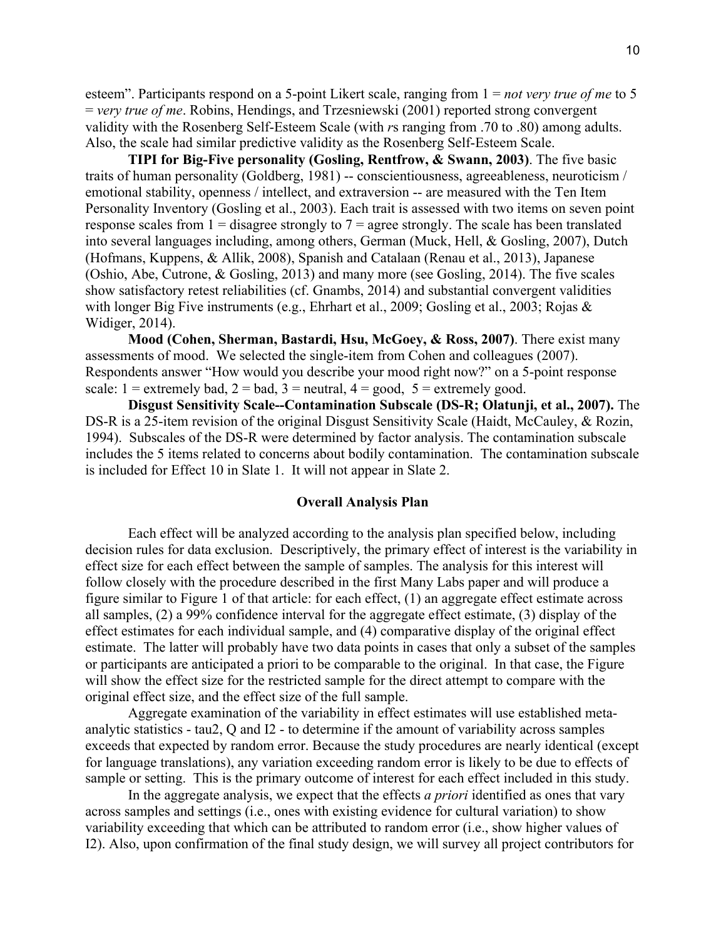esteem". Participants respond on a 5-point Likert scale, ranging from 1 = *not very true of me* to 5 = *very true of me*. Robins, Hendings, and Trzesniewski (2001) reported strong convergent validity with the Rosenberg Self-Esteem Scale (with *r*s ranging from .70 to .80) among adults. Also, the scale had similar predictive validity as the Rosenberg Self-Esteem Scale.

**TIPI for Big-Five personality (Gosling, Rentfrow, & Swann, 2003)**. The five basic traits of human personality (Goldberg, 1981) -- conscientiousness, agreeableness, neuroticism / emotional stability, openness / intellect, and extraversion -- are measured with the Ten Item Personality Inventory (Gosling et al., 2003). Each trait is assessed with two items on seven point response scales from  $1 =$  disagree strongly to  $7 =$  agree strongly. The scale has been translated into several languages including, among others, German (Muck, Hell, & Gosling, 2007), Dutch (Hofmans, Kuppens, & Allik, 2008), Spanish and Catalaan (Renau et al., 2013), Japanese (Oshio, Abe, Cutrone, & Gosling, 2013) and many more (see Gosling, 2014). The five scales show satisfactory retest reliabilities (cf. Gnambs, 2014) and substantial convergent validities with longer Big Five instruments (e.g., Ehrhart et al., 2009; Gosling et al., 2003; Rojas & Widiger, 2014).

**Mood (Cohen, Sherman, Bastardi, Hsu, McGoey, & Ross, 2007)**. There exist many assessments of mood. We selected the single-item from Cohen and colleagues (2007). Respondents answer "How would you describe your mood right now?" on a 5-point response scale:  $1 =$  extremely bad,  $2 =$  bad,  $3 =$  neutral,  $4 =$  good,  $5 =$  extremely good.

**Disgust Sensitivity Scale--Contamination Subscale (DS-R; Olatunji, et al., 2007).** The DS-R is a 25-item revision of the original Disgust Sensitivity Scale (Haidt, McCauley, & Rozin, 1994). Subscales of the DS-R were determined by factor analysis. The contamination subscale includes the 5 items related to concerns about bodily contamination. The contamination subscale is included for Effect 10 in Slate 1. It will not appear in Slate 2.

#### **Overall Analysis Plan**

Each effect will be analyzed according to the analysis plan specified below, including decision rules for data exclusion. Descriptively, the primary effect of interest is the variability in effect size for each effect between the sample of samples. The analysis for this interest will follow closely with the procedure described in the first Many Labs paper and will produce a figure similar to Figure 1 of that article: for each effect, (1) an aggregate effect estimate across all samples, (2) a 99% confidence interval for the aggregate effect estimate, (3) display of the effect estimates for each individual sample, and (4) comparative display of the original effect estimate. The latter will probably have two data points in cases that only a subset of the samples or participants are anticipated a priori to be comparable to the original. In that case, the Figure will show the effect size for the restricted sample for the direct attempt to compare with the original effect size, and the effect size of the full sample.

Aggregate examination of the variability in effect estimates will use established metaanalytic statistics - tau2, Q and I2 - to determine if the amount of variability across samples exceeds that expected by random error. Because the study procedures are nearly identical (except for language translations), any variation exceeding random error is likely to be due to effects of sample or setting. This is the primary outcome of interest for each effect included in this study.

In the aggregate analysis, we expect that the effects *a priori* identified as ones that vary across samples and settings (i.e., ones with existing evidence for cultural variation) to show variability exceeding that which can be attributed to random error (i.e., show higher values of I2). Also, upon confirmation of the final study design, we will survey all project contributors for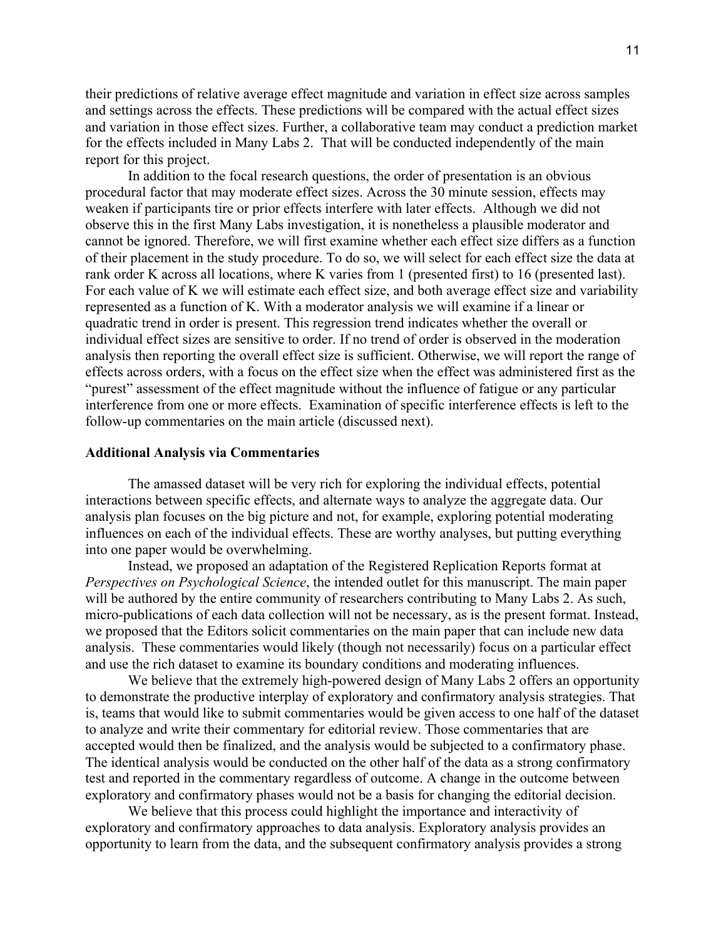their predictions of relative average effect magnitude and variation in effect size across samples and settings across the effects. These predictions will be compared with the actual effect sizes and variation in those effect sizes. Further, a collaborative team may conduct a prediction market for the effects included in Many Labs 2. That will be conducted independently of the main report for this project.

In addition to the focal research questions, the order of presentation is an obvious procedural factor that may moderate effect sizes. Across the 30 minute session, effects may weaken if participants tire or prior effects interfere with later effects. Although we did not observe this in the first Many Labs investigation, it is nonetheless a plausible moderator and cannot be ignored. Therefore, we will first examine whether each effect size differs as a function of their placement in the study procedure. To do so, we will select for each effect size the data at rank order K across all locations, where K varies from 1 (presented first) to 16 (presented last). For each value of K we will estimate each effect size, and both average effect size and variability represented as a function of K. With a moderator analysis we will examine if a linear or quadratic trend in order is present. This regression trend indicates whether the overall or individual effect sizes are sensitive to order. If no trend of order is observed in the moderation analysis then reporting the overall effect size is sufficient. Otherwise, we will report the range of effects across orders, with a focus on the effect size when the effect was administered first as the "purest" assessment of the effect magnitude without the influence of fatigue or any particular interference from one or more effects. Examination of specific interference effects is left to the follow-up commentaries on the main article (discussed next).

#### **Additional Analysis via Commentaries**

The amassed dataset will be very rich for exploring the individual effects, potential interactions between specific effects, and alternate ways to analyze the aggregate data. Our analysis plan focuses on the big picture and not, for example, exploring potential moderating influences on each of the individual effects. These are worthy analyses, but putting everything into one paper would be overwhelming.

Instead, we proposed an adaptation of the Registered Replication Reports format at *Perspectives on Psychological Science*, the intended outlet for this manuscript. The main paper will be authored by the entire community of researchers contributing to Many Labs 2. As such, micro-publications of each data collection will not be necessary, as is the present format. Instead, we proposed that the Editors solicit commentaries on the main paper that can include new data analysis. These commentaries would likely (though not necessarily) focus on a particular effect and use the rich dataset to examine its boundary conditions and moderating influences.

We believe that the extremely high-powered design of Many Labs 2 offers an opportunity to demonstrate the productive interplay of exploratory and confirmatory analysis strategies. That is, teams that would like to submit commentaries would be given access to one half of the dataset to analyze and write their commentary for editorial review. Those commentaries that are accepted would then be finalized, and the analysis would be subjected to a confirmatory phase. The identical analysis would be conducted on the other half of the data as a strong confirmatory test and reported in the commentary regardless of outcome. A change in the outcome between exploratory and confirmatory phases would not be a basis for changing the editorial decision.

We believe that this process could highlight the importance and interactivity of exploratory and confirmatory approaches to data analysis. Exploratory analysis provides an opportunity to learn from the data, and the subsequent confirmatory analysis provides a strong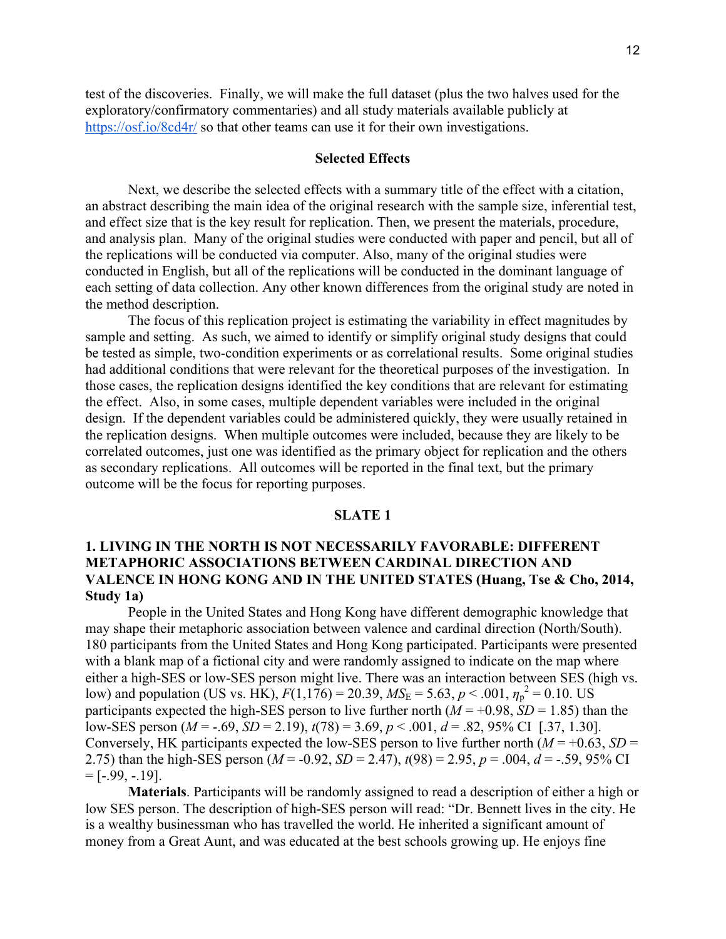test of the discoveries. Finally, we will make the full dataset (plus the two halves used for the exploratory/confirmatory commentaries) and all study materials available publicly at https://osf.io/8cd4r/ so that other teams can use it for their own investigations.

### **Selected Effects**

Next, we describe the selected effects with a summary title of the effect with a citation, an abstract describing the main idea of the original research with the sample size, inferential test, and effect size that is the key result for replication. Then, we present the materials, procedure, and analysis plan. Many of the original studies were conducted with paper and pencil, but all of the replications will be conducted via computer. Also, many of the original studies were conducted in English, but all of the replications will be conducted in the dominant language of each setting of data collection. Any other known differences from the original study are noted in the method description.

The focus of this replication project is estimating the variability in effect magnitudes by sample and setting. As such, we aimed to identify or simplify original study designs that could be tested as simple, two-condition experiments or as correlational results. Some original studies had additional conditions that were relevant for the theoretical purposes of the investigation. In those cases, the replication designs identified the key conditions that are relevant for estimating the effect. Also, in some cases, multiple dependent variables were included in the original design. If the dependent variables could be administered quickly, they were usually retained in the replication designs. When multiple outcomes were included, because they are likely to be correlated outcomes, just one was identified as the primary object for replication and the others as secondary replications. All outcomes will be reported in the final text, but the primary outcome will be the focus for reporting purposes.

#### **SLATE 1**

### **1. LIVING IN THE NORTH IS NOT NECESSARILY FAVORABLE: DIFFERENT METAPHORIC ASSOCIATIONS BETWEEN CARDINAL DIRECTION AND VALENCE IN HONG KONG AND IN THE UNITED STATES (Huang, Tse & Cho, 2014, Study 1a)**

People in the United States and Hong Kong have different demographic knowledge that may shape their metaphoric association between valence and cardinal direction (North/South). 180 participants from the United States and Hong Kong participated. Participants were presented with a blank map of a fictional city and were randomly assigned to indicate on the map where either a high-SES or low-SES person might live. There was an interaction between SES (high vs. low) and population (US vs. HK),  $F(1,176) = 20.39$ ,  $MS_E = 5.63$ ,  $p < .001$ ,  $\eta_p^2 = 0.10$ . US participants expected the high-SES person to live further north  $(M = +0.98, SD = 1.85)$  than the low-SES person ( $M = -0.69$ ,  $SD = 2.19$ ),  $t(78) = 3.69$ ,  $p < 0.001$ ,  $d = 0.82$ ,  $95\%$  CI [.37, 1.30]. Conversely, HK participants expected the low-SES person to live further north ( $M = +0.63$ ,  $SD =$ 2.75) than the high-SES person ( $M = -0.92$ ,  $SD = 2.47$ ),  $t(98) = 2.95$ ,  $p = .004$ ,  $d = -.59$ , 95% CI  $=[-.99, -.19].$ 

**Materials**. Participants will be randomly assigned to read a description of either a high or low SES person. The description of high-SES person will read: "Dr. Bennett lives in the city. He is a wealthy businessman who has travelled the world. He inherited a significant amount of money from a Great Aunt, and was educated at the best schools growing up. He enjoys fine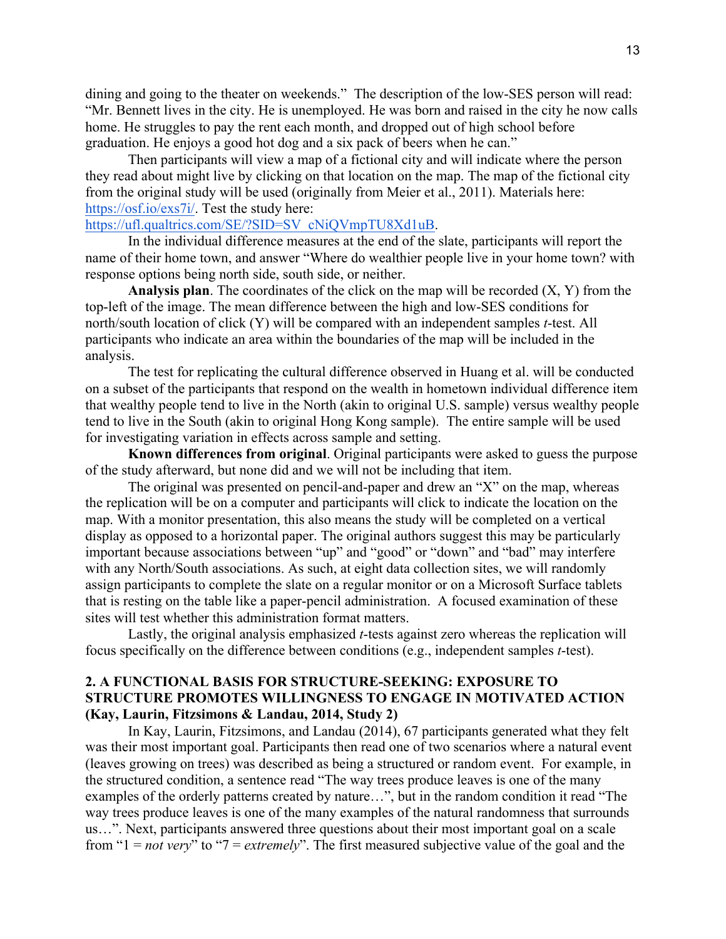dining and going to the theater on weekends." The description of the low-SES person will read: "Mr. Bennett lives in the city. He is unemployed. He was born and raised in the city he now calls home. He struggles to pay the rent each month, and dropped out of high school before graduation. He enjoys a good hot dog and a six pack of beers when he can."

Then participants will view a map of a fictional city and will indicate where the person they read about might live by clicking on that location on the map. The map of the fictional city from the original study will be used (originally from Meier et al., 2011). Materials here: https://osf.io/exs7i/. Test the study here:

#### https://ufl.qualtrics.com/SE/?SID=SV\_cNiQVmpTU8Xd1uB.

In the individual difference measures at the end of the slate, participants will report the name of their home town, and answer "Where do wealthier people live in your home town? with response options being north side, south side, or neither.

**Analysis plan**. The coordinates of the click on the map will be recorded (X, Y) from the top-left of the image. The mean difference between the high and low-SES conditions for north/south location of click (Y) will be compared with an independent samples *t*-test. All participants who indicate an area within the boundaries of the map will be included in the analysis.

The test for replicating the cultural difference observed in Huang et al. will be conducted on a subset of the participants that respond on the wealth in hometown individual difference item that wealthy people tend to live in the North (akin to original U.S. sample) versus wealthy people tend to live in the South (akin to original Hong Kong sample). The entire sample will be used for investigating variation in effects across sample and setting.

**Known differences from original**. Original participants were asked to guess the purpose of the study afterward, but none did and we will not be including that item.

The original was presented on pencil-and-paper and drew an "X" on the map, whereas the replication will be on a computer and participants will click to indicate the location on the map. With a monitor presentation, this also means the study will be completed on a vertical display as opposed to a horizontal paper. The original authors suggest this may be particularly important because associations between "up" and "good" or "down" and "bad" may interfere with any North/South associations. As such, at eight data collection sites, we will randomly assign participants to complete the slate on a regular monitor or on a Microsoft Surface tablets that is resting on the table like a paper-pencil administration. A focused examination of these sites will test whether this administration format matters.

Lastly, the original analysis emphasized *t*-tests against zero whereas the replication will focus specifically on the difference between conditions (e.g., independent samples *t*-test).

### **2. A FUNCTIONAL BASIS FOR STRUCTURE-SEEKING: EXPOSURE TO STRUCTURE PROMOTES WILLINGNESS TO ENGAGE IN MOTIVATED ACTION (Kay, Laurin, Fitzsimons & Landau, 2014, Study 2)**

In Kay, Laurin, Fitzsimons, and Landau (2014), 67 participants generated what they felt was their most important goal. Participants then read one of two scenarios where a natural event (leaves growing on trees) was described as being a structured or random event. For example, in the structured condition, a sentence read "The way trees produce leaves is one of the many examples of the orderly patterns created by nature…", but in the random condition it read "The way trees produce leaves is one of the many examples of the natural randomness that surrounds us…". Next, participants answered three questions about their most important goal on a scale from "1 = *not very*" to "7 = *extremely*". The first measured subjective value of the goal and the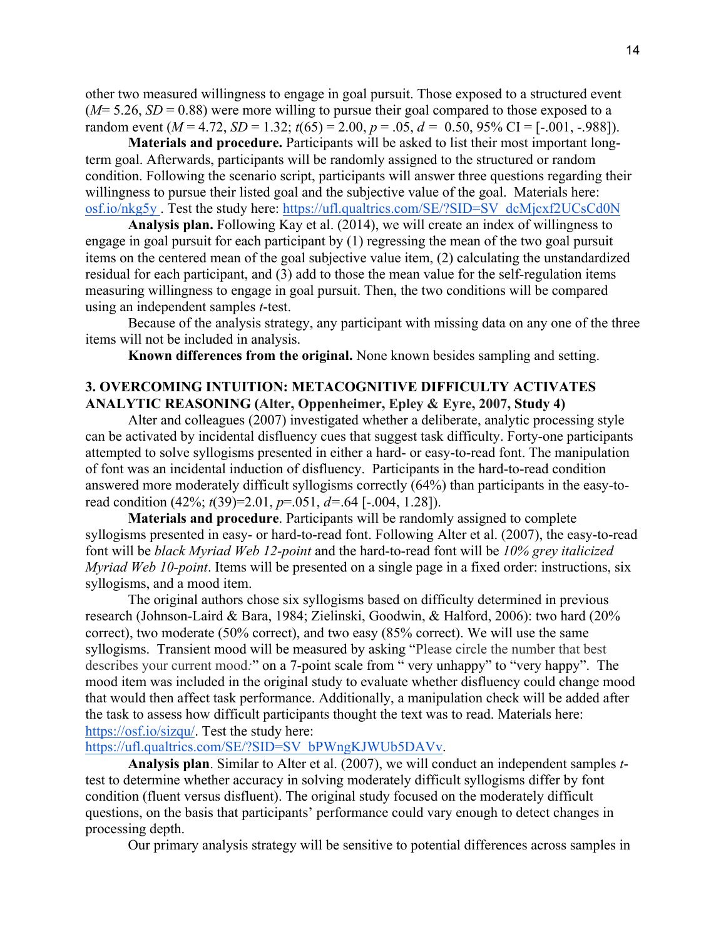other two measured willingness to engage in goal pursuit. Those exposed to a structured event  $(M=5.26, SD=0.88)$  were more willing to pursue their goal compared to those exposed to a random event  $(M = 4.72, SD = 1.32; t(65) = 2.00, p = .05, d = 0.50, 95\% \text{ CI} = [-.001, -.988]).$ 

**Materials and procedure.** Participants will be asked to list their most important longterm goal. Afterwards, participants will be randomly assigned to the structured or random condition. Following the scenario script, participants will answer three questions regarding their willingness to pursue their listed goal and the subjective value of the goal. Materials here: osf.io/nkg5y . Test the study here: https://ufl.qualtrics.com/SE/?SID=SV\_dcMjcxf2UCsCd0N

**Analysis plan.** Following Kay et al. (2014), we will create an index of willingness to engage in goal pursuit for each participant by (1) regressing the mean of the two goal pursuit items on the centered mean of the goal subjective value item, (2) calculating the unstandardized residual for each participant, and (3) add to those the mean value for the self-regulation items measuring willingness to engage in goal pursuit. Then, the two conditions will be compared using an independent samples *t*-test.

Because of the analysis strategy, any participant with missing data on any one of the three items will not be included in analysis.

**Known differences from the original.** None known besides sampling and setting.

### **3. OVERCOMING INTUITION: METACOGNITIVE DIFFICULTY ACTIVATES ANALYTIC REASONING (Alter, Oppenheimer, Epley & Eyre, 2007, Study 4)**

Alter and colleagues (2007) investigated whether a deliberate, analytic processing style can be activated by incidental disfluency cues that suggest task difficulty. Forty-one participants attempted to solve syllogisms presented in either a hard- or easy-to-read font. The manipulation of font was an incidental induction of disfluency. Participants in the hard-to-read condition answered more moderately difficult syllogisms correctly (64%) than participants in the easy-toread condition (42%; *t*(39)=2.01, *p*=.051, *d=*.64 [-.004, 1.28]).

**Materials and procedure**. Participants will be randomly assigned to complete syllogisms presented in easy- or hard-to-read font. Following Alter et al. (2007), the easy-to-read font will be *black Myriad Web 12-point* and the hard-to-read font will be *10% grey italicized Myriad Web 10-point*. Items will be presented on a single page in a fixed order: instructions, six syllogisms, and a mood item.

The original authors chose six syllogisms based on difficulty determined in previous research (Johnson-Laird & Bara, 1984; Zielinski, Goodwin, & Halford, 2006): two hard (20% correct), two moderate (50% correct), and two easy (85% correct). We will use the same syllogisms. Transient mood will be measured by asking "Please circle the number that best describes your current mood*:*" on a 7-point scale from " very unhappy" to "very happy". The mood item was included in the original study to evaluate whether disfluency could change mood that would then affect task performance. Additionally, a manipulation check will be added after the task to assess how difficult participants thought the text was to read. Materials here: https://osf.io/sizqu/. Test the study here:

# https://ufl.qualtrics.com/SE/?SID=SV\_bPWngKJWUb5DAVv.

**Analysis plan**. Similar to Alter et al. (2007), we will conduct an independent samples *t*test to determine whether accuracy in solving moderately difficult syllogisms differ by font condition (fluent versus disfluent). The original study focused on the moderately difficult questions, on the basis that participants' performance could vary enough to detect changes in processing depth.

Our primary analysis strategy will be sensitive to potential differences across samples in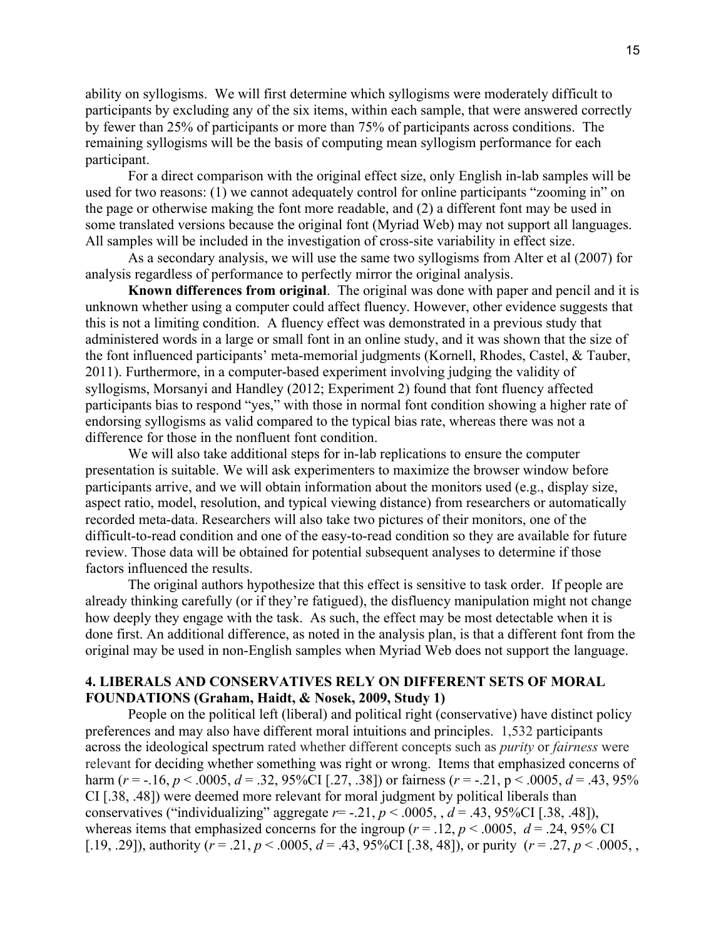ability on syllogisms. We will first determine which syllogisms were moderately difficult to participants by excluding any of the six items, within each sample, that were answered correctly by fewer than 25% of participants or more than 75% of participants across conditions. The remaining syllogisms will be the basis of computing mean syllogism performance for each participant.

For a direct comparison with the original effect size, only English in-lab samples will be used for two reasons: (1) we cannot adequately control for online participants "zooming in" on the page or otherwise making the font more readable, and (2) a different font may be used in some translated versions because the original font (Myriad Web) may not support all languages. All samples will be included in the investigation of cross-site variability in effect size.

As a secondary analysis, we will use the same two syllogisms from Alter et al (2007) for analysis regardless of performance to perfectly mirror the original analysis.

**Known differences from original**. The original was done with paper and pencil and it is unknown whether using a computer could affect fluency. However, other evidence suggests that this is not a limiting condition. A fluency effect was demonstrated in a previous study that administered words in a large or small font in an online study, and it was shown that the size of the font influenced participants' meta-memorial judgments (Kornell, Rhodes, Castel, & Tauber, 2011). Furthermore, in a computer-based experiment involving judging the validity of syllogisms, Morsanyi and Handley (2012; Experiment 2) found that font fluency affected participants bias to respond "yes," with those in normal font condition showing a higher rate of endorsing syllogisms as valid compared to the typical bias rate, whereas there was not a difference for those in the nonfluent font condition.

We will also take additional steps for in-lab replications to ensure the computer presentation is suitable. We will ask experimenters to maximize the browser window before participants arrive, and we will obtain information about the monitors used (e.g., display size, aspect ratio, model, resolution, and typical viewing distance) from researchers or automatically recorded meta-data. Researchers will also take two pictures of their monitors, one of the difficult-to-read condition and one of the easy-to-read condition so they are available for future review. Those data will be obtained for potential subsequent analyses to determine if those factors influenced the results.

The original authors hypothesize that this effect is sensitive to task order. If people are already thinking carefully (or if they're fatigued), the disfluency manipulation might not change how deeply they engage with the task. As such, the effect may be most detectable when it is done first. An additional difference, as noted in the analysis plan, is that a different font from the original may be used in non-English samples when Myriad Web does not support the language.

### **4. LIBERALS AND CONSERVATIVES RELY ON DIFFERENT SETS OF MORAL FOUNDATIONS (Graham, Haidt, & Nosek, 2009, Study 1)**

People on the political left (liberal) and political right (conservative) have distinct policy preferences and may also have different moral intuitions and principles. 1,532 participants across the ideological spectrum rated whether different concepts such as *purity* or *fairness* were relevant for deciding whether something was right or wrong. Items that emphasized concerns of harm ( $r = -16$ ,  $p < .0005$ ,  $d = .32$ , 95%CI [.27, .38]) or fairness ( $r = -0.21$ , p < .0005,  $d = .43$ , 95% CI [.38, .48]) were deemed more relevant for moral judgment by political liberals than conservatives ("individualizing" aggregate  $r = -0.21$ ,  $p < .0005$ ,  $d = .43$ , 95%CI [.38, .48]), whereas items that emphasized concerns for the ingroup ( $r = .12$ ,  $p < .0005$ ,  $d = .24$ , 95% CI [.19, .29]), authority ( $r = .21$ ,  $p < .0005$ ,  $d = .43$ , 95%CI [.38, 48]), or purity ( $r = .27$ ,  $p < .0005$ ,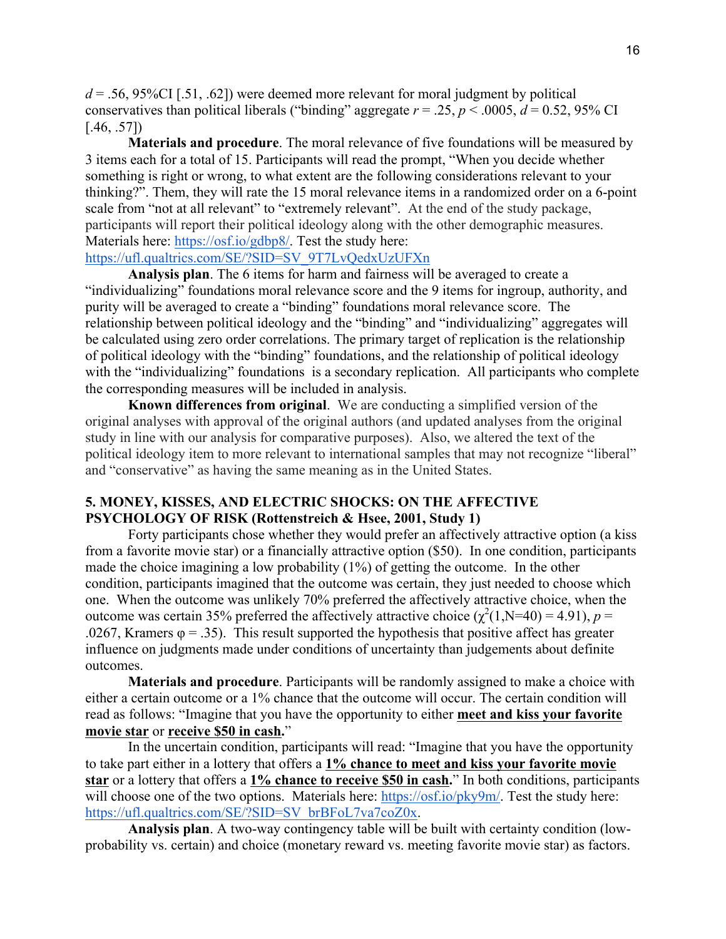$d = 0.56$ , 95%CI [.51, .62]) were deemed more relevant for moral judgment by political conservatives than political liberals ("binding" aggregate  $r = .25$ ,  $p < .0005$ ,  $d = 0.52$ , 95% CI  $[.46, .57]$ 

**Materials and procedure**. The moral relevance of five foundations will be measured by 3 items each for a total of 15. Participants will read the prompt, "When you decide whether something is right or wrong, to what extent are the following considerations relevant to your thinking?". Them, they will rate the 15 moral relevance items in a randomized order on a 6-point scale from "not at all relevant" to "extremely relevant". At the end of the study package, participants will report their political ideology along with the other demographic measures. Materials here: https://osf.io/gdbp8/. Test the study here:

# https://ufl.qualtrics.com/SE/?SID=SV\_9T7LvQedxUzUFXn

**Analysis plan**. The 6 items for harm and fairness will be averaged to create a "individualizing" foundations moral relevance score and the 9 items for ingroup, authority, and purity will be averaged to create a "binding" foundations moral relevance score. The relationship between political ideology and the "binding" and "individualizing" aggregates will be calculated using zero order correlations. The primary target of replication is the relationship of political ideology with the "binding" foundations, and the relationship of political ideology with the "individualizing" foundations is a secondary replication. All participants who complete the corresponding measures will be included in analysis.

**Known differences from original**. We are conducting a simplified version of the original analyses with approval of the original authors (and updated analyses from the original study in line with our analysis for comparative purposes). Also, we altered the text of the political ideology item to more relevant to international samples that may not recognize "liberal" and "conservative" as having the same meaning as in the United States.

## **5. MONEY, KISSES, AND ELECTRIC SHOCKS: ON THE AFFECTIVE PSYCHOLOGY OF RISK (Rottenstreich & Hsee, 2001, Study 1)**

Forty participants chose whether they would prefer an affectively attractive option (a kiss from a favorite movie star) or a financially attractive option (\$50). In one condition, participants made the choice imagining a low probability (1%) of getting the outcome. In the other condition, participants imagined that the outcome was certain, they just needed to choose which one. When the outcome was unlikely 70% preferred the affectively attractive choice, when the outcome was certain 35% preferred the affectively attractive choice ( $\chi^2(1, N=40) = 4.91$ ), *p* = .0267, Kramers  $\varphi = 0.35$ . This result supported the hypothesis that positive affect has greater influence on judgments made under conditions of uncertainty than judgements about definite outcomes.

**Materials and procedure**. Participants will be randomly assigned to make a choice with either a certain outcome or a 1% chance that the outcome will occur. The certain condition will read as follows: "Imagine that you have the opportunity to either **meet and kiss your favorite movie star** or **receive \$50 in cash.**"

In the uncertain condition, participants will read: "Imagine that you have the opportunity to take part either in a lottery that offers a **1% chance to meet and kiss your favorite movie star** or a lottery that offers a **1% chance to receive \$50 in cash.**" In both conditions, participants will choose one of the two options. Materials here: https://osf.io/pky9m/. Test the study here: https://ufl.qualtrics.com/SE/?SID=SV\_brBFoL7va7coZ0x.

**Analysis plan**. A two-way contingency table will be built with certainty condition (lowprobability vs. certain) and choice (monetary reward vs. meeting favorite movie star) as factors.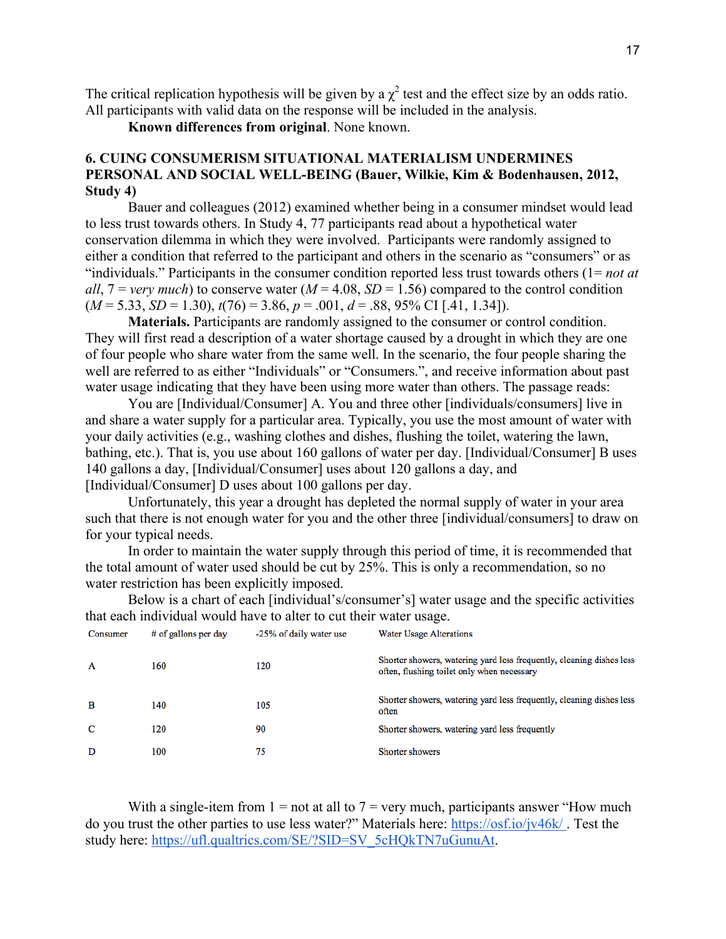The critical replication hypothesis will be given by a  $\chi^2$  test and the effect size by an odds ratio. All participants with valid data on the response will be included in the analysis.

**Known differences from original**. None known.

# **6. CUING CONSUMERISM SITUATIONAL MATERIALISM UNDERMINES PERSONAL AND SOCIAL WELL-BEING (Bauer, Wilkie, Kim & Bodenhausen, 2012, Study 4)**

Bauer and colleagues (2012) examined whether being in a consumer mindset would lead to less trust towards others. In Study 4, 77 participants read about a hypothetical water conservation dilemma in which they were involved. Participants were randomly assigned to either a condition that referred to the participant and others in the scenario as "consumers" or as "individuals." Participants in the consumer condition reported less trust towards others (1= *not at all*,  $7 = \text{very much}$  to conserve water ( $M = 4.08$ ,  $SD = 1.56$ ) compared to the control condition  $(M = 5.33, SD = 1.30), t(76) = 3.86, p = .001, d = .88, 95\% \text{ CI}$  [.41, 1.34]).

**Materials.** Participants are randomly assigned to the consumer or control condition. They will first read a description of a water shortage caused by a drought in which they are one of four people who share water from the same well. In the scenario, the four people sharing the well are referred to as either "Individuals" or "Consumers.", and receive information about past water usage indicating that they have been using more water than others. The passage reads:

You are [Individual/Consumer] A. You and three other [individuals/consumers] live in and share a water supply for a particular area. Typically, you use the most amount of water with your daily activities (e.g., washing clothes and dishes, flushing the toilet, watering the lawn, bathing, etc.). That is, you use about 160 gallons of water per day. [Individual/Consumer] B uses 140 gallons a day, [Individual/Consumer] uses about 120 gallons a day, and [Individual/Consumer] D uses about 100 gallons per day.

Unfortunately, this year a drought has depleted the normal supply of water in your area such that there is not enough water for you and the other three [individual/consumers] to draw on for your typical needs.

In order to maintain the water supply through this period of time, it is recommended that the total amount of water used should be cut by 25%. This is only a recommendation, so no water restriction has been explicitly imposed.

Below is a chart of each [individual's/consumer's] water usage and the specific activities that each individual would have to alter to cut their water usage.

| Consumer | # of gallons per day | -25% of daily water use | Water Usage Alterations                                                                                            |
|----------|----------------------|-------------------------|--------------------------------------------------------------------------------------------------------------------|
| A        | 160                  | 120                     | Shorter showers, watering yard less frequently, cleaning dishes less<br>often, flushing toilet only when necessary |
| B        | 140                  | 105                     | Shorter showers, watering yard less frequently, cleaning dishes less<br>often                                      |
| C        | 120                  | 90                      | Shorter showers, watering yard less frequently                                                                     |
| D        | 100                  | 75                      | Shorter showers                                                                                                    |

With a single-item from  $1 = not$  at all to  $7 =$  very much, participants answer "How much do you trust the other parties to use less water?" Materials here: https://osf.io/jv46k/ . Test the study here: https://ufl.qualtrics.com/SE/?SID=SV\_5cHQkTN7uGunuAt.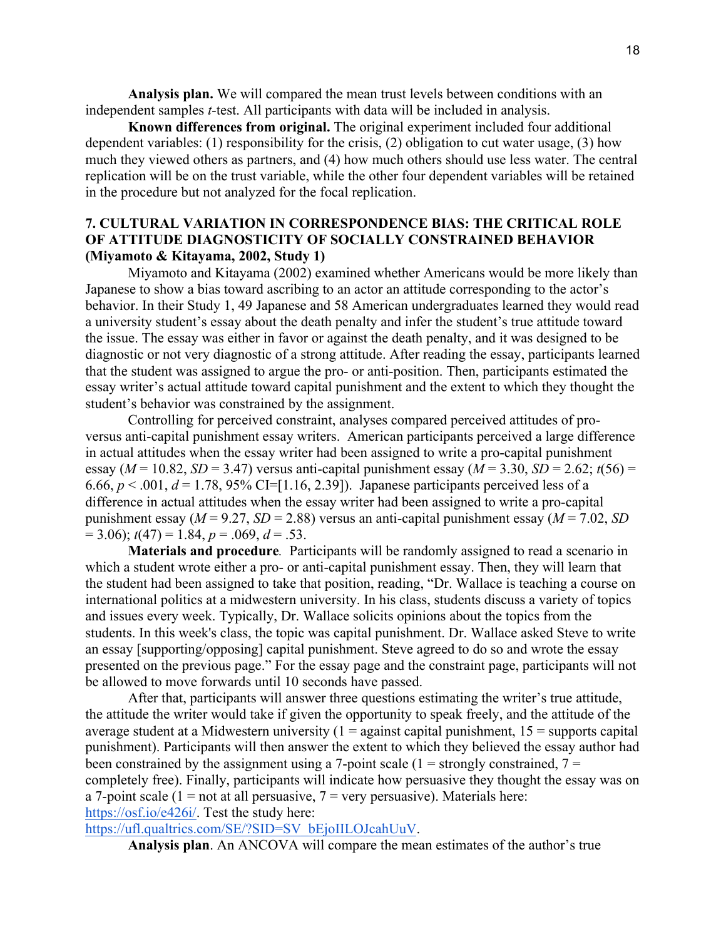**Analysis plan.** We will compared the mean trust levels between conditions with an independent samples *t-*test. All participants with data will be included in analysis.

**Known differences from original.** The original experiment included four additional dependent variables: (1) responsibility for the crisis, (2) obligation to cut water usage, (3) how much they viewed others as partners, and (4) how much others should use less water. The central replication will be on the trust variable, while the other four dependent variables will be retained in the procedure but not analyzed for the focal replication.

# **7. CULTURAL VARIATION IN CORRESPONDENCE BIAS: THE CRITICAL ROLE OF ATTITUDE DIAGNOSTICITY OF SOCIALLY CONSTRAINED BEHAVIOR (Miyamoto & Kitayama, 2002, Study 1)**

Miyamoto and Kitayama (2002) examined whether Americans would be more likely than Japanese to show a bias toward ascribing to an actor an attitude corresponding to the actor's behavior. In their Study 1, 49 Japanese and 58 American undergraduates learned they would read a university student's essay about the death penalty and infer the student's true attitude toward the issue. The essay was either in favor or against the death penalty, and it was designed to be diagnostic or not very diagnostic of a strong attitude. After reading the essay, participants learned that the student was assigned to argue the pro- or anti-position. Then, participants estimated the essay writer's actual attitude toward capital punishment and the extent to which they thought the student's behavior was constrained by the assignment.

Controlling for perceived constraint, analyses compared perceived attitudes of proversus anti-capital punishment essay writers. American participants perceived a large difference in actual attitudes when the essay writer had been assigned to write a pro-capital punishment essay ( $M = 10.82$ ,  $SD = 3.47$ ) versus anti-capital punishment essay ( $M = 3.30$ ,  $SD = 2.62$ ;  $t(56) =$ 6.66,  $p < .001$ ,  $d = 1.78$ , 95% CI=[1.16, 2.39]). Japanese participants perceived less of a difference in actual attitudes when the essay writer had been assigned to write a pro-capital punishment essay ( $M = 9.27$ ,  $SD = 2.88$ ) versus an anti-capital punishment essay ( $M = 7.02$ ,  $SD$ )  $= 3.06$ ;  $t(47) = 1.84$ ,  $p = .069$ ,  $d = .53$ .

**Materials and procedure***.* Participants will be randomly assigned to read a scenario in which a student wrote either a pro- or anti-capital punishment essay. Then, they will learn that the student had been assigned to take that position, reading, "Dr. Wallace is teaching a course on international politics at a midwestern university. In his class, students discuss a variety of topics and issues every week. Typically, Dr. Wallace solicits opinions about the topics from the students. In this week's class, the topic was capital punishment. Dr. Wallace asked Steve to write an essay [supporting/opposing] capital punishment. Steve agreed to do so and wrote the essay presented on the previous page." For the essay page and the constraint page, participants will not be allowed to move forwards until 10 seconds have passed.

After that, participants will answer three questions estimating the writer's true attitude, the attitude the writer would take if given the opportunity to speak freely, and the attitude of the average student at a Midwestern university  $(1 =$  against capital punishment,  $15 =$  supports capital punishment). Participants will then answer the extent to which they believed the essay author had been constrained by the assignment using a 7-point scale ( $1 =$  strongly constrained,  $7 =$ completely free). Finally, participants will indicate how persuasive they thought the essay was on a 7-point scale (1 = not at all persuasive,  $7$  = very persuasive). Materials here: https://osf.io/e426i/. Test the study here:

https://ufl.qualtrics.com/SE/?SID=SV\_bEjoIILOJcahUuV.

**Analysis plan**. An ANCOVA will compare the mean estimates of the author's true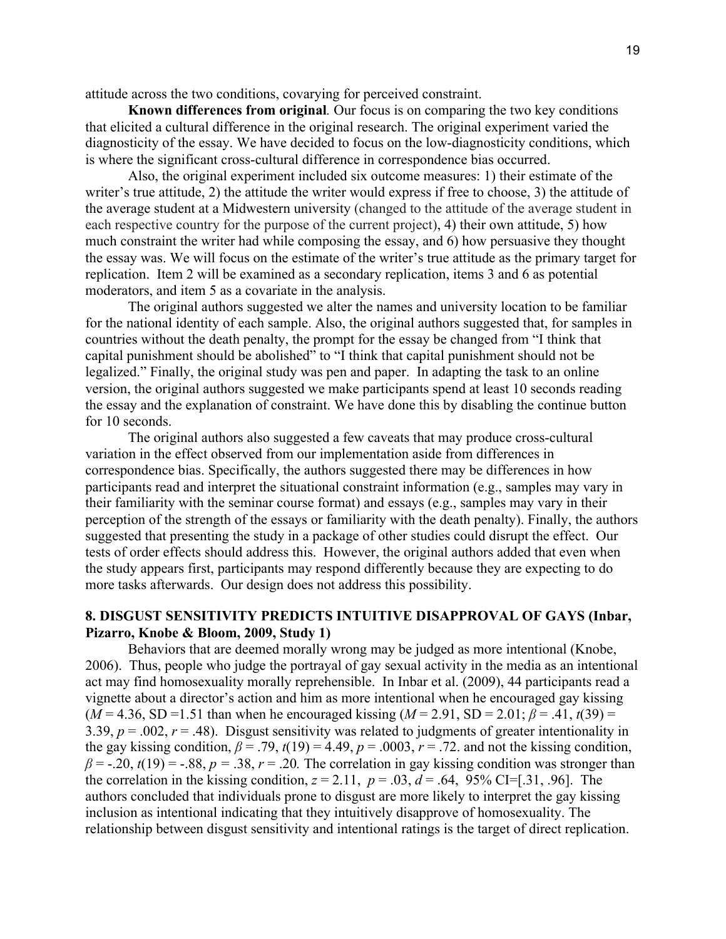attitude across the two conditions, covarying for perceived constraint.

**Known differences from original***.* Our focus is on comparing the two key conditions that elicited a cultural difference in the original research. The original experiment varied the diagnosticity of the essay. We have decided to focus on the low-diagnosticity conditions, which is where the significant cross-cultural difference in correspondence bias occurred.

Also, the original experiment included six outcome measures: 1) their estimate of the writer's true attitude, 2) the attitude the writer would express if free to choose, 3) the attitude of the average student at a Midwestern university (changed to the attitude of the average student in each respective country for the purpose of the current project), 4) their own attitude, 5) how much constraint the writer had while composing the essay, and 6) how persuasive they thought the essay was. We will focus on the estimate of the writer's true attitude as the primary target for replication. Item 2 will be examined as a secondary replication, items 3 and 6 as potential moderators, and item 5 as a covariate in the analysis.

The original authors suggested we alter the names and university location to be familiar for the national identity of each sample. Also, the original authors suggested that, for samples in countries without the death penalty, the prompt for the essay be changed from "I think that capital punishment should be abolished" to "I think that capital punishment should not be legalized." Finally, the original study was pen and paper. In adapting the task to an online version, the original authors suggested we make participants spend at least 10 seconds reading the essay and the explanation of constraint. We have done this by disabling the continue button for 10 seconds.

The original authors also suggested a few caveats that may produce cross-cultural variation in the effect observed from our implementation aside from differences in correspondence bias. Specifically, the authors suggested there may be differences in how participants read and interpret the situational constraint information (e.g., samples may vary in their familiarity with the seminar course format) and essays (e.g., samples may vary in their perception of the strength of the essays or familiarity with the death penalty). Finally, the authors suggested that presenting the study in a package of other studies could disrupt the effect. Our tests of order effects should address this. However, the original authors added that even when the study appears first, participants may respond differently because they are expecting to do more tasks afterwards. Our design does not address this possibility.

# **8. DISGUST SENSITIVITY PREDICTS INTUITIVE DISAPPROVAL OF GAYS (Inbar, Pizarro, Knobe & Bloom, 2009, Study 1)**

Behaviors that are deemed morally wrong may be judged as more intentional (Knobe, 2006). Thus, people who judge the portrayal of gay sexual activity in the media as an intentional act may find homosexuality morally reprehensible. In Inbar et al. (2009), 44 participants read a vignette about a director's action and him as more intentional when he encouraged gay kissing  $(M = 4.36, SD = 1.51$  than when he encouraged kissing  $(M = 2.91, SD = 2.01; \beta = .41, t(39) =$ 3.39,  $p = 0.002$ ,  $r = 0.48$ ). Disgust sensitivity was related to judgments of greater intentionality in the gay kissing condition,  $\beta$  = .79,  $t(19)$  = 4.49,  $p$  = .0003,  $r$  = .72. and not the kissing condition,  $\beta$  = -.20, *t*(19) = -.88, *p* = .38, *r* = .20. The correlation in gay kissing condition was stronger than the correlation in the kissing condition,  $z = 2.11$ ,  $p = .03$ ,  $d = .64$ , 95% CI=[.31, .96]. The authors concluded that individuals prone to disgust are more likely to interpret the gay kissing inclusion as intentional indicating that they intuitively disapprove of homosexuality. The relationship between disgust sensitivity and intentional ratings is the target of direct replication.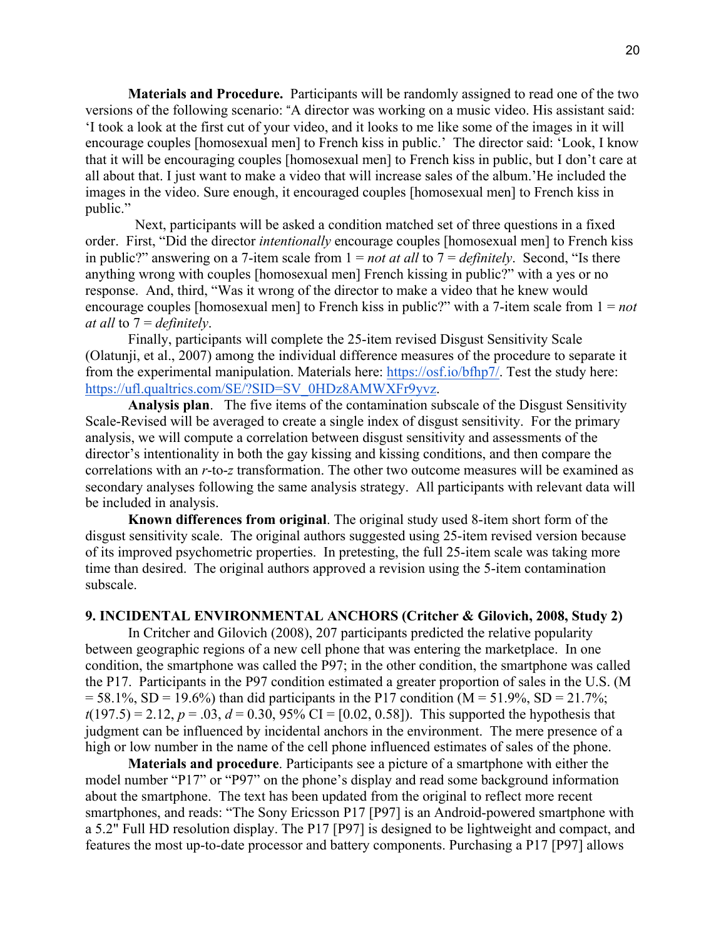**Materials and Procedure.** Participants will be randomly assigned to read one of the two versions of the following scenario: "A director was working on a music video. His assistant said: 'I took a look at the first cut of your video, and it looks to me like some of the images in it will encourage couples [homosexual men] to French kiss in public.' The director said: 'Look, I know that it will be encouraging couples [homosexual men] to French kiss in public, but I don't care at all about that. I just want to make a video that will increase sales of the album.'He included the images in the video. Sure enough, it encouraged couples [homosexual men] to French kiss in public."

 Next, participants will be asked a condition matched set of three questions in a fixed order. First, "Did the director *intentionally* encourage couples [homosexual men] to French kiss in public?" answering on a 7-item scale from 1 = *not at all* to 7 = *definitely*. Second, "Is there anything wrong with couples [homosexual men] French kissing in public?" with a yes or no response. And, third, "Was it wrong of the director to make a video that he knew would encourage couples [homosexual men] to French kiss in public?" with a 7-item scale from 1 = *not at all* to 7 = *definitely*.

Finally, participants will complete the 25-item revised Disgust Sensitivity Scale (Olatunji, et al., 2007) among the individual difference measures of the procedure to separate it from the experimental manipulation. Materials here: https://osf.io/bfhp7/. Test the study here: https://ufl.qualtrics.com/SE/?SID=SV\_0HDz8AMWXFr9yvz.

**Analysis plan**. The five items of the contamination subscale of the Disgust Sensitivity Scale-Revised will be averaged to create a single index of disgust sensitivity. For the primary analysis, we will compute a correlation between disgust sensitivity and assessments of the director's intentionality in both the gay kissing and kissing conditions, and then compare the correlations with an *r*-to-*z* transformation. The other two outcome measures will be examined as secondary analyses following the same analysis strategy. All participants with relevant data will be included in analysis.

**Known differences from original**. The original study used 8-item short form of the disgust sensitivity scale. The original authors suggested using 25-item revised version because of its improved psychometric properties. In pretesting, the full 25-item scale was taking more time than desired. The original authors approved a revision using the 5-item contamination subscale.

### **9. INCIDENTAL ENVIRONMENTAL ANCHORS (Critcher & Gilovich, 2008, Study 2)**

In Critcher and Gilovich (2008), 207 participants predicted the relative popularity between geographic regions of a new cell phone that was entering the marketplace. In one condition, the smartphone was called the P97; in the other condition, the smartphone was called the P17. Participants in the P97 condition estimated a greater proportion of sales in the U.S. (M  $= 58.1\%$ , SD = 19.6%) than did participants in the P17 condition (M = 51.9%, SD = 21.7%;  $t(197.5) = 2.12, p = .03, d = 0.30, 95\% \text{ CI} = [0.02, 0.58]$ . This supported the hypothesis that judgment can be influenced by incidental anchors in the environment. The mere presence of a high or low number in the name of the cell phone influenced estimates of sales of the phone.

**Materials and procedure**. Participants see a picture of a smartphone with either the model number "P17" or "P97" on the phone's display and read some background information about the smartphone. The text has been updated from the original to reflect more recent smartphones, and reads: "The Sony Ericsson P17 [P97] is an Android-powered smartphone with a 5.2" Full HD resolution display. The P17 [P97] is designed to be lightweight and compact, and features the most up-to-date processor and battery components. Purchasing a P17 [P97] allows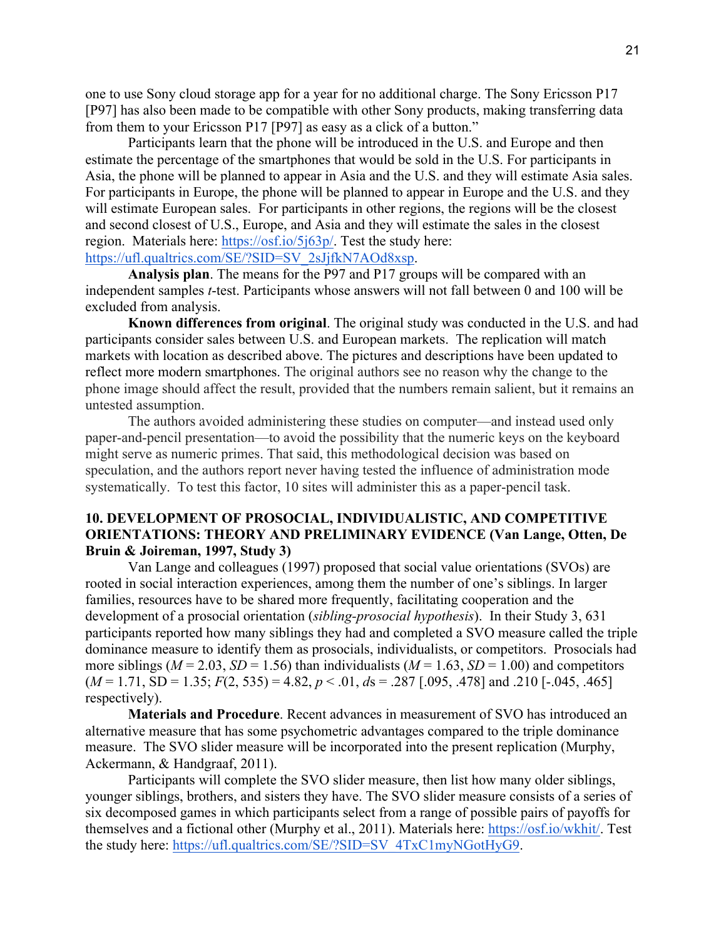one to use Sony cloud storage app for a year for no additional charge. The Sony Ericsson P17 [P97] has also been made to be compatible with other Sony products, making transferring data from them to your Ericsson P17 [P97] as easy as a click of a button."

Participants learn that the phone will be introduced in the U.S. and Europe and then estimate the percentage of the smartphones that would be sold in the U.S. For participants in Asia, the phone will be planned to appear in Asia and the U.S. and they will estimate Asia sales. For participants in Europe, the phone will be planned to appear in Europe and the U.S. and they will estimate European sales. For participants in other regions, the regions will be the closest and second closest of U.S., Europe, and Asia and they will estimate the sales in the closest region. Materials here: https://osf.io/5j63p/. Test the study here: https://ufl.qualtrics.com/SE/?SID=SV\_2sJjfkN7AOd8xsp.

**Analysis plan**. The means for the P97 and P17 groups will be compared with an independent samples *t*-test. Participants whose answers will not fall between 0 and 100 will be excluded from analysis.

**Known differences from original**. The original study was conducted in the U.S. and had participants consider sales between U.S. and European markets. The replication will match markets with location as described above. The pictures and descriptions have been updated to reflect more modern smartphones. The original authors see no reason why the change to the phone image should affect the result, provided that the numbers remain salient, but it remains an untested assumption.

The authors avoided administering these studies on computer—and instead used only paper-and-pencil presentation—to avoid the possibility that the numeric keys on the keyboard might serve as numeric primes. That said, this methodological decision was based on speculation, and the authors report never having tested the influence of administration mode systematically. To test this factor, 10 sites will administer this as a paper-pencil task.

# **10. DEVELOPMENT OF PROSOCIAL, INDIVIDUALISTIC, AND COMPETITIVE ORIENTATIONS: THEORY AND PRELIMINARY EVIDENCE (Van Lange, Otten, De Bruin & Joireman, 1997, Study 3)**

Van Lange and colleagues (1997) proposed that social value orientations (SVOs) are rooted in social interaction experiences, among them the number of one's siblings. In larger families, resources have to be shared more frequently, facilitating cooperation and the development of a prosocial orientation (*sibling-prosocial hypothesis*). In their Study 3, 631 participants reported how many siblings they had and completed a SVO measure called the triple dominance measure to identify them as prosocials, individualists, or competitors. Prosocials had more siblings ( $M = 2.03$ ,  $SD = 1.56$ ) than individualists ( $M = 1.63$ ,  $SD = 1.00$ ) and competitors  $(M = 1.71, SD = 1.35; F(2, 535) = 4.82, p < .01, ds = .287$  [.095, .478] and .210 [-.045, .465] respectively).

**Materials and Procedure**. Recent advances in measurement of SVO has introduced an alternative measure that has some psychometric advantages compared to the triple dominance measure. The SVO slider measure will be incorporated into the present replication (Murphy, Ackermann, & Handgraaf, 2011).

Participants will complete the SVO slider measure, then list how many older siblings, younger siblings, brothers, and sisters they have. The SVO slider measure consists of a series of six decomposed games in which participants select from a range of possible pairs of payoffs for themselves and a fictional other (Murphy et al., 2011). Materials here: https://osf.io/wkhit/. Test the study here: https://ufl.qualtrics.com/SE/?SID=SV\_4TxC1myNGotHyG9.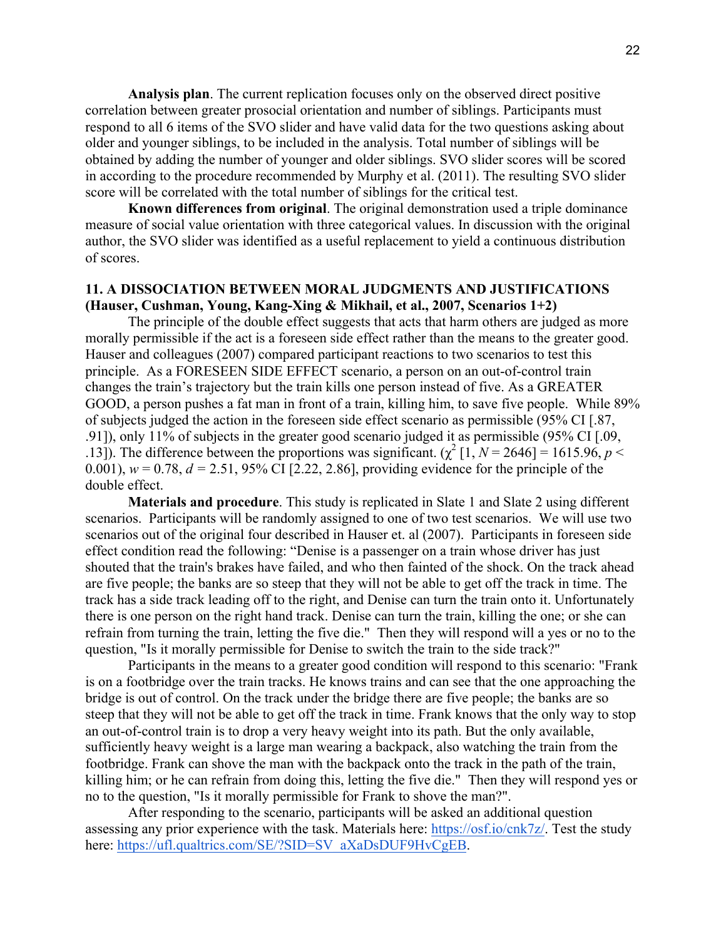**Analysis plan**. The current replication focuses only on the observed direct positive correlation between greater prosocial orientation and number of siblings. Participants must respond to all 6 items of the SVO slider and have valid data for the two questions asking about older and younger siblings, to be included in the analysis. Total number of siblings will be obtained by adding the number of younger and older siblings. SVO slider scores will be scored in according to the procedure recommended by Murphy et al. (2011). The resulting SVO slider score will be correlated with the total number of siblings for the critical test.

**Known differences from original**. The original demonstration used a triple dominance measure of social value orientation with three categorical values. In discussion with the original author, the SVO slider was identified as a useful replacement to yield a continuous distribution of scores.

# **11. A DISSOCIATION BETWEEN MORAL JUDGMENTS AND JUSTIFICATIONS (Hauser, Cushman, Young, Kang-Xing & Mikhail, et al., 2007, Scenarios 1+2)**

The principle of the double effect suggests that acts that harm others are judged as more morally permissible if the act is a foreseen side effect rather than the means to the greater good. Hauser and colleagues (2007) compared participant reactions to two scenarios to test this principle. As a FORESEEN SIDE EFFECT scenario, a person on an out-of-control train changes the train's trajectory but the train kills one person instead of five. As a GREATER GOOD, a person pushes a fat man in front of a train, killing him, to save five people. While 89% of subjects judged the action in the foreseen side effect scenario as permissible (95% CI [.87, .91]), only 11% of subjects in the greater good scenario judged it as permissible (95% CI [.09, .13]). The difference between the proportions was significant.  $(\chi^2 [1, N = 2646] = 1615.96, p <$ 0.001),  $w = 0.78$ ,  $d = 2.51$ , 95% CI [2.22, 2.86], providing evidence for the principle of the double effect.

**Materials and procedure**. This study is replicated in Slate 1 and Slate 2 using different scenarios. Participants will be randomly assigned to one of two test scenarios. We will use two scenarios out of the original four described in Hauser et. al (2007). Participants in foreseen side effect condition read the following: "Denise is a passenger on a train whose driver has just shouted that the train's brakes have failed, and who then fainted of the shock. On the track ahead are five people; the banks are so steep that they will not be able to get off the track in time. The track has a side track leading off to the right, and Denise can turn the train onto it. Unfortunately there is one person on the right hand track. Denise can turn the train, killing the one; or she can refrain from turning the train, letting the five die." Then they will respond will a yes or no to the question, "Is it morally permissible for Denise to switch the train to the side track?"

Participants in the means to a greater good condition will respond to this scenario: "Frank is on a footbridge over the train tracks. He knows trains and can see that the one approaching the bridge is out of control. On the track under the bridge there are five people; the banks are so steep that they will not be able to get off the track in time. Frank knows that the only way to stop an out-of-control train is to drop a very heavy weight into its path. But the only available, sufficiently heavy weight is a large man wearing a backpack, also watching the train from the footbridge. Frank can shove the man with the backpack onto the track in the path of the train, killing him; or he can refrain from doing this, letting the five die." Then they will respond yes or no to the question, "Is it morally permissible for Frank to shove the man?".

After responding to the scenario, participants will be asked an additional question assessing any prior experience with the task. Materials here: https://osf.io/cnk7z/. Test the study here: https://ufl.qualtrics.com/SE/?SID=SV\_aXaDsDUF9HvCgEB.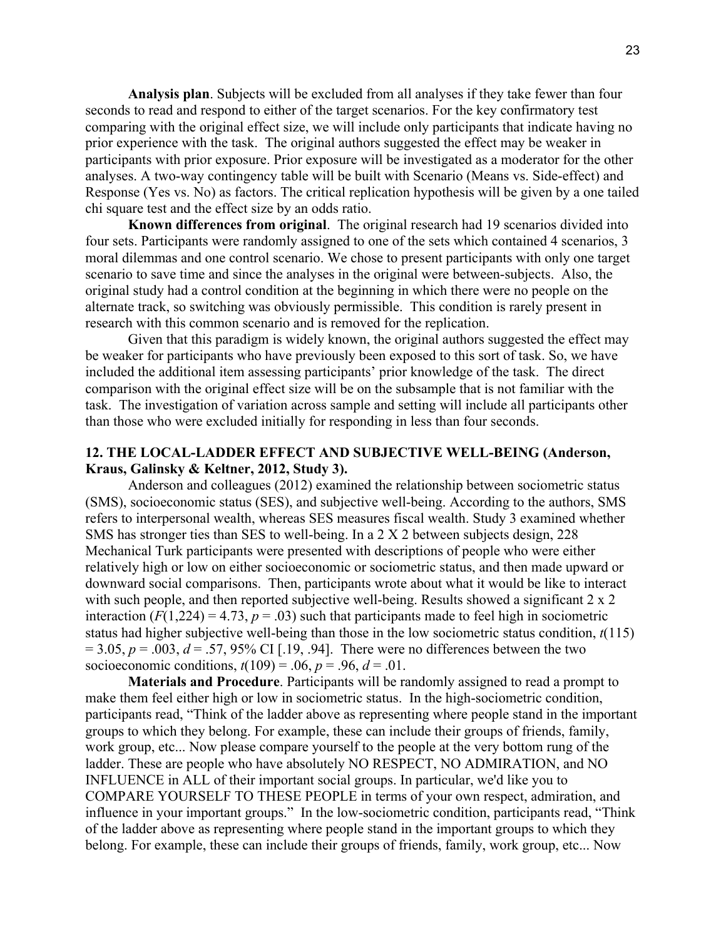**Analysis plan**. Subjects will be excluded from all analyses if they take fewer than four seconds to read and respond to either of the target scenarios. For the key confirmatory test comparing with the original effect size, we will include only participants that indicate having no prior experience with the task. The original authors suggested the effect may be weaker in participants with prior exposure. Prior exposure will be investigated as a moderator for the other analyses. A two-way contingency table will be built with Scenario (Means vs. Side-effect) and Response (Yes vs. No) as factors. The critical replication hypothesis will be given by a one tailed chi square test and the effect size by an odds ratio.

**Known differences from original**. The original research had 19 scenarios divided into four sets. Participants were randomly assigned to one of the sets which contained 4 scenarios, 3 moral dilemmas and one control scenario. We chose to present participants with only one target scenario to save time and since the analyses in the original were between-subjects. Also, the original study had a control condition at the beginning in which there were no people on the alternate track, so switching was obviously permissible. This condition is rarely present in research with this common scenario and is removed for the replication.

Given that this paradigm is widely known, the original authors suggested the effect may be weaker for participants who have previously been exposed to this sort of task. So, we have included the additional item assessing participants' prior knowledge of the task. The direct comparison with the original effect size will be on the subsample that is not familiar with the task. The investigation of variation across sample and setting will include all participants other than those who were excluded initially for responding in less than four seconds.

# **12. THE LOCAL-LADDER EFFECT AND SUBJECTIVE WELL-BEING (Anderson, Kraus, Galinsky & Keltner, 2012, Study 3).**

Anderson and colleagues (2012) examined the relationship between sociometric status (SMS), socioeconomic status (SES), and subjective well-being. According to the authors, SMS refers to interpersonal wealth, whereas SES measures fiscal wealth. Study 3 examined whether SMS has stronger ties than SES to well-being. In a 2 X 2 between subjects design, 228 Mechanical Turk participants were presented with descriptions of people who were either relatively high or low on either socioeconomic or sociometric status, and then made upward or downward social comparisons. Then, participants wrote about what it would be like to interact with such people, and then reported subjective well-being. Results showed a significant 2 x 2 interaction  $(F(1,224) = 4.73, p = .03)$  such that participants made to feel high in sociometric status had higher subjective well-being than those in the low sociometric status condition, *t*(115)  $= 3.05, p = .003, d = .57, 95\% \text{ CI}$  [.19, .94]. There were no differences between the two socioeconomic conditions,  $t(109) = .06$ ,  $p = .96$ ,  $d = .01$ .

**Materials and Procedure**. Participants will be randomly assigned to read a prompt to make them feel either high or low in sociometric status. In the high-sociometric condition, participants read, "Think of the ladder above as representing where people stand in the important groups to which they belong. For example, these can include their groups of friends, family, work group, etc... Now please compare yourself to the people at the very bottom rung of the ladder. These are people who have absolutely NO RESPECT, NO ADMIRATION, and NO INFLUENCE in ALL of their important social groups. In particular, we'd like you to COMPARE YOURSELF TO THESE PEOPLE in terms of your own respect, admiration, and influence in your important groups." In the low-sociometric condition, participants read, "Think of the ladder above as representing where people stand in the important groups to which they belong. For example, these can include their groups of friends, family, work group, etc... Now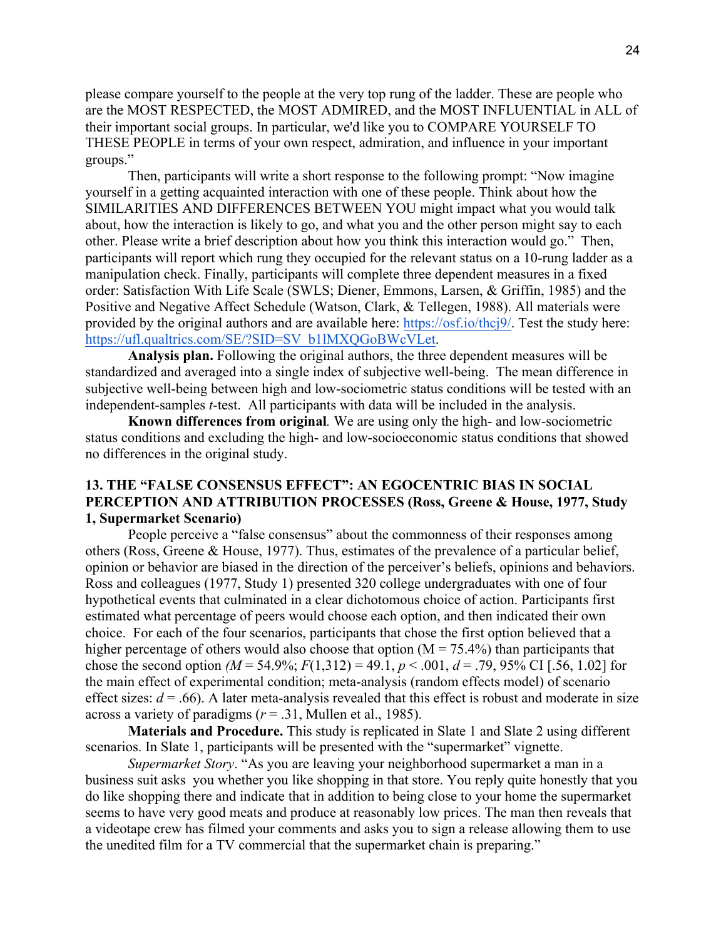please compare yourself to the people at the very top rung of the ladder. These are people who are the MOST RESPECTED, the MOST ADMIRED, and the MOST INFLUENTIAL in ALL of their important social groups. In particular, we'd like you to COMPARE YOURSELF TO THESE PEOPLE in terms of your own respect, admiration, and influence in your important groups."

Then, participants will write a short response to the following prompt: "Now imagine yourself in a getting acquainted interaction with one of these people. Think about how the SIMILARITIES AND DIFFERENCES BETWEEN YOU might impact what you would talk about, how the interaction is likely to go, and what you and the other person might say to each other. Please write a brief description about how you think this interaction would go." Then, participants will report which rung they occupied for the relevant status on a 10-rung ladder as a manipulation check. Finally, participants will complete three dependent measures in a fixed order: Satisfaction With Life Scale (SWLS; Diener, Emmons, Larsen, & Griffin, 1985) and the Positive and Negative Affect Schedule (Watson, Clark, & Tellegen, 1988). All materials were provided by the original authors and are available here: https://osf.io/thcj9/. Test the study here: https://ufl.qualtrics.com/SE/?SID=SV\_b1lMXQGoBWcVLet.

**Analysis plan.** Following the original authors, the three dependent measures will be standardized and averaged into a single index of subjective well-being. The mean difference in subjective well-being between high and low-sociometric status conditions will be tested with an independent-samples *t*-test. All participants with data will be included in the analysis.

**Known differences from original***.* We are using only the high- and low-sociometric status conditions and excluding the high- and low-socioeconomic status conditions that showed no differences in the original study.

### **13. THE "FALSE CONSENSUS EFFECT": AN EGOCENTRIC BIAS IN SOCIAL PERCEPTION AND ATTRIBUTION PROCESSES (Ross, Greene & House, 1977, Study 1, Supermarket Scenario)**

People perceive a "false consensus" about the commonness of their responses among others (Ross, Greene & House, 1977). Thus, estimates of the prevalence of a particular belief, opinion or behavior are biased in the direction of the perceiver's beliefs, opinions and behaviors. Ross and colleagues (1977, Study 1) presented 320 college undergraduates with one of four hypothetical events that culminated in a clear dichotomous choice of action. Participants first estimated what percentage of peers would choose each option, and then indicated their own choice. For each of the four scenarios, participants that chose the first option believed that a higher percentage of others would also choose that option  $(M = 75.4\%)$  than participants that chose the second option  $(M = 54.9\%; F(1,312) = 49.1, p < .001, d = .79, 95\% \text{ CI}$  [.56, 1.02] for the main effect of experimental condition; meta-analysis (random effects model) of scenario effect sizes:  $d = .66$ ). A later meta-analysis revealed that this effect is robust and moderate in size across a variety of paradigms (*r* = .31, Mullen et al., 1985).

**Materials and Procedure.** This study is replicated in Slate 1 and Slate 2 using different scenarios. In Slate 1, participants will be presented with the "supermarket" vignette.

*Supermarket Story*. "As you are leaving your neighborhood supermarket a man in a business suit asks you whether you like shopping in that store. You reply quite honestly that you do like shopping there and indicate that in addition to being close to your home the supermarket seems to have very good meats and produce at reasonably low prices. The man then reveals that a videotape crew has filmed your comments and asks you to sign a release allowing them to use the unedited film for a TV commercial that the supermarket chain is preparing."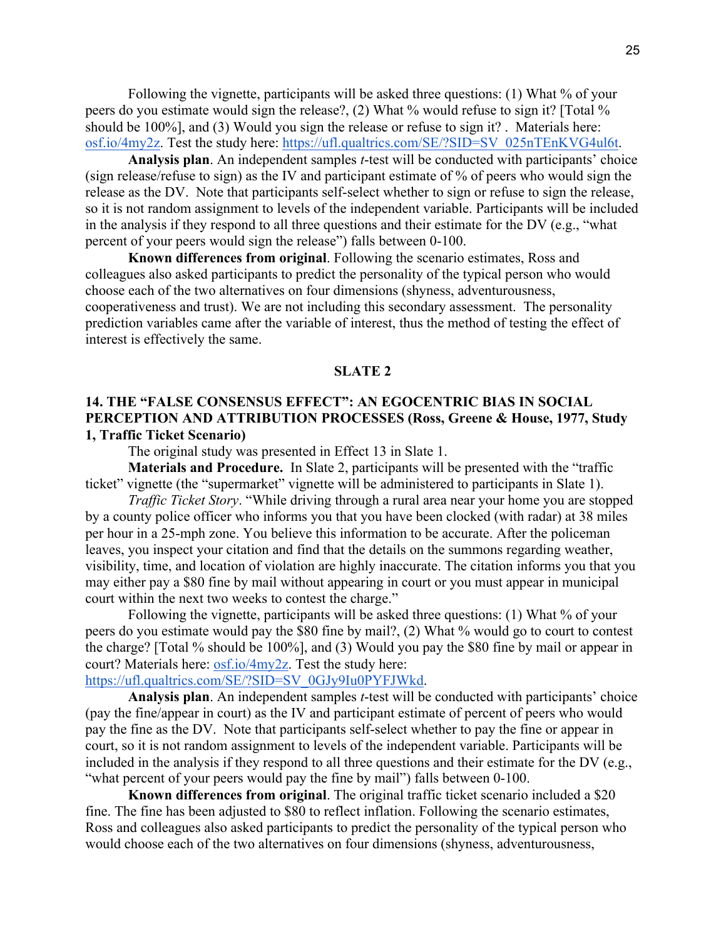Following the vignette, participants will be asked three questions: (1) What % of your peers do you estimate would sign the release?, (2) What % would refuse to sign it? [Total % should be 100%], and (3) Would you sign the release or refuse to sign it? . Materials here: osf.io/4my2z. Test the study here: https://ufl.qualtrics.com/SE/?SID=SV\_025nTEnKVG4ul6t.

**Analysis plan**. An independent samples *t*-test will be conducted with participants' choice (sign release/refuse to sign) as the IV and participant estimate of % of peers who would sign the release as the DV. Note that participants self-select whether to sign or refuse to sign the release, so it is not random assignment to levels of the independent variable. Participants will be included in the analysis if they respond to all three questions and their estimate for the DV (e.g., "what percent of your peers would sign the release") falls between 0-100.

**Known differences from original**. Following the scenario estimates, Ross and colleagues also asked participants to predict the personality of the typical person who would choose each of the two alternatives on four dimensions (shyness, adventurousness, cooperativeness and trust). We are not including this secondary assessment. The personality prediction variables came after the variable of interest, thus the method of testing the effect of interest is effectively the same.

#### **SLATE 2**

### **14. THE "FALSE CONSENSUS EFFECT": AN EGOCENTRIC BIAS IN SOCIAL PERCEPTION AND ATTRIBUTION PROCESSES (Ross, Greene & House, 1977, Study 1, Traffic Ticket Scenario)**

The original study was presented in Effect 13 in Slate 1.

**Materials and Procedure.** In Slate 2, participants will be presented with the "traffic ticket" vignette (the "supermarket" vignette will be administered to participants in Slate 1).

*Traffic Ticket Story*. "While driving through a rural area near your home you are stopped by a county police officer who informs you that you have been clocked (with radar) at 38 miles per hour in a 25-mph zone. You believe this information to be accurate. After the policeman leaves, you inspect your citation and find that the details on the summons regarding weather, visibility, time, and location of violation are highly inaccurate. The citation informs you that you may either pay a \$80 fine by mail without appearing in court or you must appear in municipal court within the next two weeks to contest the charge."

Following the vignette, participants will be asked three questions: (1) What % of your peers do you estimate would pay the \$80 fine by mail?, (2) What % would go to court to contest the charge? [Total % should be 100%], and (3) Would you pay the \$80 fine by mail or appear in court? Materials here: osf.io/4my2z. Test the study here:

# https://ufl.qualtrics.com/SE/?SID=SV\_0GJy9Iu0PYFJWkd.

**Analysis plan**. An independent samples *t*-test will be conducted with participants' choice (pay the fine/appear in court) as the IV and participant estimate of percent of peers who would pay the fine as the DV. Note that participants self-select whether to pay the fine or appear in court, so it is not random assignment to levels of the independent variable. Participants will be included in the analysis if they respond to all three questions and their estimate for the DV (e.g., "what percent of your peers would pay the fine by mail") falls between 0-100.

**Known differences from original**. The original traffic ticket scenario included a \$20 fine. The fine has been adjusted to \$80 to reflect inflation. Following the scenario estimates, Ross and colleagues also asked participants to predict the personality of the typical person who would choose each of the two alternatives on four dimensions (shyness, adventurousness,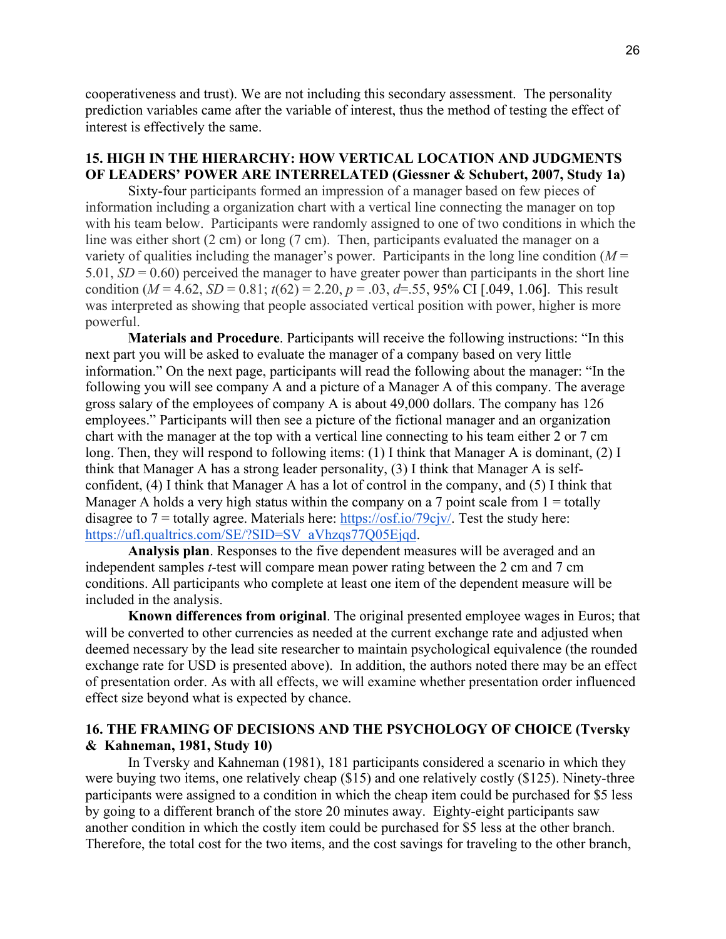cooperativeness and trust). We are not including this secondary assessment. The personality prediction variables came after the variable of interest, thus the method of testing the effect of interest is effectively the same.

# **15. HIGH IN THE HIERARCHY: HOW VERTICAL LOCATION AND JUDGMENTS OF LEADERS' POWER ARE INTERRELATED (Giessner & Schubert, 2007, Study 1a)**

Sixty-four participants formed an impression of a manager based on few pieces of information including a organization chart with a vertical line connecting the manager on top with his team below. Participants were randomly assigned to one of two conditions in which the line was either short (2 cm) or long (7 cm). Then, participants evaluated the manager on a variety of qualities including the manager's power. Participants in the long line condition  $(M =$ 5.01, *SD* = 0.60) perceived the manager to have greater power than participants in the short line condition ( $M = 4.62$ ,  $SD = 0.81$ ;  $t(62) = 2.20$ ,  $p = .03$ ,  $d = .55$ , 95% CI [.049, 1.06]. This result was interpreted as showing that people associated vertical position with power, higher is more powerful.

**Materials and Procedure**. Participants will receive the following instructions: "In this next part you will be asked to evaluate the manager of a company based on very little information." On the next page, participants will read the following about the manager: "In the following you will see company A and a picture of a Manager A of this company. The average gross salary of the employees of company A is about 49,000 dollars. The company has 126 employees." Participants will then see a picture of the fictional manager and an organization chart with the manager at the top with a vertical line connecting to his team either 2 or 7 cm long. Then, they will respond to following items: (1) I think that Manager A is dominant, (2) I think that Manager A has a strong leader personality, (3) I think that Manager A is selfconfident, (4) I think that Manager A has a lot of control in the company, and (5) I think that Manager A holds a very high status within the company on a 7 point scale from  $1 =$  totally disagree to  $7 =$  totally agree. Materials here: https://osf.io/79cjv/. Test the study here: https://ufl.qualtrics.com/SE/?SID=SV\_aVhzqs77Q05Ejqd.

**Analysis plan**. Responses to the five dependent measures will be averaged and an independent samples *t*-test will compare mean power rating between the 2 cm and 7 cm conditions. All participants who complete at least one item of the dependent measure will be included in the analysis.

**Known differences from original**. The original presented employee wages in Euros; that will be converted to other currencies as needed at the current exchange rate and adjusted when deemed necessary by the lead site researcher to maintain psychological equivalence (the rounded exchange rate for USD is presented above). In addition, the authors noted there may be an effect of presentation order. As with all effects, we will examine whether presentation order influenced effect size beyond what is expected by chance.

### **16. THE FRAMING OF DECISIONS AND THE PSYCHOLOGY OF CHOICE (Tversky & Kahneman, 1981, Study 10)**

In Tversky and Kahneman (1981), 181 participants considered a scenario in which they were buying two items, one relatively cheap (\$15) and one relatively costly (\$125). Ninety-three participants were assigned to a condition in which the cheap item could be purchased for \$5 less by going to a different branch of the store 20 minutes away. Eighty-eight participants saw another condition in which the costly item could be purchased for \$5 less at the other branch. Therefore, the total cost for the two items, and the cost savings for traveling to the other branch,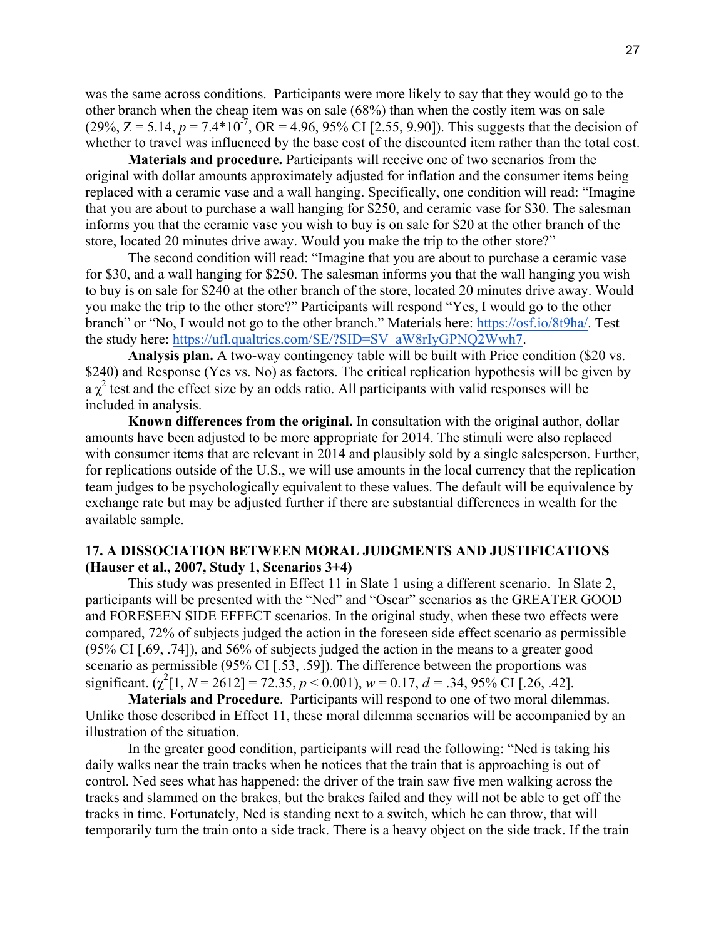was the same across conditions. Participants were more likely to say that they would go to the other branch when the cheap item was on sale (68%) than when the costly item was on sale  $(29\%, Z = 5.14, p = 7.4*10^{-7}, \text{OR} = 4.96, 95\% \text{ CI}$  [2.55, 9.90]). This suggests that the decision of whether to travel was influenced by the base cost of the discounted item rather than the total cost.

**Materials and procedure.** Participants will receive one of two scenarios from the original with dollar amounts approximately adjusted for inflation and the consumer items being replaced with a ceramic vase and a wall hanging. Specifically, one condition will read: "Imagine that you are about to purchase a wall hanging for \$250, and ceramic vase for \$30. The salesman informs you that the ceramic vase you wish to buy is on sale for \$20 at the other branch of the store, located 20 minutes drive away. Would you make the trip to the other store?"

The second condition will read: "Imagine that you are about to purchase a ceramic vase for \$30, and a wall hanging for \$250. The salesman informs you that the wall hanging you wish to buy is on sale for \$240 at the other branch of the store, located 20 minutes drive away. Would you make the trip to the other store?" Participants will respond "Yes, I would go to the other branch" or "No, I would not go to the other branch." Materials here: https://osf.io/8t9ha/. Test the study here: https://ufl.qualtrics.com/SE/?SID=SV\_aW8rIyGPNQ2Wwh7.

**Analysis plan.** A two-way contingency table will be built with Price condition (\$20 vs. \$240) and Response (Yes vs. No) as factors. The critical replication hypothesis will be given by a  $\chi^2$  test and the effect size by an odds ratio. All participants with valid responses will be included in analysis.

**Known differences from the original.** In consultation with the original author, dollar amounts have been adjusted to be more appropriate for 2014. The stimuli were also replaced with consumer items that are relevant in 2014 and plausibly sold by a single salesperson. Further, for replications outside of the U.S., we will use amounts in the local currency that the replication team judges to be psychologically equivalent to these values. The default will be equivalence by exchange rate but may be adjusted further if there are substantial differences in wealth for the available sample.

### **17. A DISSOCIATION BETWEEN MORAL JUDGMENTS AND JUSTIFICATIONS (Hauser et al., 2007, Study 1, Scenarios 3+4)**

This study was presented in Effect 11 in Slate 1 using a different scenario. In Slate 2, participants will be presented with the "Ned" and "Oscar" scenarios as the GREATER GOOD and FORESEEN SIDE EFFECT scenarios. In the original study, when these two effects were compared, 72% of subjects judged the action in the foreseen side effect scenario as permissible (95% CI [.69, .74]), and 56% of subjects judged the action in the means to a greater good scenario as permissible (95% CI [.53, .59]). The difference between the proportions was significant.  $(\chi^2[1, N = 2612] = 72.35, p < 0.001)$ ,  $w = 0.17, d = .34, 95\%$  CI [.26, .42].

**Materials and Procedure**. Participants will respond to one of two moral dilemmas. Unlike those described in Effect 11, these moral dilemma scenarios will be accompanied by an illustration of the situation.

In the greater good condition, participants will read the following: "Ned is taking his daily walks near the train tracks when he notices that the train that is approaching is out of control. Ned sees what has happened: the driver of the train saw five men walking across the tracks and slammed on the brakes, but the brakes failed and they will not be able to get off the tracks in time. Fortunately, Ned is standing next to a switch, which he can throw, that will temporarily turn the train onto a side track. There is a heavy object on the side track. If the train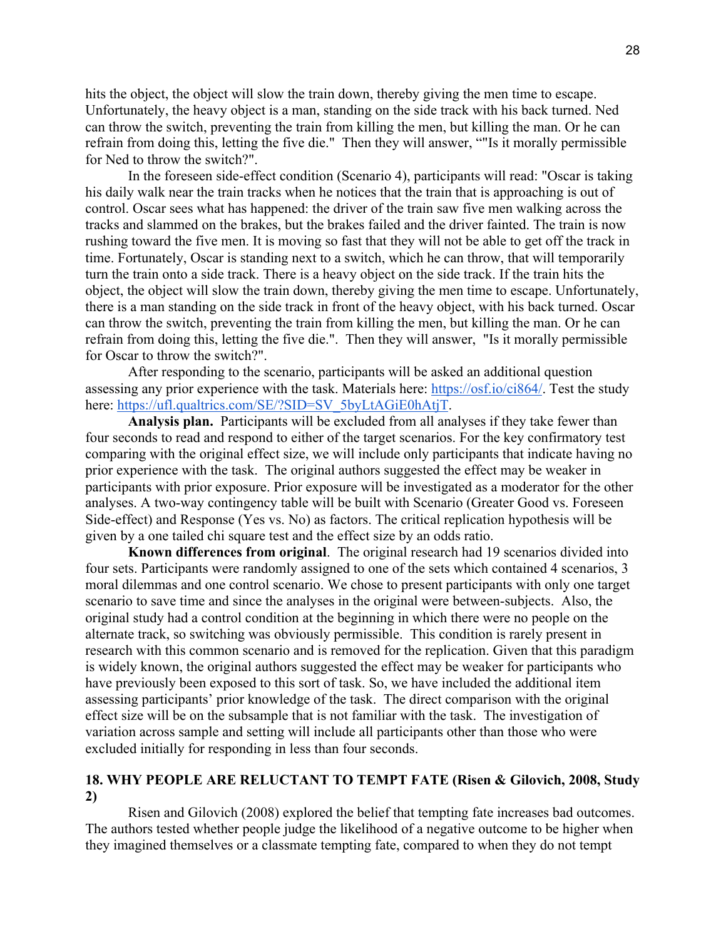hits the object, the object will slow the train down, thereby giving the men time to escape. Unfortunately, the heavy object is a man, standing on the side track with his back turned. Ned can throw the switch, preventing the train from killing the men, but killing the man. Or he can refrain from doing this, letting the five die." Then they will answer, ""Is it morally permissible for Ned to throw the switch?".

In the foreseen side-effect condition (Scenario 4), participants will read: "Oscar is taking his daily walk near the train tracks when he notices that the train that is approaching is out of control. Oscar sees what has happened: the driver of the train saw five men walking across the tracks and slammed on the brakes, but the brakes failed and the driver fainted. The train is now rushing toward the five men. It is moving so fast that they will not be able to get off the track in time. Fortunately, Oscar is standing next to a switch, which he can throw, that will temporarily turn the train onto a side track. There is a heavy object on the side track. If the train hits the object, the object will slow the train down, thereby giving the men time to escape. Unfortunately, there is a man standing on the side track in front of the heavy object, with his back turned. Oscar can throw the switch, preventing the train from killing the men, but killing the man. Or he can refrain from doing this, letting the five die.". Then they will answer, "Is it morally permissible for Oscar to throw the switch?".

After responding to the scenario, participants will be asked an additional question assessing any prior experience with the task. Materials here: https://osf.io/ci864/. Test the study here: https://ufl.qualtrics.com/SE/?SID=SV\_5byLtAGiE0hAtjT.

 **Analysis plan.** Participants will be excluded from all analyses if they take fewer than four seconds to read and respond to either of the target scenarios. For the key confirmatory test comparing with the original effect size, we will include only participants that indicate having no prior experience with the task. The original authors suggested the effect may be weaker in participants with prior exposure. Prior exposure will be investigated as a moderator for the other analyses. A two-way contingency table will be built with Scenario (Greater Good vs. Foreseen Side-effect) and Response (Yes vs. No) as factors. The critical replication hypothesis will be given by a one tailed chi square test and the effect size by an odds ratio.

 **Known differences from original**. The original research had 19 scenarios divided into four sets. Participants were randomly assigned to one of the sets which contained 4 scenarios, 3 moral dilemmas and one control scenario. We chose to present participants with only one target scenario to save time and since the analyses in the original were between-subjects. Also, the original study had a control condition at the beginning in which there were no people on the alternate track, so switching was obviously permissible. This condition is rarely present in research with this common scenario and is removed for the replication. Given that this paradigm is widely known, the original authors suggested the effect may be weaker for participants who have previously been exposed to this sort of task. So, we have included the additional item assessing participants' prior knowledge of the task. The direct comparison with the original effect size will be on the subsample that is not familiar with the task. The investigation of variation across sample and setting will include all participants other than those who were excluded initially for responding in less than four seconds.

### **18. WHY PEOPLE ARE RELUCTANT TO TEMPT FATE (Risen & Gilovich, 2008, Study 2)**

Risen and Gilovich (2008) explored the belief that tempting fate increases bad outcomes. The authors tested whether people judge the likelihood of a negative outcome to be higher when they imagined themselves or a classmate tempting fate, compared to when they do not tempt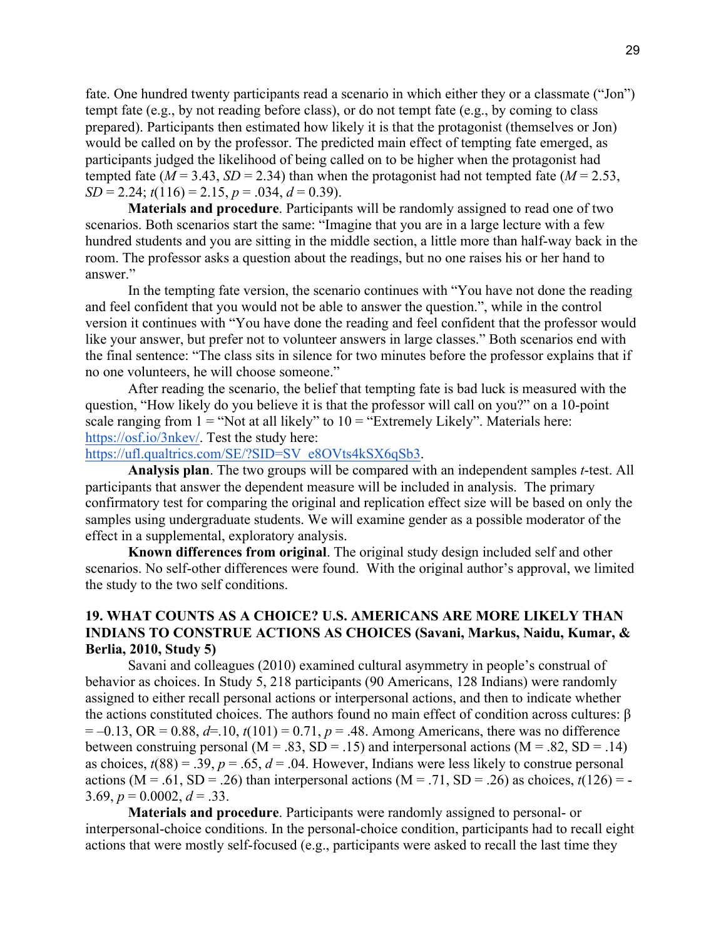fate. One hundred twenty participants read a scenario in which either they or a classmate ("Jon") tempt fate (e.g., by not reading before class), or do not tempt fate (e.g., by coming to class prepared). Participants then estimated how likely it is that the protagonist (themselves or Jon) would be called on by the professor. The predicted main effect of tempting fate emerged, as participants judged the likelihood of being called on to be higher when the protagonist had tempted fate ( $M = 3.43$ ,  $SD = 2.34$ ) than when the protagonist had not tempted fate ( $M = 2.53$ ,  $SD = 2.24$ ;  $t(116) = 2.15$ ,  $p = .034$ ,  $d = 0.39$ ).

**Materials and procedure**. Participants will be randomly assigned to read one of two scenarios. Both scenarios start the same: "Imagine that you are in a large lecture with a few hundred students and you are sitting in the middle section, a little more than half-way back in the room. The professor asks a question about the readings, but no one raises his or her hand to answer"

In the tempting fate version, the scenario continues with "You have not done the reading and feel confident that you would not be able to answer the question.", while in the control version it continues with "You have done the reading and feel confident that the professor would like your answer, but prefer not to volunteer answers in large classes." Both scenarios end with the final sentence: "The class sits in silence for two minutes before the professor explains that if no one volunteers, he will choose someone."

After reading the scenario, the belief that tempting fate is bad luck is measured with the question, "How likely do you believe it is that the professor will call on you?" on a 10-point scale ranging from  $1 =$  "Not at all likely" to  $10 =$  "Extremely Likely". Materials here: https://osf.io/3nkev/. Test the study here:

https://ufl.qualtrics.com/SE/?SID=SV\_e8OVts4kSX6qSb3.

**Analysis plan**. The two groups will be compared with an independent samples *t*-test. All participants that answer the dependent measure will be included in analysis. The primary confirmatory test for comparing the original and replication effect size will be based on only the samples using undergraduate students. We will examine gender as a possible moderator of the effect in a supplemental, exploratory analysis.

**Known differences from original**. The original study design included self and other scenarios. No self-other differences were found. With the original author's approval, we limited the study to the two self conditions.

# **19. WHAT COUNTS AS A CHOICE? U.S. AMERICANS ARE MORE LIKELY THAN INDIANS TO CONSTRUE ACTIONS AS CHOICES (Savani, Markus, Naidu, Kumar, & Berlia, 2010, Study 5)**

Savani and colleagues (2010) examined cultural asymmetry in people's construal of behavior as choices. In Study 5, 218 participants (90 Americans, 128 Indians) were randomly assigned to either recall personal actions or interpersonal actions, and then to indicate whether the actions constituted choices. The authors found no main effect of condition across cultures: β  $= -0.13$ , OR  $= 0.88$ ,  $d=10$ ,  $t(101) = 0.71$ ,  $p = .48$ . Among Americans, there was no difference between construing personal ( $M = .83$ ,  $SD = .15$ ) and interpersonal actions ( $M = .82$ ,  $SD = .14$ ) as choices,  $t(88) = 0.39$ ,  $p = 0.65$ ,  $d = 0.04$ . However, Indians were less likely to construe personal actions (M = .61, SD = .26) than interpersonal actions (M = .71, SD = .26) as choices,  $t(126)$  = -3.69,  $p = 0.0002$ ,  $d = 0.33$ .

**Materials and procedure**. Participants were randomly assigned to personal- or interpersonal-choice conditions. In the personal-choice condition, participants had to recall eight actions that were mostly self-focused (e.g., participants were asked to recall the last time they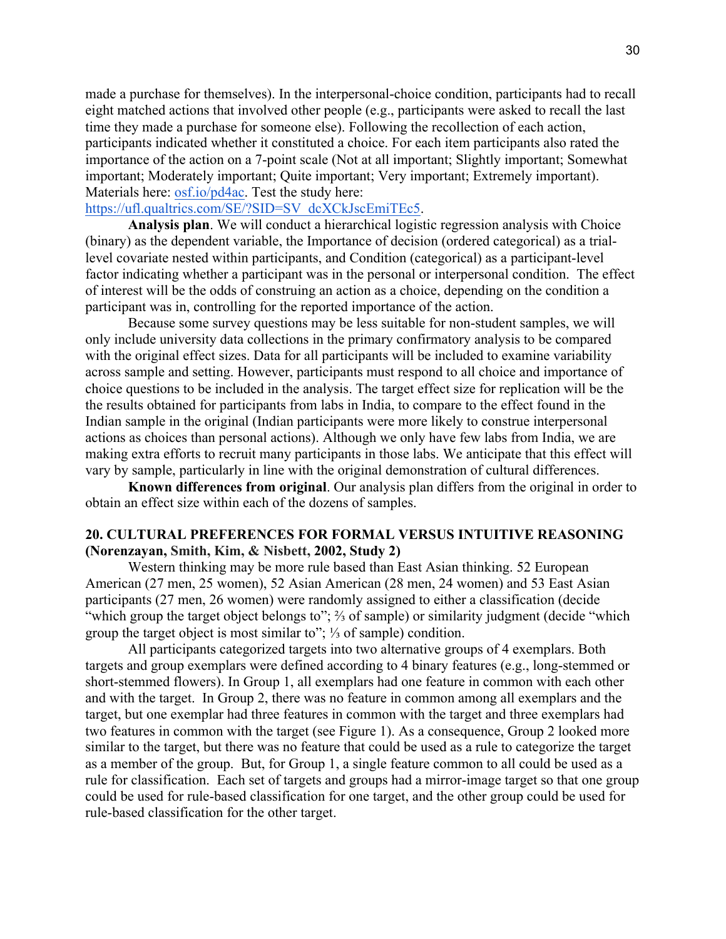made a purchase for themselves). In the interpersonal-choice condition, participants had to recall eight matched actions that involved other people (e.g., participants were asked to recall the last time they made a purchase for someone else). Following the recollection of each action, participants indicated whether it constituted a choice. For each item participants also rated the importance of the action on a 7-point scale (Not at all important; Slightly important; Somewhat important; Moderately important; Quite important; Very important; Extremely important). Materials here: osf.io/pd4ac. Test the study here:

### https://ufl.qualtrics.com/SE/?SID=SV\_dcXCkJscEmiTEc5.

**Analysis plan**. We will conduct a hierarchical logistic regression analysis with Choice (binary) as the dependent variable, the Importance of decision (ordered categorical) as a triallevel covariate nested within participants, and Condition (categorical) as a participant-level factor indicating whether a participant was in the personal or interpersonal condition. The effect of interest will be the odds of construing an action as a choice, depending on the condition a participant was in, controlling for the reported importance of the action.

Because some survey questions may be less suitable for non-student samples, we will only include university data collections in the primary confirmatory analysis to be compared with the original effect sizes. Data for all participants will be included to examine variability across sample and setting. However, participants must respond to all choice and importance of choice questions to be included in the analysis. The target effect size for replication will be the the results obtained for participants from labs in India, to compare to the effect found in the Indian sample in the original (Indian participants were more likely to construe interpersonal actions as choices than personal actions). Although we only have few labs from India, we are making extra efforts to recruit many participants in those labs. We anticipate that this effect will vary by sample, particularly in line with the original demonstration of cultural differences.

**Known differences from original**. Our analysis plan differs from the original in order to obtain an effect size within each of the dozens of samples.

# **20. CULTURAL PREFERENCES FOR FORMAL VERSUS INTUITIVE REASONING (Norenzayan, Smith, Kim, & Nisbett, 2002, Study 2)**

Western thinking may be more rule based than East Asian thinking. 52 European American (27 men, 25 women), 52 Asian American (28 men, 24 women) and 53 East Asian participants (27 men, 26 women) were randomly assigned to either a classification (decide "which group the target object belongs to"; ⅔ of sample) or similarity judgment (decide "which group the target object is most similar to"; ⅓ of sample) condition.

All participants categorized targets into two alternative groups of 4 exemplars. Both targets and group exemplars were defined according to 4 binary features (e.g., long-stemmed or short-stemmed flowers). In Group 1, all exemplars had one feature in common with each other and with the target. In Group 2, there was no feature in common among all exemplars and the target, but one exemplar had three features in common with the target and three exemplars had two features in common with the target (see Figure 1). As a consequence, Group 2 looked more similar to the target, but there was no feature that could be used as a rule to categorize the target as a member of the group. But, for Group 1, a single feature common to all could be used as a rule for classification. Each set of targets and groups had a mirror-image target so that one group could be used for rule-based classification for one target, and the other group could be used for rule-based classification for the other target.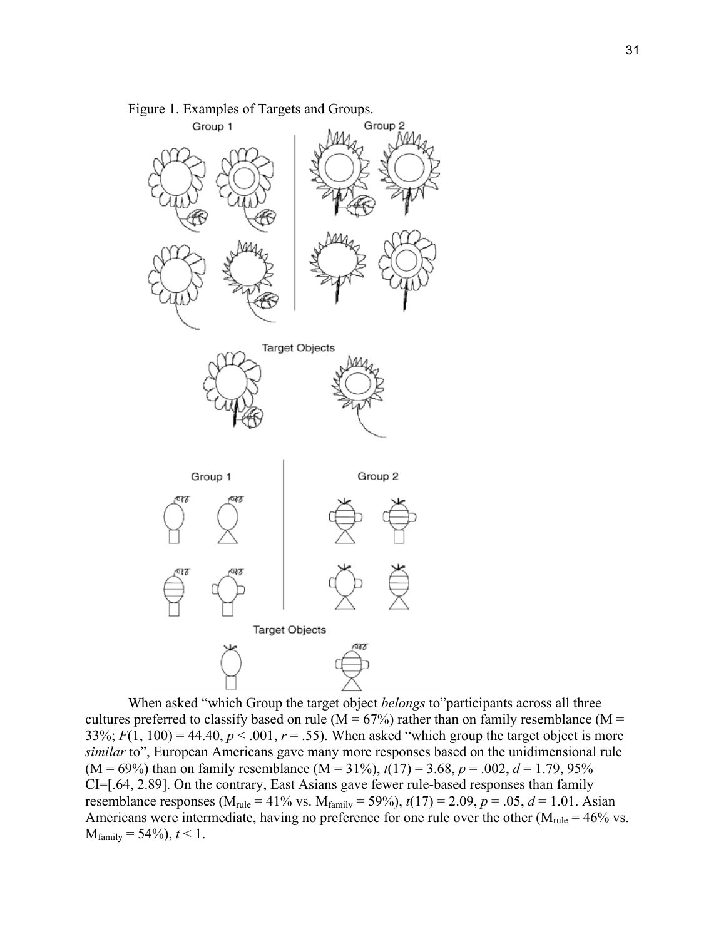

Figure 1. Examples of Targets and Groups.

When asked "which Group the target object *belongs* to"participants across all three cultures preferred to classify based on rule ( $M = 67\%$ ) rather than on family resemblance ( $M =$ 33%;  $F(1, 100) = 44.40$ ,  $p < .001$ ,  $r = .55$ ). When asked "which group the target object is more *similar* to", European Americans gave many more responses based on the unidimensional rule  $(M = 69\%)$  than on family resemblance  $(M = 31\%)$ ,  $t(17) = 3.68$ ,  $p = .002$ ,  $d = 1.79$ , 95% CI=[.64, 2.89]. On the contrary, East Asians gave fewer rule-based responses than family resemblance responses ( $M_{\text{rule}} = 41\%$  vs.  $M_{\text{family}} = 59\%$ ),  $t(17) = 2.09$ ,  $p = .05$ ,  $d = 1.01$ . Asian Americans were intermediate, having no preference for one rule over the other ( $M_{\text{rule}} = 46\%$  vs.  $M_{\text{family}} = 54\%$ ,  $t < 1$ .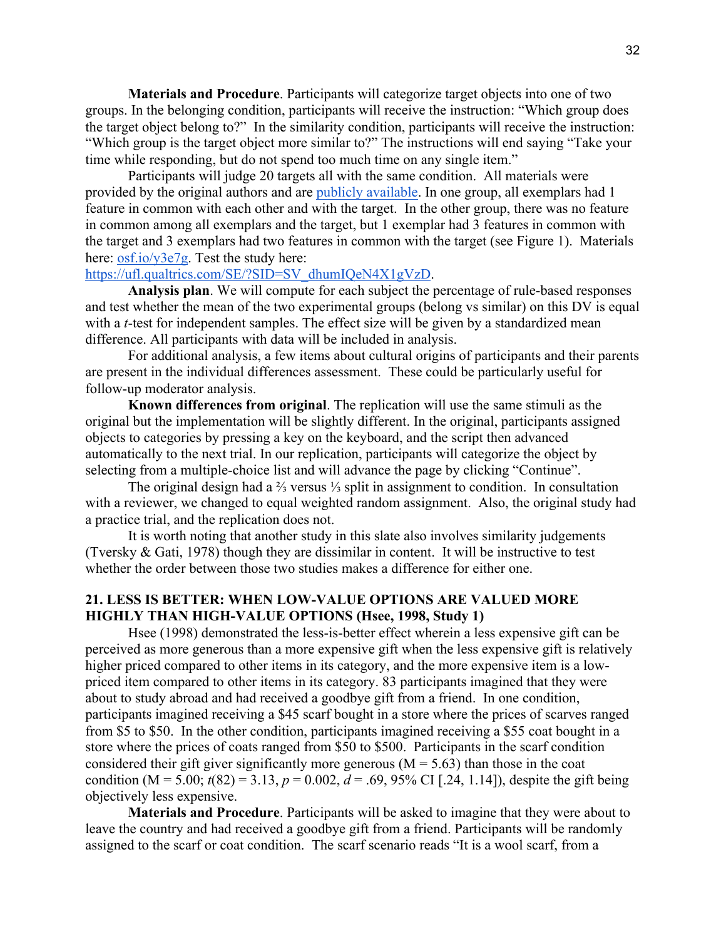**Materials and Procedure**. Participants will categorize target objects into one of two groups. In the belonging condition, participants will receive the instruction: "Which group does the target object belong to?" In the similarity condition, participants will receive the instruction: "Which group is the target object more similar to?" The instructions will end saying "Take your time while responding, but do not spend too much time on any single item."

Participants will judge 20 targets all with the same condition. All materials were provided by the original authors and are publicly available. In one group, all exemplars had 1 feature in common with each other and with the target. In the other group, there was no feature in common among all exemplars and the target, but 1 exemplar had 3 features in common with the target and 3 exemplars had two features in common with the target (see Figure 1). Materials here: osf.io/y3e7g. Test the study here:

# https://ufl.qualtrics.com/SE/?SID=SV\_dhumIQeN4X1gVzD.

**Analysis plan**. We will compute for each subject the percentage of rule-based responses and test whether the mean of the two experimental groups (belong vs similar) on this DV is equal with a *t*-test for independent samples. The effect size will be given by a standardized mean difference. All participants with data will be included in analysis.

For additional analysis, a few items about cultural origins of participants and their parents are present in the individual differences assessment. These could be particularly useful for follow-up moderator analysis.

**Known differences from original**. The replication will use the same stimuli as the original but the implementation will be slightly different. In the original, participants assigned objects to categories by pressing a key on the keyboard, and the script then advanced automatically to the next trial. In our replication, participants will categorize the object by selecting from a multiple-choice list and will advance the page by clicking "Continue".

The original design had a ⅔ versus ⅓ split in assignment to condition. In consultation with a reviewer, we changed to equal weighted random assignment. Also, the original study had a practice trial, and the replication does not.

It is worth noting that another study in this slate also involves similarity judgements (Tversky & Gati, 1978) though they are dissimilar in content. It will be instructive to test whether the order between those two studies makes a difference for either one.

# **21. LESS IS BETTER: WHEN LOW-VALUE OPTIONS ARE VALUED MORE HIGHLY THAN HIGH-VALUE OPTIONS (Hsee, 1998, Study 1)**

Hsee (1998) demonstrated the less-is-better effect wherein a less expensive gift can be perceived as more generous than a more expensive gift when the less expensive gift is relatively higher priced compared to other items in its category, and the more expensive item is a lowpriced item compared to other items in its category. 83 participants imagined that they were about to study abroad and had received a goodbye gift from a friend. In one condition, participants imagined receiving a \$45 scarf bought in a store where the prices of scarves ranged from \$5 to \$50. In the other condition, participants imagined receiving a \$55 coat bought in a store where the prices of coats ranged from \$50 to \$500. Participants in the scarf condition considered their gift giver significantly more generous ( $M = 5.63$ ) than those in the coat condition (M = 5.00;  $t(82) = 3.13$ ,  $p = 0.002$ ,  $d = .69$ , 95% CI [.24, 1.14]), despite the gift being objectively less expensive.

**Materials and Procedure**. Participants will be asked to imagine that they were about to leave the country and had received a goodbye gift from a friend. Participants will be randomly assigned to the scarf or coat condition. The scarf scenario reads "It is a wool scarf, from a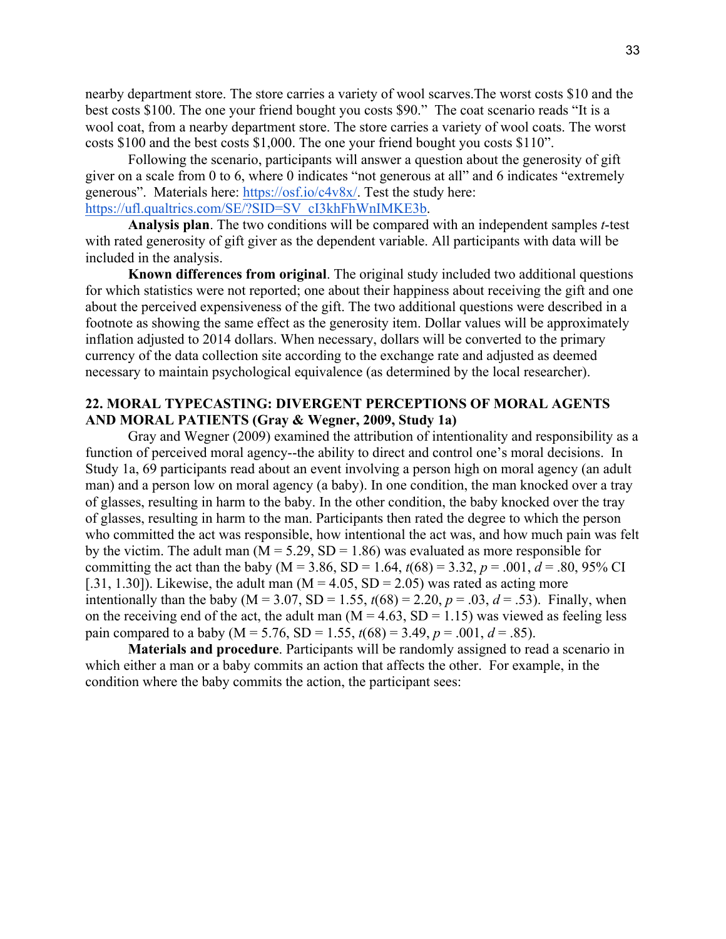nearby department store. The store carries a variety of wool scarves.The worst costs \$10 and the best costs \$100. The one your friend bought you costs \$90." The coat scenario reads "It is a wool coat, from a nearby department store. The store carries a variety of wool coats. The worst costs \$100 and the best costs \$1,000. The one your friend bought you costs \$110".

Following the scenario, participants will answer a question about the generosity of gift giver on a scale from 0 to 6, where 0 indicates "not generous at all" and 6 indicates "extremely generous". Materials here: https://osf.io/c4v8x/. Test the study here: https://ufl.qualtrics.com/SE/?SID=SV\_cI3khFhWnIMKE3b.

**Analysis plan**. The two conditions will be compared with an independent samples *t*-test with rated generosity of gift giver as the dependent variable. All participants with data will be included in the analysis.

**Known differences from original**. The original study included two additional questions for which statistics were not reported; one about their happiness about receiving the gift and one about the perceived expensiveness of the gift. The two additional questions were described in a footnote as showing the same effect as the generosity item. Dollar values will be approximately inflation adjusted to 2014 dollars. When necessary, dollars will be converted to the primary currency of the data collection site according to the exchange rate and adjusted as deemed necessary to maintain psychological equivalence (as determined by the local researcher).

### **22. MORAL TYPECASTING: DIVERGENT PERCEPTIONS OF MORAL AGENTS AND MORAL PATIENTS (Gray & Wegner, 2009, Study 1a)**

Gray and Wegner (2009) examined the attribution of intentionality and responsibility as a function of perceived moral agency--the ability to direct and control one's moral decisions. In Study 1a, 69 participants read about an event involving a person high on moral agency (an adult man) and a person low on moral agency (a baby). In one condition, the man knocked over a tray of glasses, resulting in harm to the baby. In the other condition, the baby knocked over the tray of glasses, resulting in harm to the man. Participants then rated the degree to which the person who committed the act was responsible, how intentional the act was, and how much pain was felt by the victim. The adult man  $(M = 5.29, SD = 1.86)$  was evaluated as more responsible for committing the act than the baby ( $M = 3.86$ ,  $SD = 1.64$ ,  $t(68) = 3.32$ ,  $p = .001$ ,  $d = .80$ , 95% CI [.31, 1.30]). Likewise, the adult man  $(M = 4.05, SD = 2.05)$  was rated as acting more intentionally than the baby (M = 3.07, SD = 1.55,  $t(68) = 2.20$ ,  $p = .03$ ,  $d = .53$ ). Finally, when on the receiving end of the act, the adult man  $(M = 4.63, SD = 1.15)$  was viewed as feeling less pain compared to a baby ( $M = 5.76$ ,  $SD = 1.55$ ,  $t(68) = 3.49$ ,  $p = .001$ ,  $d = .85$ ).

**Materials and procedure**. Participants will be randomly assigned to read a scenario in which either a man or a baby commits an action that affects the other. For example, in the condition where the baby commits the action, the participant sees: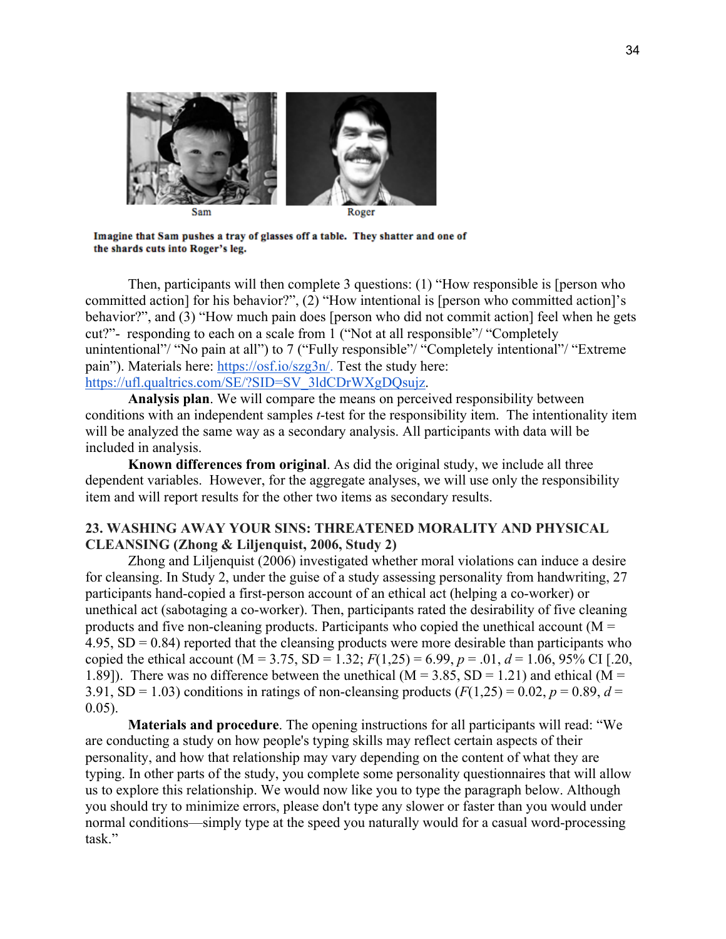

Imagine that Sam pushes a tray of glasses off a table. They shatter and one of the shards cuts into Roger's leg.

Then, participants will then complete 3 questions: (1) "How responsible is [person who committed action] for his behavior?", (2) "How intentional is [person who committed action]'s behavior?", and (3) "How much pain does [person who did not commit action] feel when he gets cut?"- responding to each on a scale from 1 ("Not at all responsible"/ "Completely unintentional"/ "No pain at all") to 7 ("Fully responsible"/ "Completely intentional"/ "Extreme pain"). Materials here: https://osf.io/szg3n/. Test the study here: https://ufl.qualtrics.com/SE/?SID=SV\_3ldCDrWXgDQsujz.

**Analysis plan**. We will compare the means on perceived responsibility between conditions with an independent samples *t*-test for the responsibility item. The intentionality item will be analyzed the same way as a secondary analysis. All participants with data will be included in analysis.

**Known differences from original**. As did the original study, we include all three dependent variables. However, for the aggregate analyses, we will use only the responsibility item and will report results for the other two items as secondary results.

# **23. WASHING AWAY YOUR SINS: THREATENED MORALITY AND PHYSICAL CLEANSING (Zhong & Liljenquist, 2006, Study 2)**

Zhong and Liljenquist (2006) investigated whether moral violations can induce a desire for cleansing. In Study 2, under the guise of a study assessing personality from handwriting, 27 participants hand-copied a first-person account of an ethical act (helping a co-worker) or unethical act (sabotaging a co-worker). Then, participants rated the desirability of five cleaning products and five non-cleaning products. Participants who copied the unethical account ( $M =$  $4.95$ , SD = 0.84) reported that the cleansing products were more desirable than participants who copied the ethical account (M = 3.75, SD = 1.32;  $F(1,25) = 6.99$ ,  $p = .01$ ,  $d = 1.06$ , 95% CI [.20, 1.89]). There was no difference between the unethical ( $M = 3.85$ , SD = 1.21) and ethical ( $M =$ 3.91, SD = 1.03) conditions in ratings of non-cleansing products  $(F(1,25) = 0.02, p = 0.89, d =$ 0.05).

**Materials and procedure**. The opening instructions for all participants will read: "We are conducting a study on how people's typing skills may reflect certain aspects of their personality, and how that relationship may vary depending on the content of what they are typing. In other parts of the study, you complete some personality questionnaires that will allow us to explore this relationship. We would now like you to type the paragraph below. Although you should try to minimize errors, please don't type any slower or faster than you would under normal conditions—simply type at the speed you naturally would for a casual word-processing task."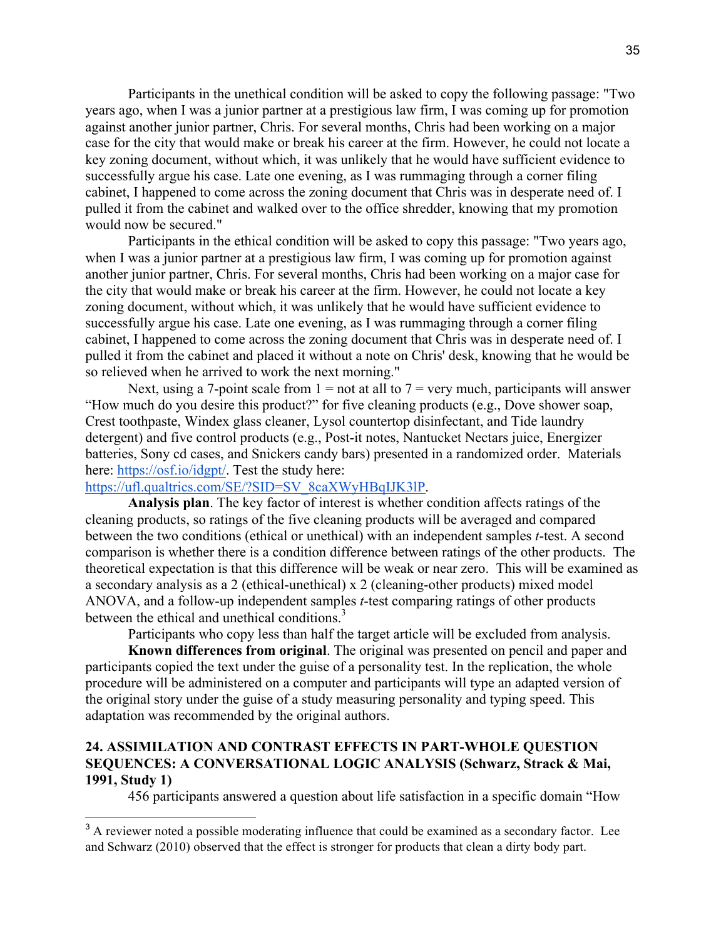Participants in the unethical condition will be asked to copy the following passage: "Two years ago, when I was a junior partner at a prestigious law firm, I was coming up for promotion against another junior partner, Chris. For several months, Chris had been working on a major case for the city that would make or break his career at the firm. However, he could not locate a key zoning document, without which, it was unlikely that he would have sufficient evidence to successfully argue his case. Late one evening, as I was rummaging through a corner filing cabinet, I happened to come across the zoning document that Chris was in desperate need of. I pulled it from the cabinet and walked over to the office shredder, knowing that my promotion would now be secured."

Participants in the ethical condition will be asked to copy this passage: "Two years ago, when I was a junior partner at a prestigious law firm, I was coming up for promotion against another junior partner, Chris. For several months, Chris had been working on a major case for the city that would make or break his career at the firm. However, he could not locate a key zoning document, without which, it was unlikely that he would have sufficient evidence to successfully argue his case. Late one evening, as I was rummaging through a corner filing cabinet, I happened to come across the zoning document that Chris was in desperate need of. I pulled it from the cabinet and placed it without a note on Chris' desk, knowing that he would be so relieved when he arrived to work the next morning."

Next, using a 7-point scale from  $1 =$  not at all to  $7 =$  very much, participants will answer "How much do you desire this product?" for five cleaning products (e.g., Dove shower soap, Crest toothpaste, Windex glass cleaner, Lysol countertop disinfectant, and Tide laundry detergent) and five control products (e.g., Post-it notes, Nantucket Nectars juice, Energizer batteries, Sony cd cases, and Snickers candy bars) presented in a randomized order. Materials here: https://osf.io/idgpt/. Test the study here:

### https://ufl.qualtrics.com/SE/?SID=SV\_8caXWyHBqIJK3lP.

**Analysis plan**. The key factor of interest is whether condition affects ratings of the cleaning products, so ratings of the five cleaning products will be averaged and compared between the two conditions (ethical or unethical) with an independent samples *t*-test. A second comparison is whether there is a condition difference between ratings of the other products. The theoretical expectation is that this difference will be weak or near zero. This will be examined as a secondary analysis as a 2 (ethical-unethical) x 2 (cleaning-other products) mixed model ANOVA, and a follow-up independent samples *t*-test comparing ratings of other products between the ethical and unethical conditions.<sup>3</sup>

Participants who copy less than half the target article will be excluded from analysis.

**Known differences from original**. The original was presented on pencil and paper and participants copied the text under the guise of a personality test. In the replication, the whole procedure will be administered on a computer and participants will type an adapted version of the original story under the guise of a study measuring personality and typing speed. This adaptation was recommended by the original authors.

# **24. ASSIMILATION AND CONTRAST EFFECTS IN PART-WHOLE QUESTION SEQUENCES: A CONVERSATIONAL LOGIC ANALYSIS (Schwarz, Strack & Mai, 1991, Study 1)**

456 participants answered a question about life satisfaction in a specific domain "How

<sup>&</sup>lt;sup>3</sup> A reviewer noted a possible moderating influence that could be examined as a secondary factor. Lee and Schwarz (2010) observed that the effect is stronger for products that clean a dirty body part.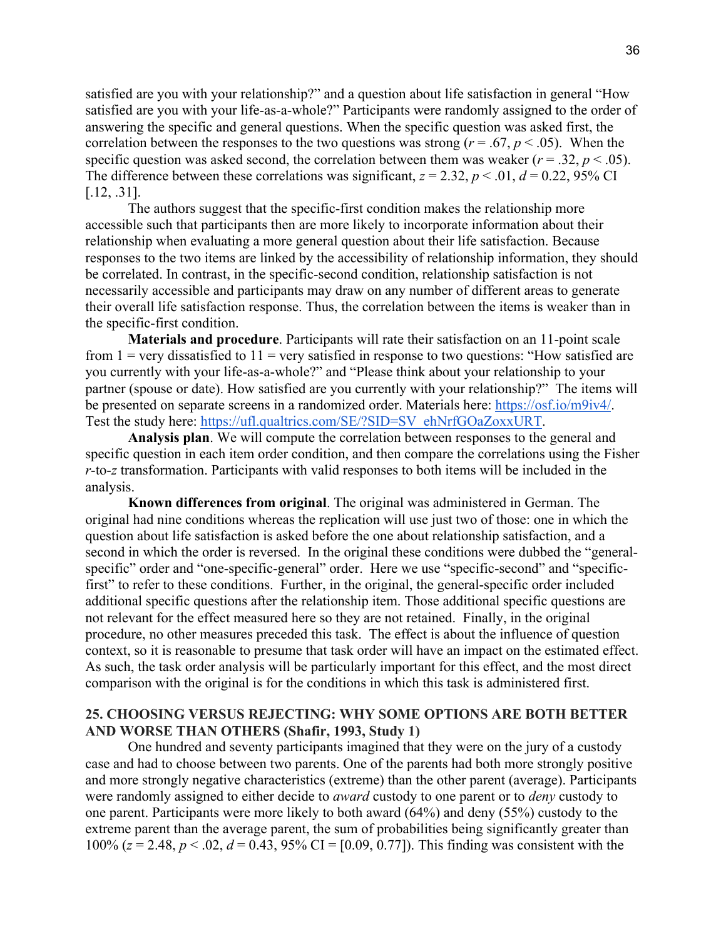satisfied are you with your relationship?" and a question about life satisfaction in general "How satisfied are you with your life-as-a-whole?" Participants were randomly assigned to the order of answering the specific and general questions. When the specific question was asked first, the correlation between the responses to the two questions was strong ( $r = .67$ ,  $p < .05$ ). When the specific question was asked second, the correlation between them was weaker ( $r = .32$ ,  $p < .05$ ). The difference between these correlations was significant,  $z = 2.32$ ,  $p < .01$ ,  $d = 0.22$ , 95% CI [.12, .31].

The authors suggest that the specific-first condition makes the relationship more accessible such that participants then are more likely to incorporate information about their relationship when evaluating a more general question about their life satisfaction. Because responses to the two items are linked by the accessibility of relationship information, they should be correlated. In contrast, in the specific-second condition, relationship satisfaction is not necessarily accessible and participants may draw on any number of different areas to generate their overall life satisfaction response. Thus, the correlation between the items is weaker than in the specific-first condition.

**Materials and procedure**. Participants will rate their satisfaction on an 11-point scale from  $1 =$  very dissatisfied to  $11 =$  very satisfied in response to two questions: "How satisfied are you currently with your life-as-a-whole?" and "Please think about your relationship to your partner (spouse or date). How satisfied are you currently with your relationship?" The items will be presented on separate screens in a randomized order. Materials here: https://osf.io/m9iv4/. Test the study here: https://ufl.qualtrics.com/SE/?SID=SV\_ehNrfGOaZoxxURT.

**Analysis plan**. We will compute the correlation between responses to the general and specific question in each item order condition, and then compare the correlations using the Fisher *r*-to-*z* transformation. Participants with valid responses to both items will be included in the analysis.

**Known differences from original**. The original was administered in German. The original had nine conditions whereas the replication will use just two of those: one in which the question about life satisfaction is asked before the one about relationship satisfaction, and a second in which the order is reversed. In the original these conditions were dubbed the "generalspecific" order and "one-specific-general" order. Here we use "specific-second" and "specificfirst" to refer to these conditions. Further, in the original, the general-specific order included additional specific questions after the relationship item. Those additional specific questions are not relevant for the effect measured here so they are not retained. Finally, in the original procedure, no other measures preceded this task. The effect is about the influence of question context, so it is reasonable to presume that task order will have an impact on the estimated effect. As such, the task order analysis will be particularly important for this effect, and the most direct comparison with the original is for the conditions in which this task is administered first.

### **25. CHOOSING VERSUS REJECTING: WHY SOME OPTIONS ARE BOTH BETTER AND WORSE THAN OTHERS (Shafir, 1993, Study 1)**

One hundred and seventy participants imagined that they were on the jury of a custody case and had to choose between two parents. One of the parents had both more strongly positive and more strongly negative characteristics (extreme) than the other parent (average). Participants were randomly assigned to either decide to *award* custody to one parent or to *deny* custody to one parent. Participants were more likely to both award (64%) and deny (55%) custody to the extreme parent than the average parent, the sum of probabilities being significantly greater than 100% ( $z = 2.48$ ,  $p < .02$ ,  $d = 0.43$ , 95% CI = [0.09, 0.77]). This finding was consistent with the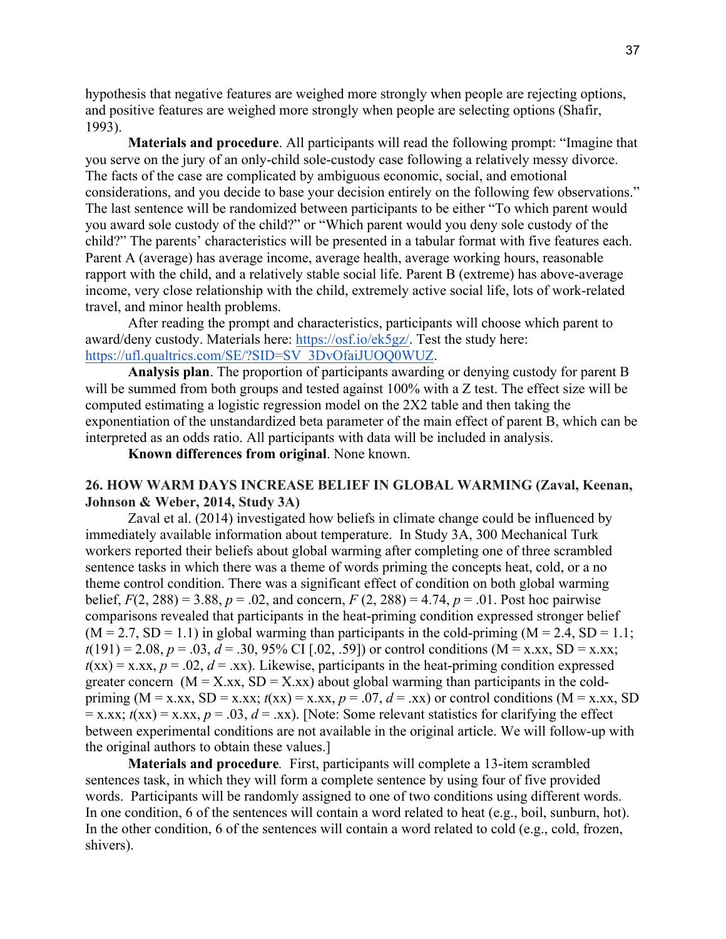hypothesis that negative features are weighed more strongly when people are rejecting options, and positive features are weighed more strongly when people are selecting options (Shafir, 1993).

**Materials and procedure**. All participants will read the following prompt: "Imagine that you serve on the jury of an only-child sole-custody case following a relatively messy divorce. The facts of the case are complicated by ambiguous economic, social, and emotional considerations, and you decide to base your decision entirely on the following few observations." The last sentence will be randomized between participants to be either "To which parent would you award sole custody of the child?" or "Which parent would you deny sole custody of the child?" The parents' characteristics will be presented in a tabular format with five features each. Parent A (average) has average income, average health, average working hours, reasonable rapport with the child, and a relatively stable social life. Parent B (extreme) has above-average income, very close relationship with the child, extremely active social life, lots of work-related travel, and minor health problems.

After reading the prompt and characteristics, participants will choose which parent to award/deny custody. Materials here: https://osf.io/ek5gz/. Test the study here: https://ufl.qualtrics.com/SE/?SID=SV\_3DvOfaiJUOQ0WUZ.

**Analysis plan**. The proportion of participants awarding or denying custody for parent B will be summed from both groups and tested against 100% with a Z test. The effect size will be computed estimating a logistic regression model on the 2X2 table and then taking the exponentiation of the unstandardized beta parameter of the main effect of parent B, which can be interpreted as an odds ratio. All participants with data will be included in analysis.

**Known differences from original**. None known.

### **26. HOW WARM DAYS INCREASE BELIEF IN GLOBAL WARMING (Zaval, Keenan, Johnson & Weber, 2014, Study 3A)**

Zaval et al. (2014) investigated how beliefs in climate change could be influenced by immediately available information about temperature. In Study 3A, 300 Mechanical Turk workers reported their beliefs about global warming after completing one of three scrambled sentence tasks in which there was a theme of words priming the concepts heat, cold, or a no theme control condition. There was a significant effect of condition on both global warming belief,  $F(2, 288) = 3.88$ ,  $p = .02$ , and concern,  $F(2, 288) = 4.74$ ,  $p = .01$ . Post hoc pairwise comparisons revealed that participants in the heat-priming condition expressed stronger belief  $(M = 2.7, SD = 1.1)$  in global warming than participants in the cold-priming  $(M = 2.4, SD = 1.1;$  $t(191) = 2.08$ ,  $p = .03$ ,  $d = .30$ ,  $95\%$  CI [.02, .59]) or control conditions (M = x.xx, SD = x.xx;  $t(xx) = x(xx, p = .02, d = .xx)$ . Likewise, participants in the heat-priming condition expressed greater concern  $(M = X, xx, SD = X, xx)$  about global warming than participants in the coldpriming ( $M = x$ , xx,  $SD = x$ , xx;  $t(xx) = x$ , xx,  $p = .07$ ,  $d = .xx$ ) or control conditions ( $M = x$ , xx, SD  $x = x.$ xx;  $t(xx) = x.$ xx,  $p = .03$ ,  $d = .xx$ ). [Note: Some relevant statistics for clarifying the effect between experimental conditions are not available in the original article. We will follow-up with the original authors to obtain these values.]

**Materials and procedure***.* First, participants will complete a 13-item scrambled sentences task, in which they will form a complete sentence by using four of five provided words. Participants will be randomly assigned to one of two conditions using different words. In one condition, 6 of the sentences will contain a word related to heat (e.g., boil, sunburn, hot). In the other condition, 6 of the sentences will contain a word related to cold (e.g., cold, frozen, shivers).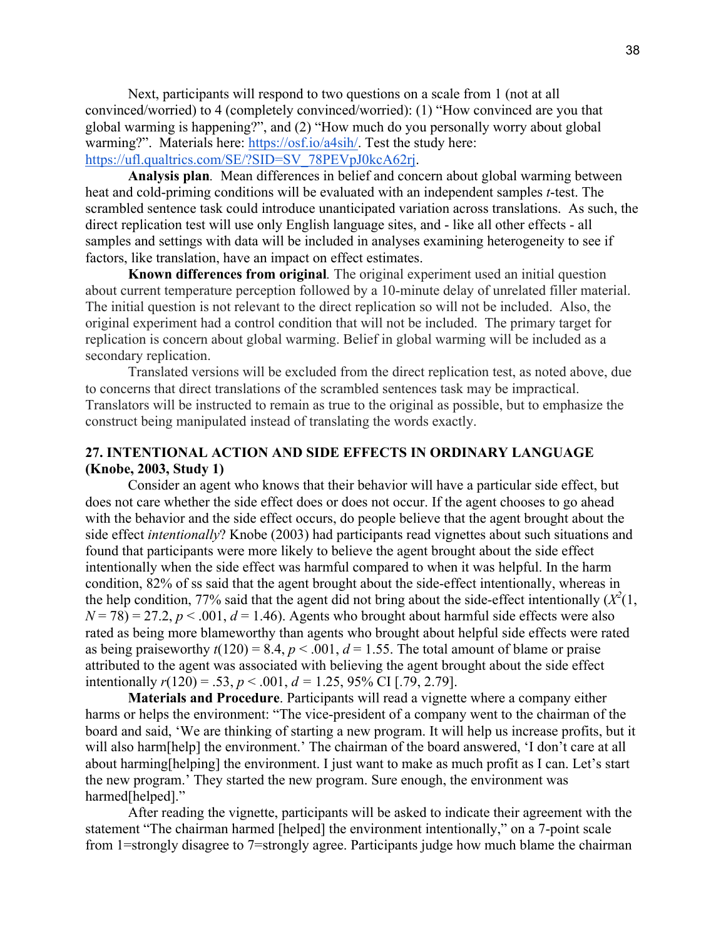Next, participants will respond to two questions on a scale from 1 (not at all convinced/worried) to 4 (completely convinced/worried): (1) "How convinced are you that global warming is happening?", and (2) "How much do you personally worry about global warming?". Materials here: https://osf.io/a4sih/. Test the study here: https://ufl.qualtrics.com/SE/?SID=SV\_78PEVpJ0kcA62rj.

**Analysis plan***.* Mean differences in belief and concern about global warming between heat and cold-priming conditions will be evaluated with an independent samples *t*-test. The scrambled sentence task could introduce unanticipated variation across translations. As such, the direct replication test will use only English language sites, and - like all other effects - all samples and settings with data will be included in analyses examining heterogeneity to see if factors, like translation, have an impact on effect estimates.

**Known differences from original***.* The original experiment used an initial question about current temperature perception followed by a 10-minute delay of unrelated filler material. The initial question is not relevant to the direct replication so will not be included. Also, the original experiment had a control condition that will not be included. The primary target for replication is concern about global warming. Belief in global warming will be included as a secondary replication.

Translated versions will be excluded from the direct replication test, as noted above, due to concerns that direct translations of the scrambled sentences task may be impractical. Translators will be instructed to remain as true to the original as possible, but to emphasize the construct being manipulated instead of translating the words exactly.

# **27. INTENTIONAL ACTION AND SIDE EFFECTS IN ORDINARY LANGUAGE (Knobe, 2003, Study 1)**

Consider an agent who knows that their behavior will have a particular side effect, but does not care whether the side effect does or does not occur. If the agent chooses to go ahead with the behavior and the side effect occurs, do people believe that the agent brought about the side effect *intentionally*? Knobe (2003) had participants read vignettes about such situations and found that participants were more likely to believe the agent brought about the side effect intentionally when the side effect was harmful compared to when it was helpful. In the harm condition, 82% of ss said that the agent brought about the side-effect intentionally, whereas in the help condition, 77% said that the agent did not bring about the side-effect intentionally  $(X^2(1,$  $N = 78$ ) = 27.2,  $p < .001$ ,  $d = 1.46$ ). Agents who brought about harmful side effects were also rated as being more blameworthy than agents who brought about helpful side effects were rated as being praiseworthy  $t(120) = 8.4$ ,  $p < .001$ ,  $d = 1.55$ . The total amount of blame or praise attributed to the agent was associated with believing the agent brought about the side effect intentionally  $r(120) = .53$ ,  $p < .001$ ,  $d = 1.25$ , 95% CI [.79, 2.79].

**Materials and Procedure**. Participants will read a vignette where a company either harms or helps the environment: "The vice-president of a company went to the chairman of the board and said, 'We are thinking of starting a new program. It will help us increase profits, but it will also harm[help] the environment.' The chairman of the board answered, 'I don't care at all about harming[helping] the environment. I just want to make as much profit as I can. Let's start the new program.' They started the new program. Sure enough, the environment was harmed[helped]."

After reading the vignette, participants will be asked to indicate their agreement with the statement "The chairman harmed [helped] the environment intentionally," on a 7-point scale from 1=strongly disagree to 7=strongly agree. Participants judge how much blame the chairman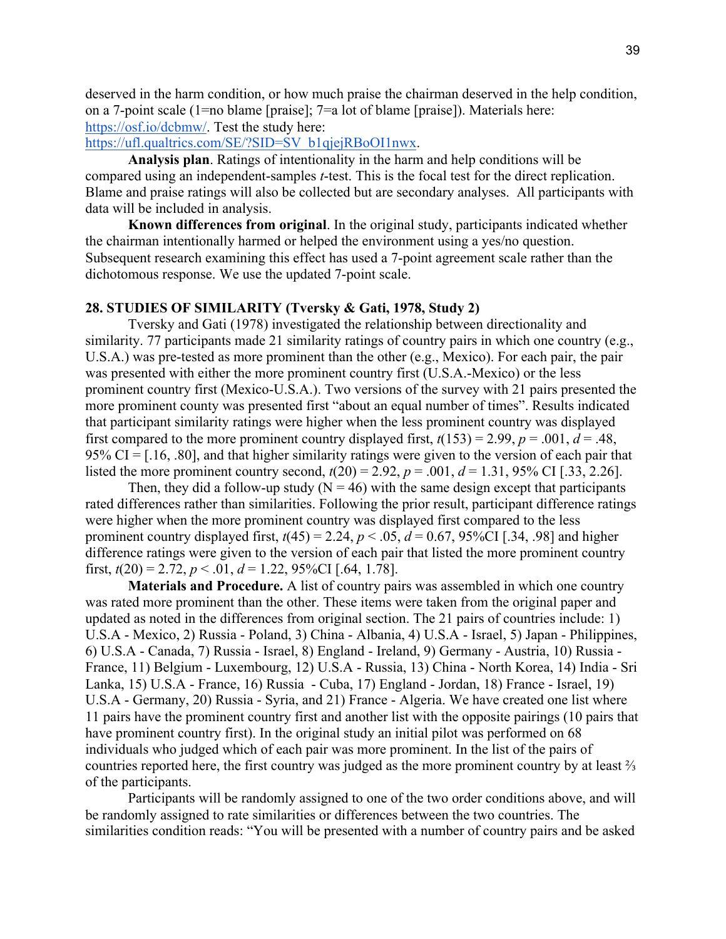deserved in the harm condition, or how much praise the chairman deserved in the help condition, on a 7-point scale (1=no blame [praise]; 7=a lot of blame [praise]). Materials here: https://osf.io/dcbmw/. Test the study here:

https://ufl.qualtrics.com/SE/?SID=SV\_b1qjejRBoOI1nwx.

**Analysis plan**. Ratings of intentionality in the harm and help conditions will be compared using an independent-samples *t*-test. This is the focal test for the direct replication. Blame and praise ratings will also be collected but are secondary analyses. All participants with data will be included in analysis.

**Known differences from original**. In the original study, participants indicated whether the chairman intentionally harmed or helped the environment using a yes/no question. Subsequent research examining this effect has used a 7-point agreement scale rather than the dichotomous response. We use the updated 7-point scale.

#### **28. STUDIES OF SIMILARITY (Tversky & Gati, 1978, Study 2)**

Tversky and Gati (1978) investigated the relationship between directionality and similarity. 77 participants made 21 similarity ratings of country pairs in which one country (e.g., U.S.A.) was pre-tested as more prominent than the other (e.g., Mexico). For each pair, the pair was presented with either the more prominent country first (U.S.A.-Mexico) or the less prominent country first (Mexico-U.S.A.). Two versions of the survey with 21 pairs presented the more prominent county was presented first "about an equal number of times". Results indicated that participant similarity ratings were higher when the less prominent country was displayed first compared to the more prominent country displayed first,  $t(153) = 2.99$ ,  $p = .001$ ,  $d = .48$ , 95% CI =  $[0.16, 0.80]$ , and that higher similarity ratings were given to the version of each pair that listed the more prominent country second,  $t(20) = 2.92$ ,  $p = .001$ ,  $d = 1.31$ , 95% CI [.33, 2.26].

Then, they did a follow-up study ( $N = 46$ ) with the same design except that participants rated differences rather than similarities. Following the prior result, participant difference ratings were higher when the more prominent country was displayed first compared to the less prominent country displayed first,  $t(45) = 2.24$ ,  $p < .05$ ,  $d = 0.67$ , 95%CI [.34, .98] and higher difference ratings were given to the version of each pair that listed the more prominent country first,  $t(20) = 2.72$ ,  $p < 0.01$ ,  $d = 1.22$ , 95%CI [.64, 1.78].

**Materials and Procedure.** A list of country pairs was assembled in which one country was rated more prominent than the other. These items were taken from the original paper and updated as noted in the differences from original section. The 21 pairs of countries include: 1) U.S.A - Mexico, 2) Russia - Poland, 3) China - Albania, 4) U.S.A - Israel, 5) Japan - Philippines, 6) U.S.A - Canada, 7) Russia - Israel, 8) England - Ireland, 9) Germany - Austria, 10) Russia - France, 11) Belgium - Luxembourg, 12) U.S.A - Russia, 13) China - North Korea, 14) India - Sri Lanka, 15) U.S.A - France, 16) Russia - Cuba, 17) England - Jordan, 18) France - Israel, 19) U.S.A - Germany, 20) Russia - Syria, and 21) France - Algeria. We have created one list where 11 pairs have the prominent country first and another list with the opposite pairings (10 pairs that have prominent country first). In the original study an initial pilot was performed on 68 individuals who judged which of each pair was more prominent. In the list of the pairs of countries reported here, the first country was judged as the more prominent country by at least ⅔ of the participants.

Participants will be randomly assigned to one of the two order conditions above, and will be randomly assigned to rate similarities or differences between the two countries. The similarities condition reads: "You will be presented with a number of country pairs and be asked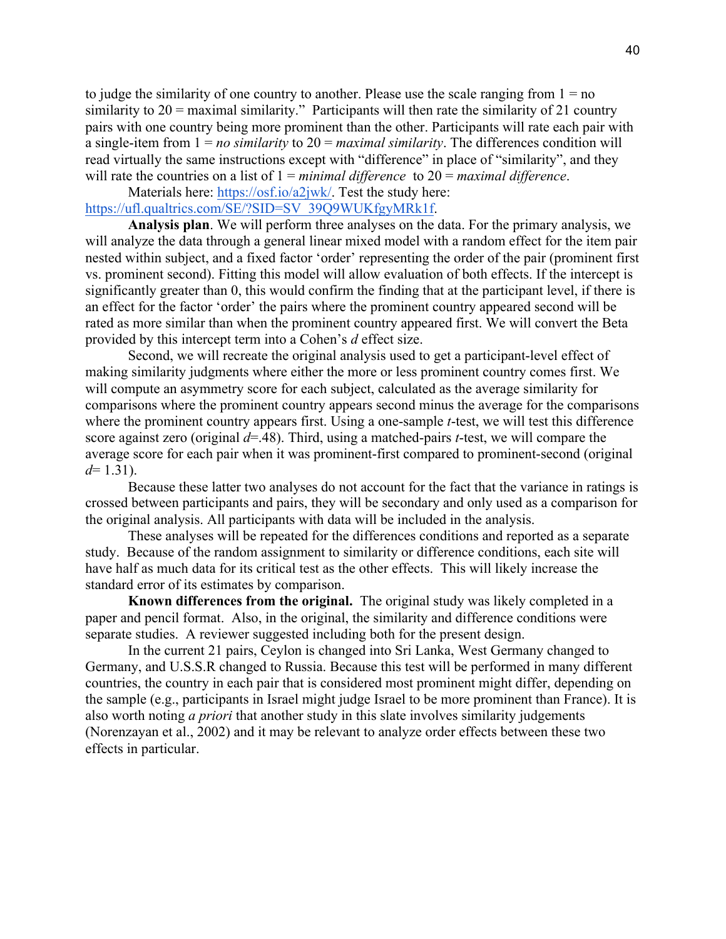to judge the similarity of one country to another. Please use the scale ranging from  $1 = no$ similarity to 20 = maximal similarity." Participants will then rate the similarity of 21 country pairs with one country being more prominent than the other. Participants will rate each pair with a single-item from 1 = *no similarity* to 20 = *maximal similarity*. The differences condition will read virtually the same instructions except with "difference" in place of "similarity", and they will rate the countries on a list of 1 = *minimal difference* to 20 = *maximal difference*.

Materials here: https://osf.io/a2jwk/. Test the study here: https://ufl.qualtrics.com/SE/?SID=SV\_39Q9WUKfgyMRk1f.

**Analysis plan**. We will perform three analyses on the data. For the primary analysis, we will analyze the data through a general linear mixed model with a random effect for the item pair nested within subject, and a fixed factor 'order' representing the order of the pair (prominent first vs. prominent second). Fitting this model will allow evaluation of both effects. If the intercept is significantly greater than 0, this would confirm the finding that at the participant level, if there is an effect for the factor 'order' the pairs where the prominent country appeared second will be rated as more similar than when the prominent country appeared first. We will convert the Beta provided by this intercept term into a Cohen's *d* effect size.

Second, we will recreate the original analysis used to get a participant-level effect of making similarity judgments where either the more or less prominent country comes first. We will compute an asymmetry score for each subject, calculated as the average similarity for comparisons where the prominent country appears second minus the average for the comparisons where the prominent country appears first. Using a one-sample *t*-test, we will test this difference score against zero (original *d*=.48). Third, using a matched-pairs *t*-test, we will compare the average score for each pair when it was prominent-first compared to prominent-second (original *d*= 1.31).

Because these latter two analyses do not account for the fact that the variance in ratings is crossed between participants and pairs, they will be secondary and only used as a comparison for the original analysis. All participants with data will be included in the analysis.

These analyses will be repeated for the differences conditions and reported as a separate study. Because of the random assignment to similarity or difference conditions, each site will have half as much data for its critical test as the other effects. This will likely increase the standard error of its estimates by comparison.

**Known differences from the original.** The original study was likely completed in a paper and pencil format. Also, in the original, the similarity and difference conditions were separate studies. A reviewer suggested including both for the present design.

In the current 21 pairs, Ceylon is changed into Sri Lanka, West Germany changed to Germany, and U.S.S.R changed to Russia. Because this test will be performed in many different countries, the country in each pair that is considered most prominent might differ, depending on the sample (e.g., participants in Israel might judge Israel to be more prominent than France). It is also worth noting *a priori* that another study in this slate involves similarity judgements (Norenzayan et al., 2002) and it may be relevant to analyze order effects between these two effects in particular.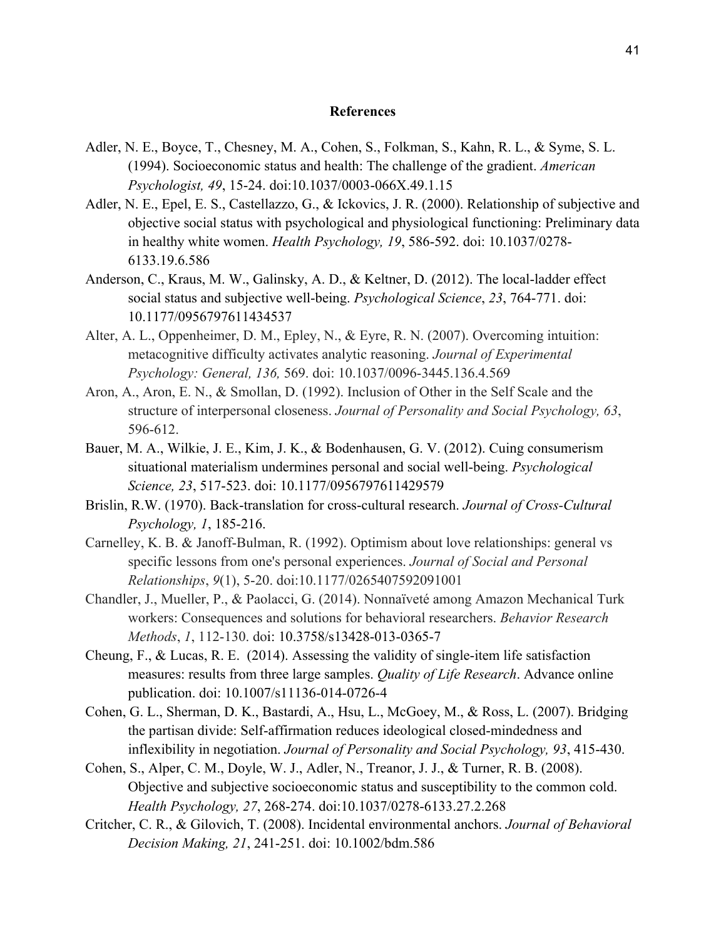#### **References**

- Adler, N. E., Boyce, T., Chesney, M. A., Cohen, S., Folkman, S., Kahn, R. L., & Syme, S. L. (1994). Socioeconomic status and health: The challenge of the gradient. *American Psychologist, 49*, 15-24. doi:10.1037/0003-066X.49.1.15
- Adler, N. E., Epel, E. S., Castellazzo, G., & Ickovics, J. R. (2000). Relationship of subjective and objective social status with psychological and physiological functioning: Preliminary data in healthy white women. *Health Psychology, 19*, 586-592. doi: 10.1037/0278- 6133.19.6.586
- Anderson, C., Kraus, M. W., Galinsky, A. D., & Keltner, D. (2012). The local-ladder effect social status and subjective well-being. *Psychological Science*, *23*, 764-771. doi: 10.1177/0956797611434537
- Alter, A. L., Oppenheimer, D. M., Epley, N., & Eyre, R. N. (2007). Overcoming intuition: metacognitive difficulty activates analytic reasoning. *Journal of Experimental Psychology: General, 136,* 569. doi: 10.1037/0096-3445.136.4.569
- Aron, A., Aron, E. N., & Smollan, D. (1992). Inclusion of Other in the Self Scale and the structure of interpersonal closeness. *Journal of Personality and Social Psychology, 63*, 596-612.
- Bauer, M. A., Wilkie, J. E., Kim, J. K., & Bodenhausen, G. V. (2012). Cuing consumerism situational materialism undermines personal and social well-being. *Psychological Science, 23*, 517-523. doi: 10.1177/0956797611429579
- Brislin, R.W. (1970). Back-translation for cross-cultural research. *Journal of Cross-Cultural Psychology, 1*, 185-216.
- Carnelley, K. B. & Janoff-Bulman, R. (1992). Optimism about love relationships: general vs specific lessons from one's personal experiences. *Journal of Social and Personal Relationships*, *9*(1), 5-20. doi:10.1177/0265407592091001
- Chandler, J., Mueller, P., & Paolacci, G. (2014). Nonnaïveté among Amazon Mechanical Turk workers: Consequences and solutions for behavioral researchers. *Behavior Research Methods*, *1*, 112-130. doi: 10.3758/s13428-013-0365-7
- Cheung, F., & Lucas, R. E. (2014). Assessing the validity of single-item life satisfaction measures: results from three large samples. *Quality of Life Research*. Advance online publication. doi: 10.1007/s11136-014-0726-4
- Cohen, G. L., Sherman, D. K., Bastardi, A., Hsu, L., McGoey, M., & Ross, L. (2007). Bridging the partisan divide: Self-affirmation reduces ideological closed-mindedness and inflexibility in negotiation. *Journal of Personality and Social Psychology, 93*, 415-430.
- Cohen, S., Alper, C. M., Doyle, W. J., Adler, N., Treanor, J. J., & Turner, R. B. (2008). Objective and subjective socioeconomic status and susceptibility to the common cold. *Health Psychology, 27*, 268-274. doi:10.1037/0278-6133.27.2.268
- Critcher, C. R., & Gilovich, T. (2008). Incidental environmental anchors. *Journal of Behavioral Decision Making, 21*, 241-251. doi: 10.1002/bdm.586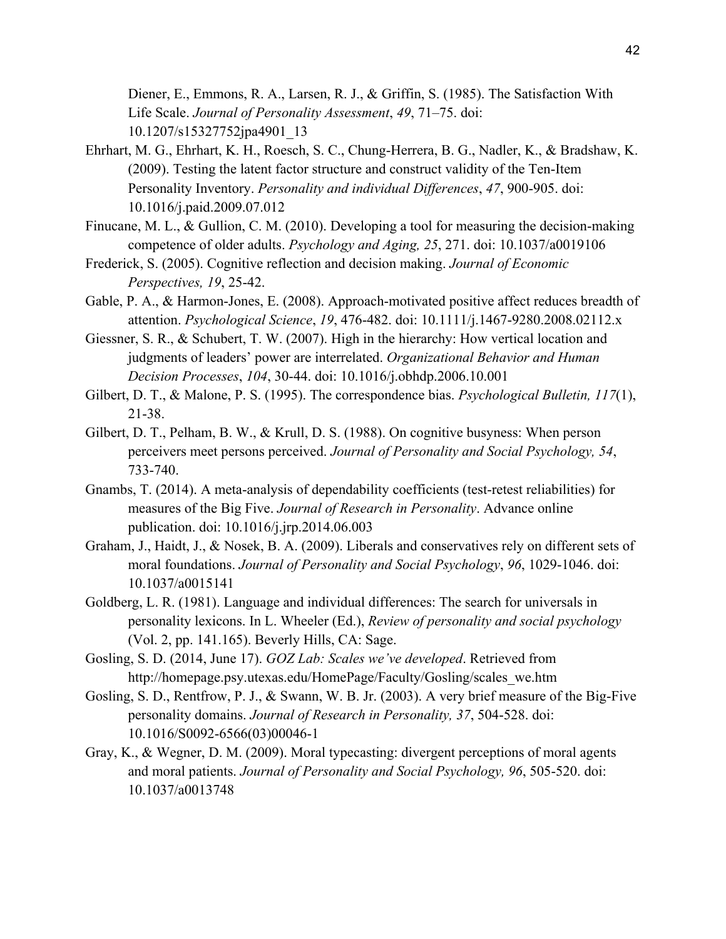Diener, E., Emmons, R. A., Larsen, R. J., & Griffin, S. (1985). The Satisfaction With Life Scale. *Journal of Personality Assessment*, *49*, 71–75. doi: 10.1207/s15327752jpa4901\_13

- Ehrhart, M. G., Ehrhart, K. H., Roesch, S. C., Chung-Herrera, B. G., Nadler, K., & Bradshaw, K. (2009). Testing the latent factor structure and construct validity of the Ten-Item Personality Inventory. *Personality and individual Differences*, *47*, 900-905. doi: 10.1016/j.paid.2009.07.012
- Finucane, M. L., & Gullion, C. M. (2010). Developing a tool for measuring the decision-making competence of older adults. *Psychology and Aging, 25*, 271. doi: 10.1037/a0019106
- Frederick, S. (2005). Cognitive reflection and decision making. *Journal of Economic Perspectives, 19*, 25-42.
- Gable, P. A., & Harmon-Jones, E. (2008). Approach-motivated positive affect reduces breadth of attention. *Psychological Science*, *19*, 476-482. doi: 10.1111/j.1467-9280.2008.02112.x
- Giessner, S. R., & Schubert, T. W. (2007). High in the hierarchy: How vertical location and judgments of leaders' power are interrelated. *Organizational Behavior and Human Decision Processes*, *104*, 30-44. doi: 10.1016/j.obhdp.2006.10.001
- Gilbert, D. T., & Malone, P. S. (1995). The correspondence bias. *Psychological Bulletin, 117*(1), 21-38.
- Gilbert, D. T., Pelham, B. W., & Krull, D. S. (1988). On cognitive busyness: When person perceivers meet persons perceived. *Journal of Personality and Social Psychology, 54*, 733-740.
- Gnambs, T. (2014). A meta-analysis of dependability coefficients (test-retest reliabilities) for measures of the Big Five. *Journal of Research in Personality*. Advance online publication. doi: 10.1016/j.jrp.2014.06.003
- Graham, J., Haidt, J., & Nosek, B. A. (2009). Liberals and conservatives rely on different sets of moral foundations. *Journal of Personality and Social Psychology*, *96*, 1029-1046. doi: 10.1037/a0015141
- Goldberg, L. R. (1981). Language and individual differences: The search for universals in personality lexicons. In L. Wheeler (Ed.), *Review of personality and social psychology* (Vol. 2, pp. 141.165). Beverly Hills, CA: Sage.
- Gosling, S. D. (2014, June 17). *GOZ Lab: Scales we've developed*. Retrieved from http://homepage.psy.utexas.edu/HomePage/Faculty/Gosling/scales\_we.htm
- Gosling, S. D., Rentfrow, P. J., & Swann, W. B. Jr. (2003). A very brief measure of the Big-Five personality domains. *Journal of Research in Personality, 37*, 504-528. doi: 10.1016/S0092-6566(03)00046-1
- Gray, K., & Wegner, D. M. (2009). Moral typecasting: divergent perceptions of moral agents and moral patients. *Journal of Personality and Social Psychology, 96*, 505-520. doi: 10.1037/a0013748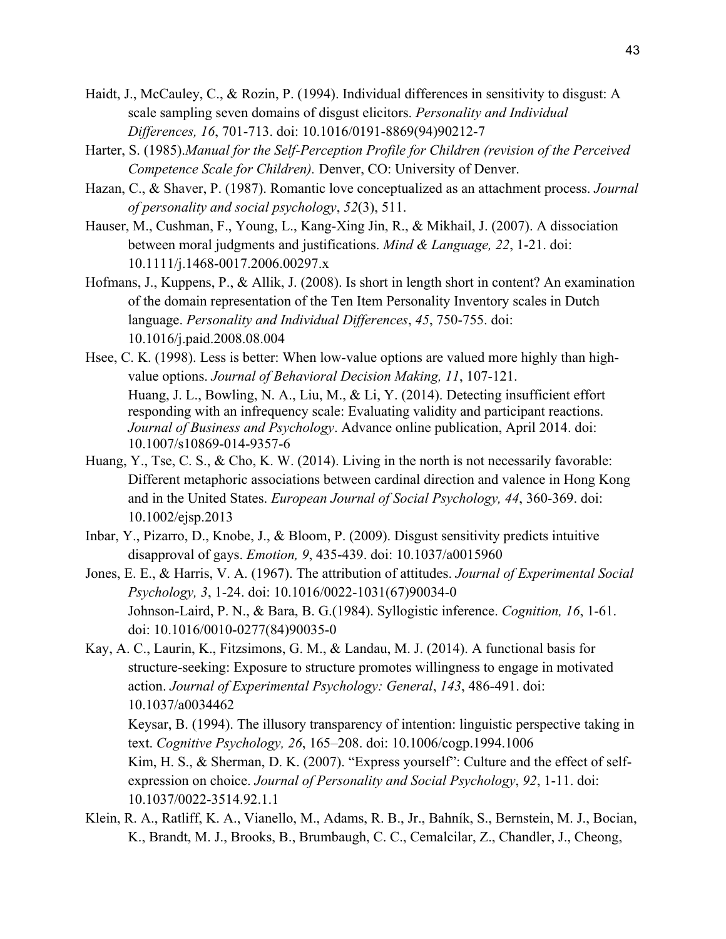- Haidt, J., McCauley, C., & Rozin, P. (1994). Individual differences in sensitivity to disgust: A scale sampling seven domains of disgust elicitors. *Personality and Individual Differences, 16*, 701-713. doi: 10.1016/0191-8869(94)90212-7
- Harter, S. (1985).*Manual for the Self-Perception Profile for Children (revision of the Perceived Competence Scale for Children).* Denver, CO: University of Denver.
- Hazan, C., & Shaver, P. (1987). Romantic love conceptualized as an attachment process. *Journal of personality and social psychology*, *52*(3), 511.
- Hauser, M., Cushman, F., Young, L., Kang-Xing Jin, R., & Mikhail, J. (2007). A dissociation between moral judgments and justifications. *Mind & Language, 22*, 1-21. doi: 10.1111/j.1468-0017.2006.00297.x
- Hofmans, J., Kuppens, P., & Allik, J. (2008). Is short in length short in content? An examination of the domain representation of the Ten Item Personality Inventory scales in Dutch language. *Personality and Individual Differences*, *45*, 750-755. doi: 10.1016/j.paid.2008.08.004
- Hsee, C. K. (1998). Less is better: When low-value options are valued more highly than highvalue options. *Journal of Behavioral Decision Making, 11*, 107-121. Huang, J. L., Bowling, N. A., Liu, M., & Li, Y. (2014). Detecting insufficient effort responding with an infrequency scale: Evaluating validity and participant reactions. *Journal of Business and Psychology*. Advance online publication, April 2014. doi: 10.1007/s10869-014-9357-6
- Huang, Y., Tse, C. S., & Cho, K. W. (2014). Living in the north is not necessarily favorable: Different metaphoric associations between cardinal direction and valence in Hong Kong and in the United States. *European Journal of Social Psychology, 44*, 360-369. doi: 10.1002/ejsp.2013
- Inbar, Y., Pizarro, D., Knobe, J., & Bloom, P. (2009). Disgust sensitivity predicts intuitive disapproval of gays. *Emotion, 9*, 435-439. doi: 10.1037/a0015960
- Jones, E. E., & Harris, V. A. (1967). The attribution of attitudes. *Journal of Experimental Social Psychology, 3*, 1-24. doi: 10.1016/0022-1031(67)90034-0 Johnson-Laird, P. N., & Bara, B. G.(1984). Syllogistic inference. *Cognition, 16*, 1-61. doi: 10.1016/0010-0277(84)90035-0
- Kay, A. C., Laurin, K., Fitzsimons, G. M., & Landau, M. J. (2014). A functional basis for structure-seeking: Exposure to structure promotes willingness to engage in motivated action. *Journal of Experimental Psychology: General*, *143*, 486-491. doi: 10.1037/a0034462 Keysar, B. (1994). The illusory transparency of intention: linguistic perspective taking in text. *Cognitive Psychology, 26*, 165–208. doi: 10.1006/cogp.1994.1006 Kim, H. S., & Sherman, D. K. (2007). "Express yourself": Culture and the effect of selfexpression on choice. *Journal of Personality and Social Psychology*, *92*, 1-11. doi: 10.1037/0022-3514.92.1.1
- Klein, R. A., Ratliff, K. A., Vianello, M., Adams, R. B., Jr., Bahník, S., Bernstein, M. J., Bocian, K., Brandt, M. J., Brooks, B., Brumbaugh, C. C., Cemalcilar, Z., Chandler, J., Cheong,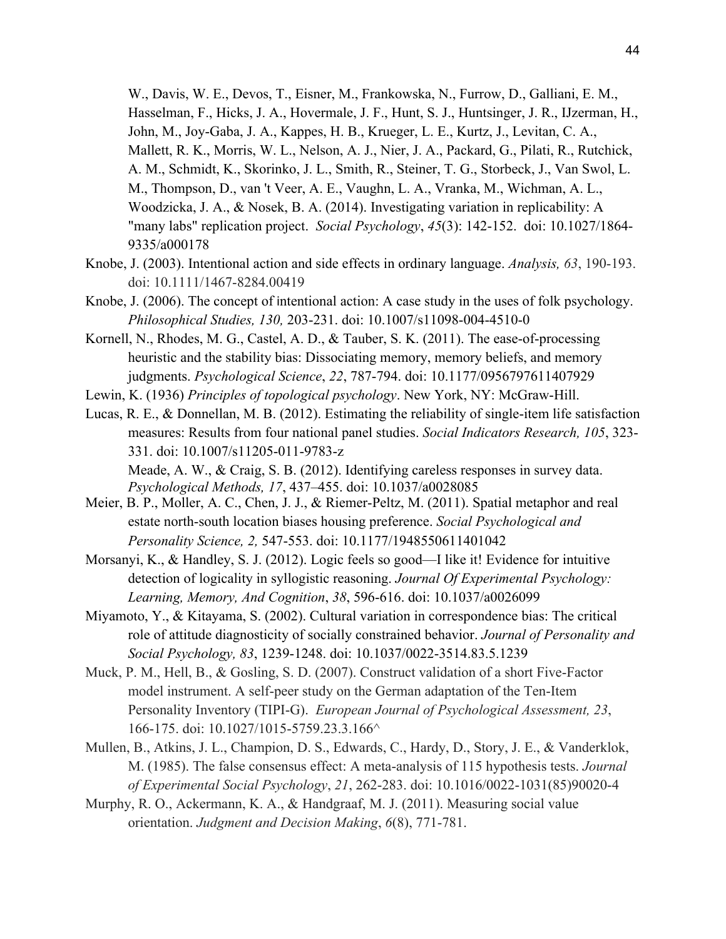W., Davis, W. E., Devos, T., Eisner, M., Frankowska, N., Furrow, D., Galliani, E. M., Hasselman, F., Hicks, J. A., Hovermale, J. F., Hunt, S. J., Huntsinger, J. R., IJzerman, H., John, M., Joy-Gaba, J. A., Kappes, H. B., Krueger, L. E., Kurtz, J., Levitan, C. A., Mallett, R. K., Morris, W. L., Nelson, A. J., Nier, J. A., Packard, G., Pilati, R., Rutchick, A. M., Schmidt, K., Skorinko, J. L., Smith, R., Steiner, T. G., Storbeck, J., Van Swol, L. M., Thompson, D., van 't Veer, A. E., Vaughn, L. A., Vranka, M., Wichman, A. L., Woodzicka, J. A., & Nosek, B. A. (2014). Investigating variation in replicability: A "many labs" replication project. *Social Psychology*, *45*(3): 142-152. doi: 10.1027/1864- 9335/a000178

- Knobe, J. (2003). Intentional action and side effects in ordinary language. *Analysis, 63*, 190-193. doi: 10.1111/1467-8284.00419
- Knobe, J. (2006). The concept of intentional action: A case study in the uses of folk psychology. *Philosophical Studies, 130,* 203-231. doi: 10.1007/s11098-004-4510-0
- Kornell, N., Rhodes, M. G., Castel, A. D., & Tauber, S. K. (2011). The ease-of-processing heuristic and the stability bias: Dissociating memory, memory beliefs, and memory judgments. *Psychological Science*, *22*, 787-794. doi: 10.1177/0956797611407929
- Lewin, K. (1936) *Principles of topological psychology*. New York, NY: McGraw-Hill.
- Lucas, R. E., & Donnellan, M. B. (2012). Estimating the reliability of single-item life satisfaction measures: Results from four national panel studies. *Social Indicators Research, 105*, 323- 331. doi: 10.1007/s11205-011-9783-z Meade, A. W., & Craig, S. B. (2012). Identifying careless responses in survey data. *Psychological Methods, 17*, 437–455. doi: 10.1037/a0028085
- Meier, B. P., Moller, A. C., Chen, J. J., & Riemer-Peltz, M. (2011). Spatial metaphor and real estate north-south location biases housing preference. *Social Psychological and Personality Science, 2,* 547-553. doi: 10.1177/1948550611401042
- Morsanyi, K., & Handley, S. J. (2012). Logic feels so good—I like it! Evidence for intuitive detection of logicality in syllogistic reasoning. *Journal Of Experimental Psychology: Learning, Memory, And Cognition*, *38*, 596-616. doi: 10.1037/a0026099
- Miyamoto, Y., & Kitayama, S. (2002). Cultural variation in correspondence bias: The critical role of attitude diagnosticity of socially constrained behavior. *Journal of Personality and Social Psychology, 83*, 1239-1248. doi: 10.1037/0022-3514.83.5.1239
- Muck, P. M., Hell, B., & Gosling, S. D. (2007). Construct validation of a short Five-Factor model instrument. A self-peer study on the German adaptation of the Ten-Item Personality Inventory (TIPI-G). *European Journal of Psychological Assessment, 23*, 166-175. doi: 10.1027/1015-5759.23.3.166^
- Mullen, B., Atkins, J. L., Champion, D. S., Edwards, C., Hardy, D., Story, J. E., & Vanderklok, M. (1985). The false consensus effect: A meta-analysis of 115 hypothesis tests. *Journal of Experimental Social Psychology*, *21*, 262-283. doi: 10.1016/0022-1031(85)90020-4
- Murphy, R. O., Ackermann, K. A., & Handgraaf, M. J. (2011). Measuring social value orientation. *Judgment and Decision Making*, *6*(8), 771-781.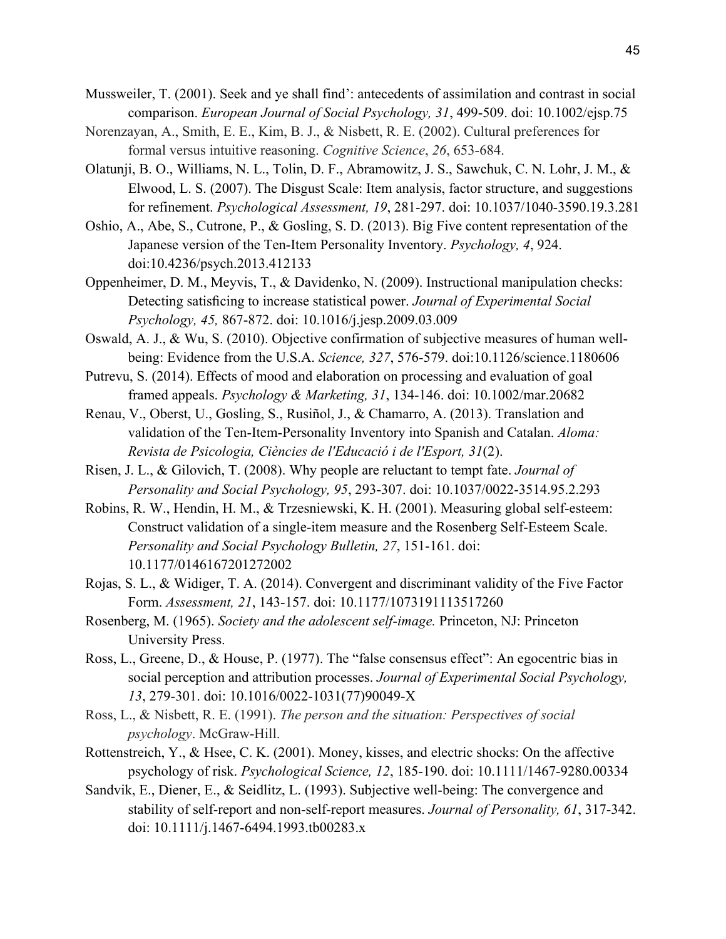- Mussweiler, T. (2001). Seek and ye shall find': antecedents of assimilation and contrast in social comparison. *European Journal of Social Psychology, 31*, 499-509. doi: 10.1002/ejsp.75
- Norenzayan, A., Smith, E. E., Kim, B. J., & Nisbett, R. E. (2002). Cultural preferences for formal versus intuitive reasoning. *Cognitive Science*, *26*, 653-684.
- Olatunji, B. O., Williams, N. L., Tolin, D. F., Abramowitz, J. S., Sawchuk, C. N. Lohr, J. M., & Elwood, L. S. (2007). The Disgust Scale: Item analysis, factor structure, and suggestions for refinement. *Psychological Assessment, 19*, 281-297. doi: 10.1037/1040-3590.19.3.281
- Oshio, A., Abe, S., Cutrone, P., & Gosling, S. D. (2013). Big Five content representation of the Japanese version of the Ten-Item Personality Inventory. *Psychology, 4*, 924. doi:10.4236/psych.2013.412133
- Oppenheimer, D. M., Meyvis, T., & Davidenko, N. (2009). Instructional manipulation checks: Detecting satisficing to increase statistical power. *Journal of Experimental Social Psychology, 45,* 867-872. doi: 10.1016/j.jesp.2009.03.009
- Oswald, A. J., & Wu, S. (2010). Objective confirmation of subjective measures of human wellbeing: Evidence from the U.S.A. *Science, 327*, 576-579. doi:10.1126/science.1180606
- Putrevu, S. (2014). Effects of mood and elaboration on processing and evaluation of goal framed appeals. *Psychology & Marketing, 31*, 134-146. doi: 10.1002/mar.20682
- Renau, V., Oberst, U., Gosling, S., Rusiñol, J., & Chamarro, A. (2013). Translation and validation of the Ten-Item-Personality Inventory into Spanish and Catalan. *Aloma: Revista de Psicologia, Ciències de l'Educació i de l'Esport, 31*(2).
- Risen, J. L., & Gilovich, T. (2008). Why people are reluctant to tempt fate. *Journal of Personality and Social Psychology, 95*, 293-307. doi: 10.1037/0022-3514.95.2.293
- Robins, R. W., Hendin, H. M., & Trzesniewski, K. H. (2001). Measuring global self-esteem: Construct validation of a single-item measure and the Rosenberg Self-Esteem Scale. *Personality and Social Psychology Bulletin, 27*, 151-161. doi: 10.1177/0146167201272002
- Rojas, S. L., & Widiger, T. A. (2014). Convergent and discriminant validity of the Five Factor Form. *Assessment, 21*, 143-157. doi: 10.1177/1073191113517260
- Rosenberg, M. (1965). *Society and the adolescent self-image.* Princeton, NJ: Princeton University Press.
- Ross, L., Greene, D., & House, P. (1977). The "false consensus effect": An egocentric bias in social perception and attribution processes. *Journal of Experimental Social Psychology, 13*, 279-301. doi: 10.1016/0022-1031(77)90049-X
- Ross, L., & Nisbett, R. E. (1991). *The person and the situation: Perspectives of social psychology*. McGraw-Hill.
- Rottenstreich, Y., & Hsee, C. K. (2001). Money, kisses, and electric shocks: On the affective psychology of risk. *Psychological Science, 12*, 185-190. doi: 10.1111/1467-9280.00334
- Sandvik, E., Diener, E., & Seidlitz, L. (1993). Subjective well-being: The convergence and stability of self-report and non-self-report measures. *Journal of Personality, 61*, 317-342. doi: 10.1111/j.1467-6494.1993.tb00283.x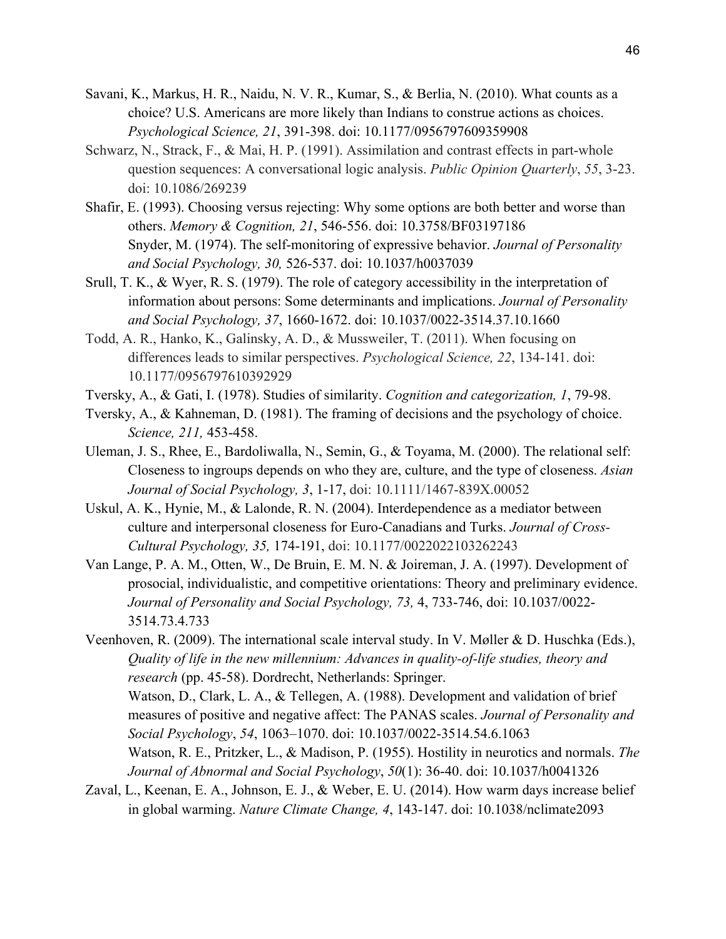- Savani, K., Markus, H. R., Naidu, N. V. R., Kumar, S., & Berlia, N. (2010). What counts as a choice? U.S. Americans are more likely than Indians to construe actions as choices. *Psychological Science, 21*, 391-398. doi: 10.1177/0956797609359908
- Schwarz, N., Strack, F., & Mai, H. P. (1991). Assimilation and contrast effects in part-whole question sequences: A conversational logic analysis. *Public Opinion Quarterly*, *55*, 3-23. doi: 10.1086/269239
- Shafir, E. (1993). Choosing versus rejecting: Why some options are both better and worse than others. *Memory & Cognition, 21*, 546-556. doi: 10.3758/BF03197186 Snyder, M. (1974). The self-monitoring of expressive behavior. *Journal of Personality and Social Psychology, 30,* 526-537. doi: 10.1037/h0037039
- Srull, T. K., & Wyer, R. S. (1979). The role of category accessibility in the interpretation of information about persons: Some determinants and implications. *Journal of Personality and Social Psychology, 37*, 1660-1672. doi: 10.1037/0022-3514.37.10.1660
- Todd, A. R., Hanko, K., Galinsky, A. D., & Mussweiler, T. (2011). When focusing on differences leads to similar perspectives. *Psychological Science, 22*, 134-141. doi: 10.1177/0956797610392929
- Tversky, A., & Gati, I. (1978). Studies of similarity. *Cognition and categorization, 1*, 79-98.
- Tversky, A., & Kahneman, D. (1981). The framing of decisions and the psychology of choice. *Science, 211,* 453-458.
- Uleman, J. S., Rhee, E., Bardoliwalla, N., Semin, G., & Toyama, M. (2000). The relational self: Closeness to ingroups depends on who they are, culture, and the type of closeness. *Asian Journal of Social Psychology, 3*, 1-17, doi: 10.1111/1467-839X.00052
- Uskul, A. K., Hynie, M., & Lalonde, R. N. (2004). Interdependence as a mediator between culture and interpersonal closeness for Euro-Canadians and Turks. *Journal of Cross-Cultural Psychology, 35,* 174-191, doi: 10.1177/0022022103262243
- Van Lange, P. A. M., Otten, W., De Bruin, E. M. N. & Joireman, J. A. (1997). Development of prosocial, individualistic, and competitive orientations: Theory and preliminary evidence. *Journal of Personality and Social Psychology, 73,* 4, 733-746, doi: 10.1037/0022- 3514.73.4.733

Veenhoven, R. (2009). The international scale interval study. In V. Møller & D. Huschka (Eds.), *Quality of life in the new millennium: Advances in quality-of-life studies, theory and research* (pp. 45-58). Dordrecht, Netherlands: Springer. Watson, D., Clark, L. A., & Tellegen, A. (1988). Development and validation of brief measures of positive and negative affect: The PANAS scales. *Journal of Personality and Social Psychology*, *54*, 1063–1070. doi: 10.1037/0022-3514.54.6.1063 Watson, R. E., Pritzker, L., & Madison, P. (1955). Hostility in neurotics and normals. *The Journal of Abnormal and Social Psychology*, *50*(1): 36-40. doi: 10.1037/h0041326

Zaval, L., Keenan, E. A., Johnson, E. J., & Weber, E. U. (2014). How warm days increase belief in global warming. *Nature Climate Change, 4*, 143-147. doi: 10.1038/nclimate2093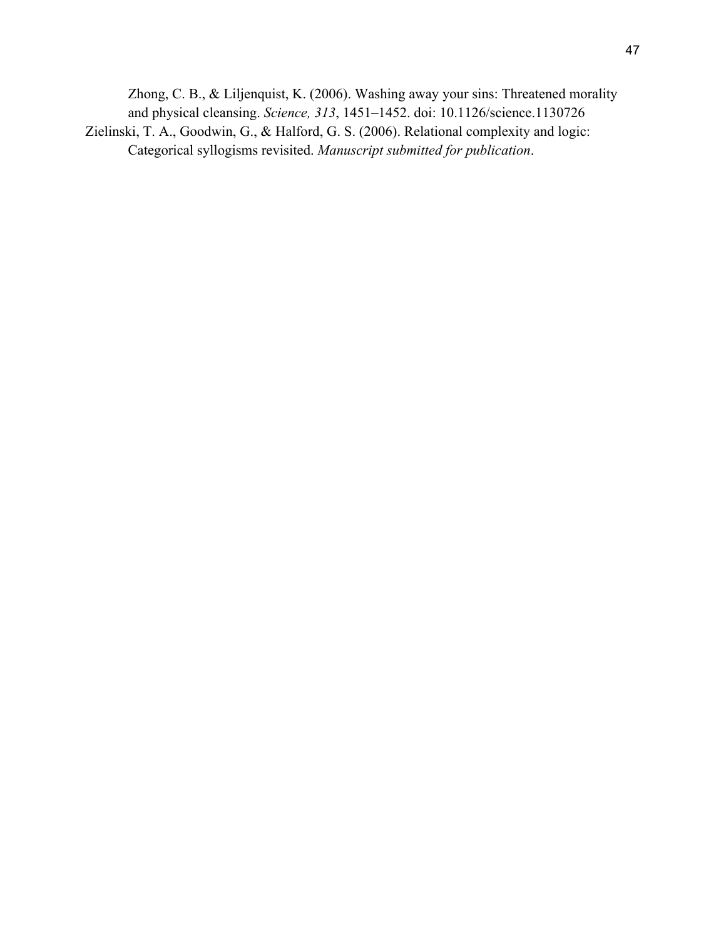Zhong, C. B., & Liljenquist, K. (2006). Washing away your sins: Threatened morality and physical cleansing. *Science, 313*, 1451–1452. doi: 10.1126/science.1130726 Zielinski, T. A., Goodwin, G., & Halford, G. S. (2006). Relational complexity and logic: Categorical syllogisms revisited. *Manuscript submitted for publication*.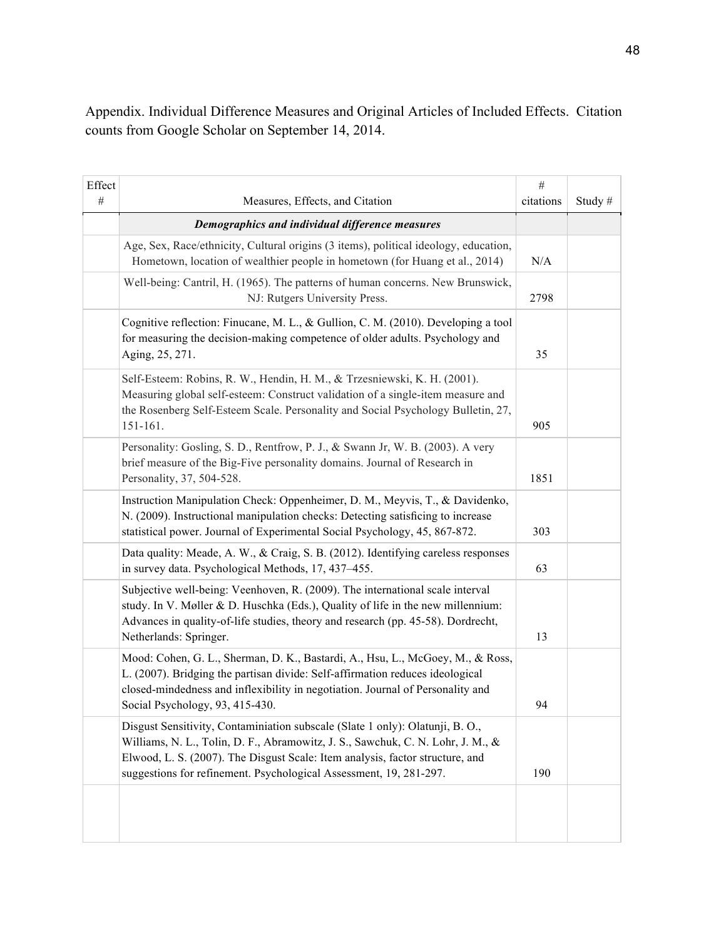Appendix. Individual Difference Measures and Original Articles of Included Effects. Citation counts from Google Scholar on September 14, 2014.

| Effect |                                                                                                                                                                                                                                                                                                                         | $\#$      |        |
|--------|-------------------------------------------------------------------------------------------------------------------------------------------------------------------------------------------------------------------------------------------------------------------------------------------------------------------------|-----------|--------|
| $\#$   | Measures, Effects, and Citation                                                                                                                                                                                                                                                                                         | citations | Study# |
|        | Demographics and individual difference measures                                                                                                                                                                                                                                                                         |           |        |
|        | Age, Sex, Race/ethnicity, Cultural origins (3 items), political ideology, education,<br>Hometown, location of wealthier people in hometown (for Huang et al., 2014)                                                                                                                                                     | N/A       |        |
|        | Well-being: Cantril, H. (1965). The patterns of human concerns. New Brunswick,<br>NJ: Rutgers University Press.                                                                                                                                                                                                         | 2798      |        |
|        | Cognitive reflection: Finucane, M. L., & Gullion, C. M. (2010). Developing a tool<br>for measuring the decision-making competence of older adults. Psychology and<br>Aging, 25, 271.                                                                                                                                    | 35        |        |
|        | Self-Esteem: Robins, R. W., Hendin, H. M., & Trzesniewski, K. H. (2001).<br>Measuring global self-esteem: Construct validation of a single-item measure and<br>the Rosenberg Self-Esteem Scale. Personality and Social Psychology Bulletin, 27,<br>151-161.                                                             | 905       |        |
|        | Personality: Gosling, S. D., Rentfrow, P. J., & Swann Jr, W. B. (2003). A very<br>brief measure of the Big-Five personality domains. Journal of Research in<br>Personality, 37, 504-528.                                                                                                                                | 1851      |        |
|        | Instruction Manipulation Check: Oppenheimer, D. M., Meyvis, T., & Davidenko,<br>N. (2009). Instructional manipulation checks: Detecting satisficing to increase<br>statistical power. Journal of Experimental Social Psychology, 45, 867-872.                                                                           | 303       |        |
|        | Data quality: Meade, A. W., & Craig, S. B. (2012). Identifying careless responses<br>in survey data. Psychological Methods, 17, 437–455.                                                                                                                                                                                | 63        |        |
|        | Subjective well-being: Veenhoven, R. (2009). The international scale interval<br>study. In V. Møller & D. Huschka (Eds.), Quality of life in the new millennium:<br>Advances in quality-of-life studies, theory and research (pp. 45-58). Dordrecht,<br>Netherlands: Springer.                                          | 13        |        |
|        | Mood: Cohen, G. L., Sherman, D. K., Bastardi, A., Hsu, L., McGoey, M., & Ross,<br>L. (2007). Bridging the partisan divide: Self-affirmation reduces ideological<br>closed-mindedness and inflexibility in negotiation. Journal of Personality and<br>Social Psychology, 93, 415-430.                                    | 94        |        |
|        | Disgust Sensitivity, Contaminiation subscale (Slate 1 only): Olatunji, B. O.,<br>Williams, N. L., Tolin, D. F., Abramowitz, J. S., Sawchuk, C. N. Lohr, J. M., &<br>Elwood, L. S. (2007). The Disgust Scale: Item analysis, factor structure, and<br>suggestions for refinement. Psychological Assessment, 19, 281-297. | 190       |        |
|        |                                                                                                                                                                                                                                                                                                                         |           |        |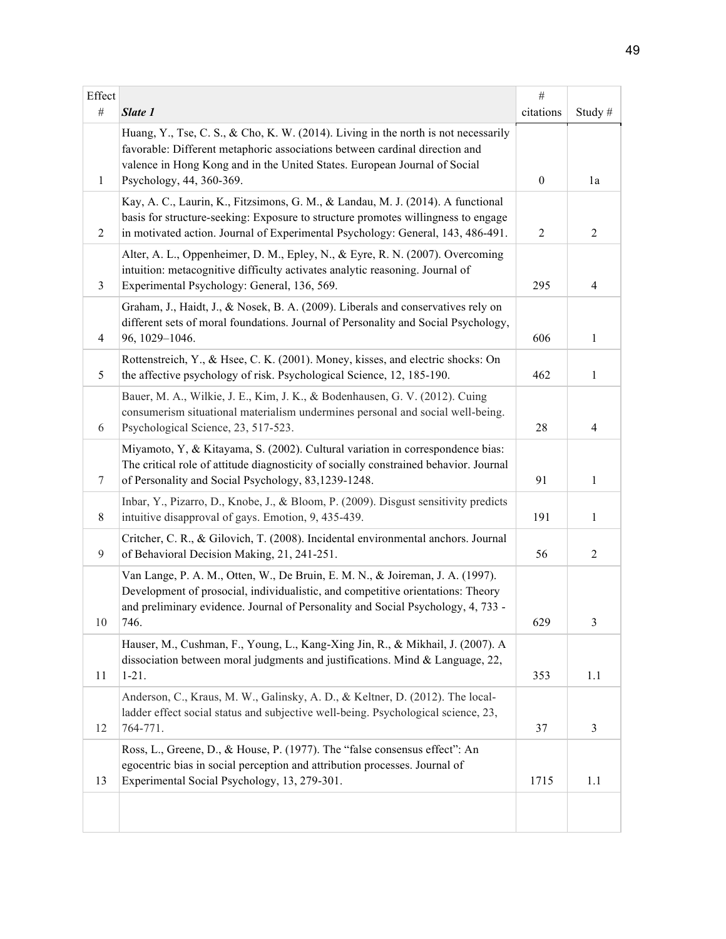| Effect         |                                                                                                                                                                                                                                                                            | $\#$             |                |
|----------------|----------------------------------------------------------------------------------------------------------------------------------------------------------------------------------------------------------------------------------------------------------------------------|------------------|----------------|
| $\#$           | Slate 1                                                                                                                                                                                                                                                                    | citations        | Study#         |
| $\mathbf{1}$   | Huang, Y., Tse, C. S., & Cho, K. W. (2014). Living in the north is not necessarily<br>favorable: Different metaphoric associations between cardinal direction and<br>valence in Hong Kong and in the United States. European Journal of Social<br>Psychology, 44, 360-369. | $\boldsymbol{0}$ | 1a             |
| $\overline{2}$ | Kay, A. C., Laurin, K., Fitzsimons, G. M., & Landau, M. J. (2014). A functional<br>basis for structure-seeking: Exposure to structure promotes willingness to engage<br>in motivated action. Journal of Experimental Psychology: General, 143, 486-491.                    | $\overline{2}$   | $\overline{2}$ |
| 3              | Alter, A. L., Oppenheimer, D. M., Epley, N., & Eyre, R. N. (2007). Overcoming<br>intuition: metacognitive difficulty activates analytic reasoning. Journal of<br>Experimental Psychology: General, 136, 569.                                                               | 295              | $\overline{4}$ |
| $\overline{4}$ | Graham, J., Haidt, J., & Nosek, B. A. (2009). Liberals and conservatives rely on<br>different sets of moral foundations. Journal of Personality and Social Psychology,<br>96, 1029-1046.                                                                                   | 606              | 1              |
| 5              | Rottenstreich, Y., & Hsee, C. K. (2001). Money, kisses, and electric shocks: On<br>the affective psychology of risk. Psychological Science, 12, 185-190.                                                                                                                   | 462              | $\mathbf{1}$   |
| 6              | Bauer, M. A., Wilkie, J. E., Kim, J. K., & Bodenhausen, G. V. (2012). Cuing<br>consumerism situational materialism undermines personal and social well-being.<br>Psychological Science, 23, 517-523.                                                                       | 28               | $\overline{4}$ |
| $\tau$         | Miyamoto, Y, & Kitayama, S. (2002). Cultural variation in correspondence bias:<br>The critical role of attitude diagnosticity of socially constrained behavior. Journal<br>of Personality and Social Psychology, 83,1239-1248.                                             | 91               | $\mathbf{1}$   |
| 8              | Inbar, Y., Pizarro, D., Knobe, J., & Bloom, P. (2009). Disgust sensitivity predicts<br>intuitive disapproval of gays. Emotion, 9, 435-439.                                                                                                                                 | 191              | 1              |
| 9              | Critcher, C. R., & Gilovich, T. (2008). Incidental environmental anchors. Journal<br>of Behavioral Decision Making, 21, 241-251.                                                                                                                                           | 56               | $\overline{2}$ |
| $10\,$         | Van Lange, P. A. M., Otten, W., De Bruin, E. M. N., & Joireman, J. A. (1997).<br>Development of prosocial, individualistic, and competitive orientations: Theory<br>and preliminary evidence. Journal of Personality and Social Psychology, 4, 733 -<br>746.               | 629              | $\overline{3}$ |
| 11             | Hauser, M., Cushman, F., Young, L., Kang-Xing Jin, R., & Mikhail, J. (2007). A<br>dissociation between moral judgments and justifications. Mind & Language, 22,<br>$1 - 21.$                                                                                               | 353              | 1.1            |
| 12             | Anderson, C., Kraus, M. W., Galinsky, A. D., & Keltner, D. (2012). The local-<br>ladder effect social status and subjective well-being. Psychological science, 23,<br>764-771.                                                                                             | 37               | 3              |
| 13             | Ross, L., Greene, D., & House, P. (1977). The "false consensus effect": An<br>egocentric bias in social perception and attribution processes. Journal of<br>Experimental Social Psychology, 13, 279-301.                                                                   | 1715             | 1.1            |
|                |                                                                                                                                                                                                                                                                            |                  |                |